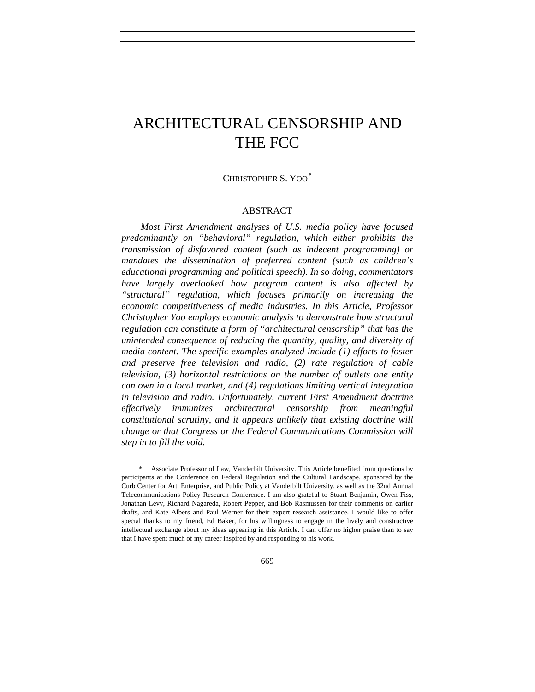# ARCHITECTURAL CENSORSHIP AND THE FCC

# CHRISTOPHER S. YOO[\\*](#page-0-0)

## ABSTRACT

*Most First Amendment analyses of U.S. media policy have focused predominantly on "behavioral" regulation, which either prohibits the transmission of disfavored content (such as indecent programming) or mandates the dissemination of preferred content (such as children's educational programming and political speech). In so doing, commentators have largely overlooked how program content is also affected by "structural" regulation, which focuses primarily on increasing the economic competitiveness of media industries. In this Article, Professor Christopher Yoo employs economic analysis to demonstrate how structural regulation can constitute a form of "architectural censorship" that has the unintended consequence of reducing the quantity, quality, and diversity of media content. The specific examples analyzed include (1) efforts to foster and preserve free television and radio, (2) rate regulation of cable television, (3) horizontal restrictions on the number of outlets one entity can own in a local market, and (4) regulations limiting vertical integration in television and radio. Unfortunately, current First Amendment doctrine effectively immunizes architectural censorship from meaningful constitutional scrutiny, and it appears unlikely that existing doctrine will change or that Congress or the Federal Communications Commission will step in to fill the void.* 

<span id="page-0-0"></span> <sup>\*</sup> Associate Professor of Law, Vanderbilt University. This Article benefited from questions by participants at the Conference on Federal Regulation and the Cultural Landscape, sponsored by the Curb Center for Art, Enterprise, and Public Policy at Vanderbilt University, as well as the 32nd Annual Telecommunications Policy Research Conference. I am also grateful to Stuart Benjamin, Owen Fiss, Jonathan Levy, Richard Nagareda, Robert Pepper, and Bob Rasmussen for their comments on earlier drafts, and Kate Albers and Paul Werner for their expert research assistance. I would like to offer special thanks to my friend, Ed Baker, for his willingness to engage in the lively and constructive intellectual exchange about my ideas appearing in this Article. I can offer no higher praise than to say that I have spent much of my career inspired by and responding to his work.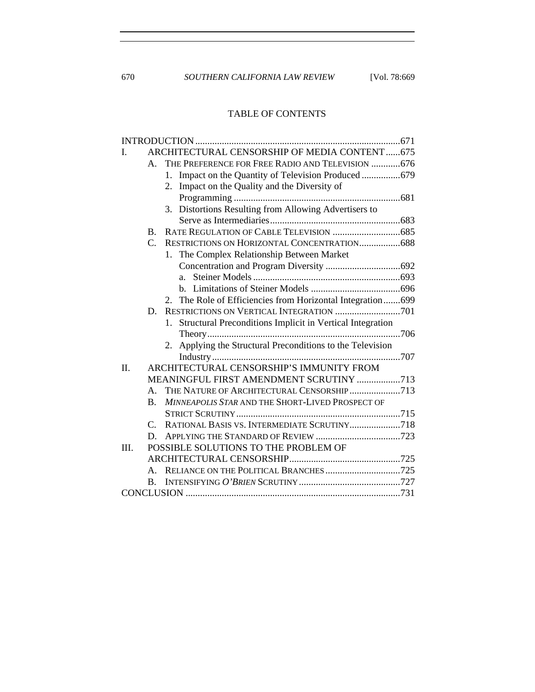670 *SOUTHERN CALIFORNIA LAW REVIEW* [Vol. 78:669

# TABLE OF CONTENTS

| L    | ARCHITECTURAL CENSORSHIP OF MEDIA CONTENT675                 |                                                                 |  |  |  |  |
|------|--------------------------------------------------------------|-----------------------------------------------------------------|--|--|--|--|
|      | THE PREFERENCE FOR FREE RADIO AND TELEVISION  676<br>$A_{-}$ |                                                                 |  |  |  |  |
|      |                                                              | Impact on the Quantity of Television Produced  679<br>1.        |  |  |  |  |
|      |                                                              | 2. Impact on the Quality and the Diversity of                   |  |  |  |  |
|      |                                                              |                                                                 |  |  |  |  |
|      |                                                              | 3. Distortions Resulting from Allowing Advertisers to           |  |  |  |  |
|      |                                                              |                                                                 |  |  |  |  |
|      | $\mathbf{B}$ .                                               |                                                                 |  |  |  |  |
|      | $\mathsf{C}$ .                                               | RESTRICTIONS ON HORIZONTAL CONCENTRATION 688                    |  |  |  |  |
|      | 1. The Complex Relationship Between Market                   |                                                                 |  |  |  |  |
|      |                                                              |                                                                 |  |  |  |  |
|      |                                                              | $a_{-}$                                                         |  |  |  |  |
|      |                                                              |                                                                 |  |  |  |  |
|      |                                                              | 2. The Role of Efficiencies from Horizontal Integration699      |  |  |  |  |
|      | D.                                                           |                                                                 |  |  |  |  |
|      |                                                              | Structural Preconditions Implicit in Vertical Integration<br>1. |  |  |  |  |
|      |                                                              |                                                                 |  |  |  |  |
|      |                                                              | Applying the Structural Preconditions to the Television<br>2.   |  |  |  |  |
|      |                                                              |                                                                 |  |  |  |  |
| II.  | ARCHITECTURAL CENSORSHIP'S IMMUNITY FROM                     |                                                                 |  |  |  |  |
|      | MEANINGFUL FIRST AMENDMENT SCRUTINY 713                      |                                                                 |  |  |  |  |
|      | A.                                                           | THE NATURE OF ARCHITECTURAL CENSORSHIP 713                      |  |  |  |  |
|      | $B_{\cdot}$                                                  | MINNEAPOLIS STAR AND THE SHORT-LIVED PROSPECT OF                |  |  |  |  |
|      |                                                              |                                                                 |  |  |  |  |
|      | $C_{\cdot}$                                                  | RATIONAL BASIS VS. INTERMEDIATE SCRUTINY718                     |  |  |  |  |
|      | D.                                                           |                                                                 |  |  |  |  |
| III. |                                                              | POSSIBLE SOLUTIONS TO THE PROBLEM OF                            |  |  |  |  |
|      |                                                              |                                                                 |  |  |  |  |
|      | $A_{-}$                                                      |                                                                 |  |  |  |  |
|      | $\mathbf{B}$ .                                               |                                                                 |  |  |  |  |
|      |                                                              |                                                                 |  |  |  |  |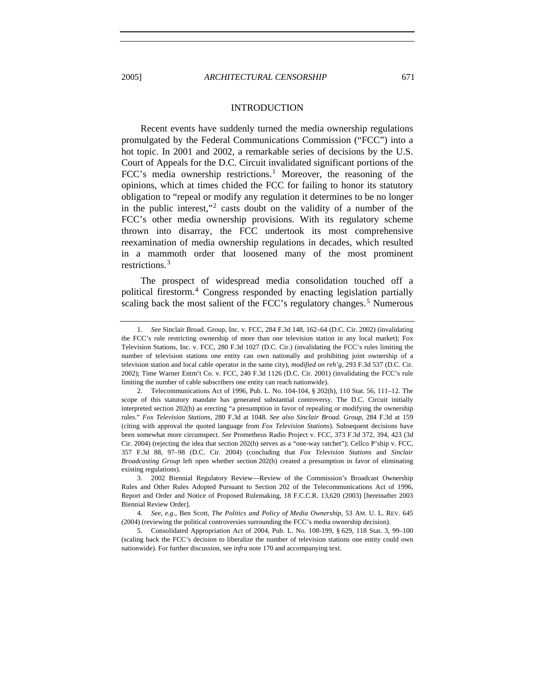# INTRODUCTION

<span id="page-2-0"></span>Recent events have suddenly turned the media ownership regulations promulgated by the Federal Communications Commission ("FCC") into a hot topic. In 2001 and 2002, a remarkable series of decisions by the U.S. Court of Appeals for the D.C. Circuit invalidated significant portions of the FCC's media ownership restrictions.<sup>[1](#page-2-1)</sup> Moreover, the reasoning of the opinions, which at times chided the FCC for failing to honor its statutory obligation to "repeal or modify any regulation it determines to be no longer in the public interest,"<sup>[2](#page-2-2)</sup> casts doubt on the validity of a number of the FCC's other media ownership provisions. With its regulatory scheme thrown into disarray, the FCC undertook its most comprehensive reexamination of media ownership regulations in decades, which resulted in a mammoth order that loosened many of the most prominent restrictions.[3](#page-2-3)

The prospect of widespread media consolidation touched off a political firestorm.[4](#page-2-4) Congress responded by enacting legislation partially scaling back the most salient of the FCC's regulatory changes.<sup>[5](#page-2-5)</sup> Numerous

<span id="page-2-1"></span><sup>1</sup>*. See* Sinclair Broad. Group, Inc. v. FCC, 284 F.3d 148, 162–64 (D.C. Cir. 2002) (invalidating the FCC's rule restricting ownership of more than one television station in any local market); Fox Television Stations, Inc. v. FCC, 280 F.3d 1027 (D.C. Cir.) (invalidating the FCC's rules limiting the number of television stations one entity can own nationally and prohibiting joint ownership of a television station and local cable operator in the same city), *modified on reh'g*, 293 F.3d 537 (D.C. Cir. 2002); Time Warner Entm't Co. v. FCC, 240 F.3d 1126 (D.C. Cir. 2001) (invalidating the FCC's rule limiting the number of cable subscribers one entity can reach nationwide).

<span id="page-2-2"></span><sup>2.</sup> Telecommunications Act of 1996, Pub. L. No. 104-104, § 202(h), 110 Stat. 56, 111–12. The scope of this statutory mandate has generated substantial controversy. The D.C. Circuit initially interpreted section 202(h) as erecting "a presumption in favor of repealing or modifying the ownership rules." *Fox Television Stations*, 280 F.3d at 1048. *See also Sinclair Broad. Group*, 284 F.3d at 159 (citing with approval the quoted language from *Fox Television Stations*). Subsequent decisions have been somewhat more circumspect. *See* Prometheus Radio Project v. FCC, 373 F.3d 372, 394, 423 (3d Cir. 2004) (rejecting the idea that section 202(h) serves as a "one-way ratchet"); Cellco P'ship v. FCC, 357 F.3d 88, 97–98 (D.C. Cir. 2004) (concluding that *Fox Television Stations* and *Sinclair Broadcasting Group* left open whether section 202(h) created a presumption in favor of eliminating existing regulations).

<span id="page-2-3"></span><sup>3. 2002</sup> Biennial Regulatory Review—Review of the Commission's Broadcast Ownership Rules and Other Rules Adopted Pursuant to Section 202 of the Telecommunications Act of 1996, Report and Order and Notice of Proposed Rulemaking, 18 F.C.C.R. 13,620 (2003) [hereinafter 2003 Biennial Review Order].

<span id="page-2-4"></span><sup>4</sup>*. See, e.g.*, Ben Scott, *The Politics and Policy of Media Ownership*, 53 AM. U. L. REV. 645 (2004) (reviewing the political controversies surrounding the FCC's media ownership decision).

<span id="page-2-5"></span><sup>5.</sup> Consolidated Appropriation Act of 2004, Pub. L. No. 108-199, § 629, 118 Stat. 3, 99–100 (scaling back the FCC's decision to liberalize the number of television stations one entity could own nationwide). For further discussion, see *infra* note 170 and accompanying text.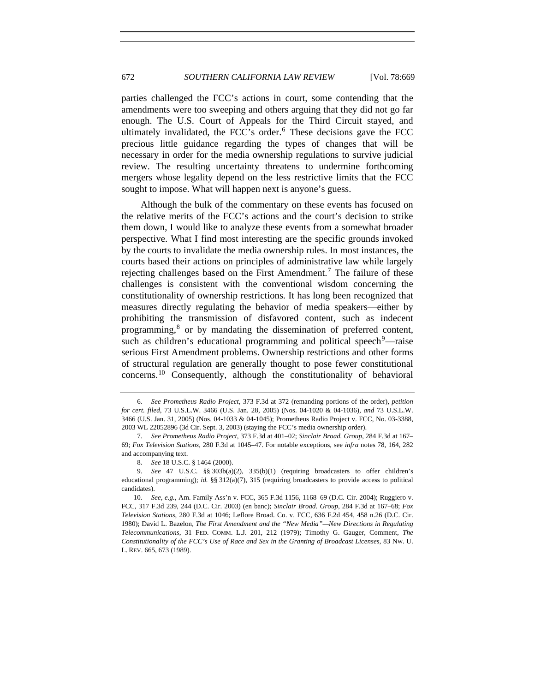# 672 *SOUTHERN CALIFORNIA LAW REVIEW* [Vol. 78:669

parties challenged the FCC's actions in court, some contending that the amendments were too sweeping and others arguing that they did not go far enough. The U.S. Court of Appeals for the Third Circuit stayed, and ultimately invalidated, the FCC's order. $6$  These decisions gave the FCC precious little guidance regarding the types of changes that will be necessary in order for the media ownership regulations to survive judicial review. The resulting uncertainty threatens to undermine forthcoming mergers whose legality depend on the less restrictive limits that the FCC sought to impose. What will happen next is anyone's guess.

Although the bulk of the commentary on these events has focused on the relative merits of the FCC's actions and the court's decision to strike them down, I would like to analyze these events from a somewhat broader perspective. What I find most interesting are the specific grounds invoked by the courts to invalidate the media ownership rules. In most instances, the courts based their actions on principles of administrative law while largely rejecting challenges based on the First Amendment.<sup>[7](#page-3-1)</sup> The failure of these challenges is consistent with the conventional wisdom concerning the constitutionality of ownership restrictions. It has long been recognized that measures directly regulating the behavior of media speakers—either by prohibiting the transmission of disfavored content, such as indecent programming,<sup>[8](#page-3-2)</sup> or by mandating the dissemination of preferred content, such as children's educational programming and political speech $9$ —raise serious First Amendment problems. Ownership restrictions and other forms of structural regulation are generally thought to pose fewer constitutional concerns.[10](#page-3-4) Consequently, although the constitutionality of behavioral

<span id="page-3-0"></span><sup>6</sup>*. See Prometheus Radio Project*, 373 F.3d at 372 (remanding portions of the order), *petition for cert. filed*, 73 U.S.L.W. 3466 (U.S. Jan. 28, 2005) (Nos. 04-1020 & 04-1036), *and* 73 U.S.L.W. 3466 (U.S. Jan. 31, 2005) (Nos. 04-1033 & 04-1045); Prometheus Radio Project v. FCC, No. 03-3388, 2003 WL 22052896 (3d Cir. Sept. 3, 2003) (staying the FCC's media ownership order).

<span id="page-3-1"></span><sup>7</sup>*. See Prometheus Radio Project*, 373 F.3d at 401–02; *Sinclair Broad. Group*, 284 F.3d at 167– 69; *Fox Television Stations*, 280 F.3d at 1045–47. For notable exceptions, see *infra* notes 78, 164, 282 and accompanying text.

<sup>8</sup>*. See* 18 U.S.C. § 1464 (2000).

<span id="page-3-3"></span><span id="page-3-2"></span><sup>9</sup>*. See* 47 U.S.C. §§ 303b(a)(2), 335(b)(1) (requiring broadcasters to offer children's educational programming); *id.* §§ 312(a)(7), 315 (requiring broadcasters to provide access to political candidates).

<span id="page-3-4"></span><sup>10</sup>*. See, e.g.*, Am. Family Ass'n v. FCC, 365 F.3d 1156, 1168–69 (D.C. Cir. 2004); Ruggiero v. FCC, 317 F.3d 239, 244 (D.C. Cir. 2003) (en banc); *Sinclair Broad. Group*, 284 F.3d at 167–68; *Fox Television Stations*, 280 F.3d at 1046; Leflore Broad. Co. v. FCC, 636 F.2d 454, 458 n.26 (D.C. Cir. 1980); David L. Bazelon, *The First Amendment and the "New Media"—New Directions in Regulating Telecommunications*, 31 FED. COMM. L.J. 201, 212 (1979); Timothy G. Gauger, Comment, *The Constitutionality of the FCC's Use of Race and Sex in the Granting of Broadcast Licenses*, 83 NW. U. L. REV. 665, 673 (1989).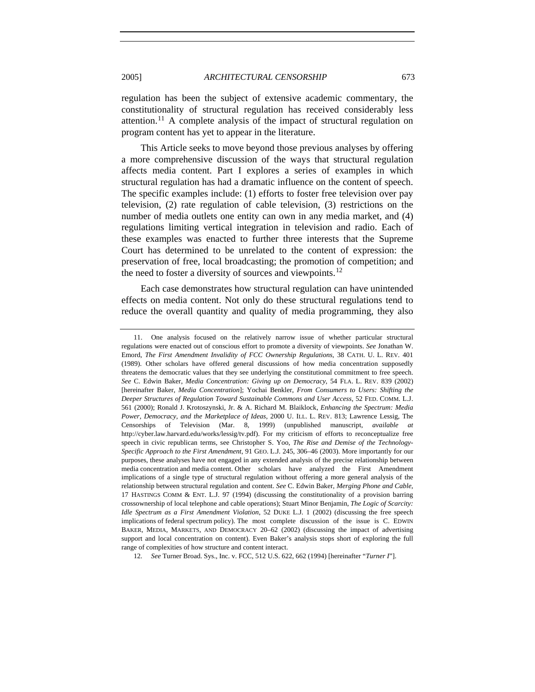regulation has been the subject of extensive academic commentary, the constitutionality of structural regulation has received considerably less attention.<sup>[11](#page-4-0)</sup> A complete analysis of the impact of structural regulation on program content has yet to appear in the literature.

This Article seeks to move beyond those previous analyses by offering a more comprehensive discussion of the ways that structural regulation affects media content. Part I explores a series of examples in which structural regulation has had a dramatic influence on the content of speech. The specific examples include: (1) efforts to foster free television over pay television, (2) rate regulation of cable television, (3) restrictions on the number of media outlets one entity can own in any media market, and (4) regulations limiting vertical integration in television and radio. Each of these examples was enacted to further three interests that the Supreme Court has determined to be unrelated to the content of expression: the preservation of free, local broadcasting; the promotion of competition; and the need to foster a diversity of sources and viewpoints.<sup>[12](#page-4-1)</sup>

Each case demonstrates how structural regulation can have unintended effects on media content. Not only do these structural regulations tend to reduce the overall quantity and quality of media programming, they also

<span id="page-4-1"></span>12*. See* Turner Broad. Sys., Inc. v. FCC, 512 U.S. 622, 662 (1994) [hereinafter "*Turner I*"].

<span id="page-4-0"></span><sup>11.</sup> One analysis focused on the relatively narrow issue of whether particular structural regulations were enacted out of conscious effort to promote a diversity of viewpoints. *See* Jonathan W. Emord, *The First Amendment Invalidity of FCC Ownership Regulations*, 38 CATH. U. L. REV. 401 (1989). Other scholars have offered general discussions of how media concentration supposedly threatens the democratic values that they see underlying the constitutional commitment to free speech. *See* C. Edwin Baker, *Media Concentration: Giving up on Democracy*, 54 FLA. L. REV. 839 (2002) [hereinafter Baker, *Media Concentration*]; Yochai Benkler, *From Consumers to Users: Shifting the Deeper Structures of Regulation Toward Sustainable Commons and User Access*, 52 FED. COMM. L.J. 561 (2000); Ronald J. Krotoszynski, Jr. & A. Richard M. Blaiklock, *Enhancing the Spectrum: Media Power, Democracy, and the Marketplace of Ideas*, 2000 U. ILL. L. REV. 813; Lawrence Lessig, The Censorships of Television (Mar. 8, 1999) (unpublished manuscript, *available at* http://cyber.law.harvard.edu/works/lessig/tv.pdf). For my criticism of efforts to reconceptualize free speech in civic republican terms, see Christopher S. Yoo, *The Rise and Demise of the Technology-Specific Approach to the First Amendment*, 91 GEO. L.J. 245, 306–46 (2003). More importantly for our purposes, these analyses have not engaged in any extended analysis of the precise relationship between media concentration and media content. Other scholars have analyzed the First Amendment implications of a single type of structural regulation without offering a more general analysis of the relationship between structural regulation and content. *See* C. Edwin Baker, *Merging Phone and Cable*, 17 HASTINGS COMM & ENT. L.J. 97 (1994) (discussing the constitutionality of a provision barring crossownership of local telephone and cable operations); Stuart Minor Benjamin, *The Logic of Scarcity: Idle Spectrum as a First Amendment Violation*, 52 DUKE L.J. 1 (2002) (discussing the free speech implications of federal spectrum policy). The most complete discussion of the issue is C. EDWIN BAKER, MEDIA, MARKETS, AND DEMOCRACY 20–62 (2002) (discussing the impact of advertising support and local concentration on content). Even Baker's analysis stops short of exploring the full range of complexities of how structure and content interact.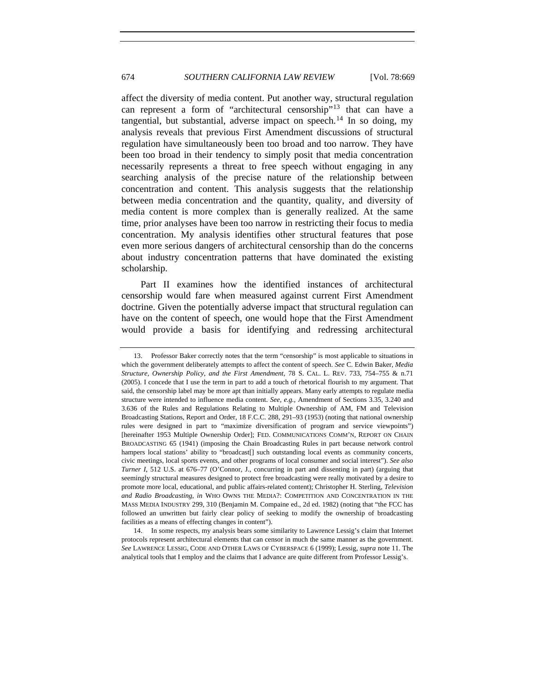# 674 *SOUTHERN CALIFORNIA LAW REVIEW* [Vol. 78:669

affect the diversity of media content. Put another way, structural regulation can represent a form of "architectural censorship"[13](#page-5-0) that can have a tangential, but substantial, adverse impact on speech.<sup>[14](#page-5-1)</sup> In so doing, my analysis reveals that previous First Amendment discussions of structural regulation have simultaneously been too broad and too narrow. They have been too broad in their tendency to simply posit that media concentration necessarily represents a threat to free speech without engaging in any searching analysis of the precise nature of the relationship between concentration and content. This analysis suggests that the relationship between media concentration and the quantity, quality, and diversity of media content is more complex than is generally realized. At the same time, prior analyses have been too narrow in restricting their focus to media concentration. My analysis identifies other structural features that pose even more serious dangers of architectural censorship than do the concerns about industry concentration patterns that have dominated the existing scholarship.

Part II examines how the identified instances of architectural censorship would fare when measured against current First Amendment doctrine. Given the potentially adverse impact that structural regulation can have on the content of speech, one would hope that the First Amendment would provide a basis for identifying and redressing architectural

<span id="page-5-0"></span><sup>13.</sup> Professor Baker correctly notes that the term "censorship" is most applicable to situations in which the government deliberately attempts to affect the content of speech. *See* C. Edwin Baker, *Media Structure, Ownership Policy, and the First Amendment*, 78 S. CAL. L. REV. 733, 754–755 & n.71 (2005). I concede that I use the term in part to add a touch of rhetorical flourish to my argument. That said, the censorship label may be more apt than initially appears. Many early attempts to regulate media structure were intended to influence media content. *See, e.g.*, Amendment of Sections 3.35, 3.240 and 3.636 of the Rules and Regulations Relating to Multiple Ownership of AM, FM and Television Broadcasting Stations, Report and Order, 18 F.C.C. 288, 291–93 (1953) (noting that national ownership rules were designed in part to "maximize diversification of program and service viewpoints") [hereinafter 1953 Multiple Ownership Order]; FED. COMMUNICATIONS COMM'N, REPORT ON CHAIN BROADCASTING 65 (1941) (imposing the Chain Broadcasting Rules in part because network control hampers local stations' ability to "broadcast[] such outstanding local events as community concerts, civic meetings, local sports events, and other programs of local consumer and social interest"). *See also Turner I*, 512 U.S. at 676–77 (O'Connor, J., concurring in part and dissenting in part) (arguing that seemingly structural measures designed to protect free broadcasting were really motivated by a desire to promote more local, educational, and public affairs-related content); Christopher H. Sterling, *Television and Radio Broadcasting*, *in* WHO OWNS THE MEDIA?: COMPETITION AND CONCENTRATION IN THE MASS MEDIA INDUSTRY 299, 310 (Benjamin M. Compaine ed., 2d ed. 1982) (noting that "the FCC has followed an unwritten but fairly clear policy of seeking to modify the ownership of broadcasting facilities as a means of effecting changes in content").

<span id="page-5-1"></span><sup>14.</sup> In some respects, my analysis bears some similarity to Lawrence Lessig's claim that Internet protocols represent architectural elements that can censor in much the same manner as the government. *See* LAWRENCE LESSIG, CODE AND OTHER LAWS OF CYBERSPACE 6 (1999); Lessig, *supra* note 11. The analytical tools that I employ and the claims that I advance are quite different from Professor Lessig's.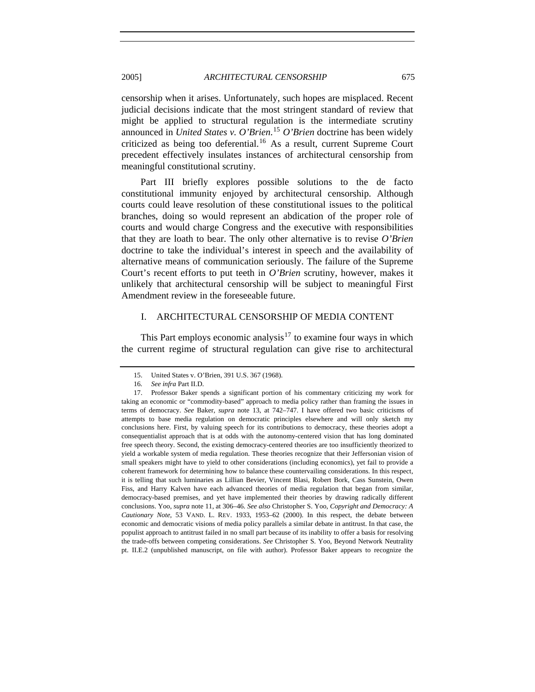censorship when it arises. Unfortunately, such hopes are misplaced. Recent judicial decisions indicate that the most stringent standard of review that might be applied to structural regulation is the intermediate scrutiny announced in *United States v. O'Brien*. [15](#page-6-1) *O'Brien* doctrine has been widely criticized as being too deferential.<sup>[16](#page-6-2)</sup> As a result, current Supreme Court precedent effectively insulates instances of architectural censorship from meaningful constitutional scrutiny.

Part III briefly explores possible solutions to the de facto constitutional immunity enjoyed by architectural censorship. Although courts could leave resolution of these constitutional issues to the political branches, doing so would represent an abdication of the proper role of courts and would charge Congress and the executive with responsibilities that they are loath to bear. The only other alternative is to revise *O'Brien* doctrine to take the individual's interest in speech and the availability of alternative means of communication seriously. The failure of the Supreme Court's recent efforts to put teeth in *O'Brien* scrutiny, however, makes it unlikely that architectural censorship will be subject to meaningful First Amendment review in the foreseeable future.

# I. ARCHITECTURAL CENSORSHIP OF MEDIA CONTENT

This Part employs economic analysis<sup>[17](#page-6-3)</sup> to examine four ways in which the current regime of structural regulation can give rise to architectural

<span id="page-6-0"></span>

<sup>15.</sup> United States v. O'Brien, 391 U.S. 367 (1968).

<sup>16</sup>*. See infra* Part II.D.

<span id="page-6-3"></span><span id="page-6-2"></span><span id="page-6-1"></span><sup>17.</sup> Professor Baker spends a significant portion of his commentary criticizing my work for taking an economic or "commodity-based" approach to media policy rather than framing the issues in terms of democracy. *See* Baker, *supra* note 13, at 742–747. I have offered two basic criticisms of attempts to base media regulation on democratic principles elsewhere and will only sketch my conclusions here. First, by valuing speech for its contributions to democracy, these theories adopt a consequentialist approach that is at odds with the autonomy-centered vision that has long dominated free speech theory. Second, the existing democracy-centered theories are too insufficiently theorized to yield a workable system of media regulation. These theories recognize that their Jeffersonian vision of small speakers might have to yield to other considerations (including economics), yet fail to provide a coherent framework for determining how to balance these countervailing considerations. In this respect, it is telling that such luminaries as Lillian Bevier, Vincent Blasi, Robert Bork, Cass Sunstein, Owen Fiss, and Harry Kalven have each advanced theories of media regulation that began from similar, democracy-based premises, and yet have implemented their theories by drawing radically different conclusions. Yoo, *supra* note 11, at 306–46. *See also* Christopher S. Yoo, *Copyright and Democracy: A Cautionary Note*, 53 VAND. L. REV. 1933, 1953–62 (2000). In this respect, the debate between economic and democratic visions of media policy parallels a similar debate in antitrust. In that case, the populist approach to antitrust failed in no small part because of its inability to offer a basis for resolving the trade-offs between competing considerations. *See* Christopher S. Yoo, Beyond Network Neutrality pt. II.E.2 (unpublished manuscript, on file with author). Professor Baker appears to recognize the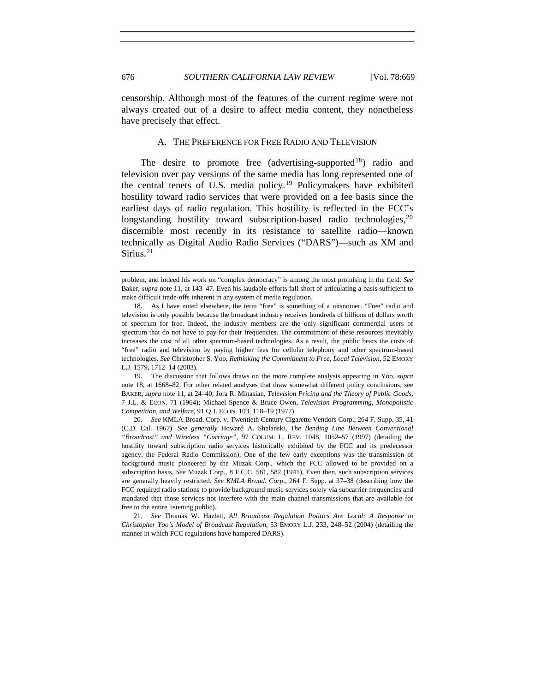censorship. Although most of the features of the current regime were not always created out of a desire to affect media content, they nonetheless have precisely that effect.

## A. THE PREFERENCE FOR FREE RADIO AND TELEVISION

The desire to promote free (advertising-supported $18$ ) radio and television over pay versions of the same media has long represented one of the central tenets of U.S. media policy.[19](#page-7-2) Policymakers have exhibited hostility toward radio services that were provided on a fee basis since the earliest days of radio regulation. This hostility is reflected in the FCC's longstanding hostility toward subscription-based radio technologies, $^{20}$  $^{20}$  $^{20}$ discernible most recently in its resistance to satellite radio—known technically as Digital Audio Radio Services ("DARS")—such as XM and Sirius. $21$ 

<span id="page-7-2"></span>19. The discussion that follows draws on the more complete analysis appearing in Yoo, *supra* note 18, at 1668–82. For other related analyses that draw somewhat different policy conclusions, see BAKER, *supra* note 11, at 24–40; Jora R. Minasian, *Television Pricing and the Theory of Public Goods*, 7 J.L. & ECON. 71 (1964); Michael Spence & Bruce Owen, *Television Programming, Monopolistic Competition, and Welfare*, 91 Q.J. ECON. 103, 118–19 (1977).

<span id="page-7-3"></span>20*. See* KMLA Broad. Corp. v. Twentieth Century Cigarette Vendors Corp., 264 F. Supp. 35, 41 (C.D. Cal. 1967). *See generally* Howard A. Shelanski, *The Bending Line Between Conventional "Broadcast" and Wireless "Carriage"*, 97 COLUM. L. REV. 1048, 1052–57 (1997) (detailing the hostility toward subscription radio services historically exhibited by the FCC and its predecessor agency, the Federal Radio Commission). One of the few early exceptions was the transmission of background music pioneered by the Muzak Corp., which the FCC allowed to be provided on a subscription basis. *See* Muzak Corp., 8 F.C.C. 581, 582 (1941). Even then, such subscription services are generally heavily restricted. *See KMLA Broad. Corp*., 264 F. Supp. at 37–38 (describing how the FCC required radio stations to provide background music services solely via subcarrier frequencies and mandated that those services not interfere with the main-channel transmissions that are available for free to the entire listening public).

<span id="page-7-4"></span>21*. See* Thomas W. Hazlett, *All Broadcast Regulation Politics Are Local: A Response to Christopher Yoo's Model of Broadcast Regulation*, 53 EMORY L.J. 233, 248–52 (2004) (detailing the manner in which FCC regulations have hampered DARS).

<span id="page-7-0"></span>

problem, and indeed his work on "complex democracy" is among the most promising in the field. *See* Baker, *supra* note 11, at 143–47. Even his laudable efforts fall short of articulating a basis sufficient to make difficult trade-offs inherent in any system of media regulation.

<span id="page-7-1"></span><sup>18.</sup> As I have noted elsewhere, the term "free" is something of a misnomer. "Free" radio and television is only possible because the broadcast industry receives hundreds of billions of dollars worth of spectrum for free. Indeed, the industry members are the only significant commercial users of spectrum that do not have to pay for their frequencies. The commitment of these resources inevitably increases the cost of all other spectrum-based technologies. As a result, the public bears the costs of "free" radio and television by paying higher fees for cellular telephony and other spectrum-based technologies. *See* Christopher S. Yoo, *Rethinking the Commitment to Free, Local Television*, 52 EMORY L.J. 1579, 1712–14 (2003).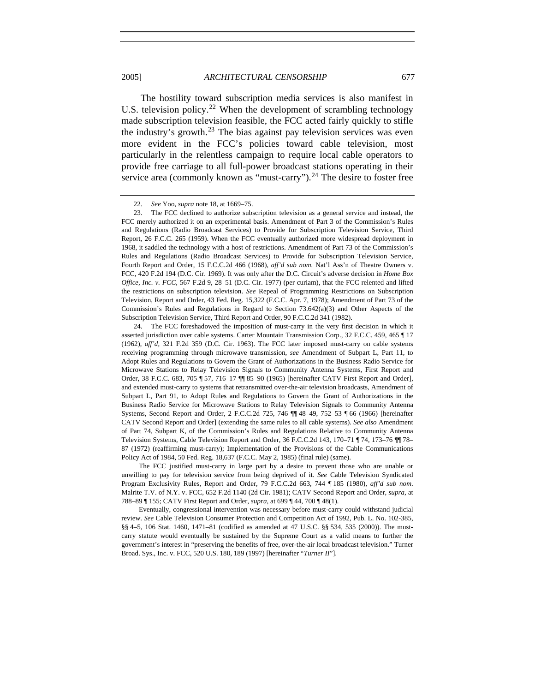The hostility toward subscription media services is also manifest in U.S. television policy.<sup>[22](#page-8-0)</sup> When the development of scrambling technology made subscription television feasible, the FCC acted fairly quickly to stifle the industry's growth.<sup>[23](#page-8-1)</sup> The bias against pay television services was even more evident in the FCC's policies toward cable television, most particularly in the relentless campaign to require local cable operators to provide free carriage to all full-power broadcast stations operating in their service area (commonly known as "must-carry").<sup>[24](#page-8-2)</sup> The desire to foster free

The FCC justified must-carry in large part by a desire to prevent those who are unable or unwilling to pay for television service from being deprived of it. *See* Cable Television Syndicated Program Exclusivity Rules, Report and Order, 79 F.C.C.2d 663, 744 ¶ 185 (1980), *aff'd sub nom*. Malrite T.V. of N.Y. v. FCC, 652 F.2d 1140 (2d Cir. 1981); CATV Second Report and Order, *supra*, at 788–89 ¶ 155; CATV First Report and Order, *supra*, at 699 ¶ 44, 700 ¶ 48(1).

Eventually, congressional intervention was necessary before must-carry could withstand judicial review. *See* Cable Television Consumer Protection and Competition Act of 1992, Pub. L. No. 102-385, §§ 4–5, 106 Stat. 1460, 1471–81 (codified as amended at 47 U.S.C. §§ 534, 535 (2000)). The mustcarry statute would eventually be sustained by the Supreme Court as a valid means to further the government's interest in "preserving the benefits of free, over-the-air local broadcast television." Turner Broad. Sys., Inc. v. FCC, 520 U.S. 180, 189 (1997) [hereinafter "*Turner II*"].

<sup>22</sup>*. See* Yoo, *supra* note 18, at 1669–75.

<span id="page-8-1"></span><span id="page-8-0"></span><sup>23.</sup> The FCC declined to authorize subscription television as a general service and instead, the FCC merely authorized it on an experimental basis. Amendment of Part 3 of the Commission's Rules and Regulations (Radio Broadcast Services) to Provide for Subscription Television Service, Third Report, 26 F.C.C. 265 (1959). When the FCC eventually authorized more widespread deployment in 1968, it saddled the technology with a host of restrictions. Amendment of Part 73 of the Commission's Rules and Regulations (Radio Broadcast Services) to Provide for Subscription Television Service, Fourth Report and Order, 15 F.C.C.2d 466 (1968), *aff'd sub nom.* Nat'l Ass'n of Theatre Owners v. FCC, 420 F.2d 194 (D.C. Cir. 1969). It was only after the D.C. Circuit's adverse decision in *Home Box Office, Inc. v. FCC*, 567 F.2d 9, 28–51 (D.C. Cir. 1977) (per curiam), that the FCC relented and lifted the restrictions on subscription television. *See* Repeal of Programming Restrictions on Subscription Television, Report and Order, 43 Fed. Reg. 15,322 (F.C.C. Apr. 7, 1978); Amendment of Part 73 of the Commission's Rules and Regulations in Regard to Section 73.642(a)(3) and Other Aspects of the Subscription Television Service, Third Report and Order, 90 F.C.C.2d 341 (1982).

<span id="page-8-2"></span><sup>24.</sup> The FCC foreshadowed the imposition of must-carry in the very first decision in which it asserted jurisdiction over cable systems. Carter Mountain Transmission Corp., 32 F.C.C. 459, 465 ¶ 17 (1962), *aff'd*, 321 F.2d 359 (D.C. Cir. 1963). The FCC later imposed must-carry on cable systems receiving programming through microwave transmission, *see* Amendment of Subpart L, Part 11, to Adopt Rules and Regulations to Govern the Grant of Authorizations in the Business Radio Service for Microwave Stations to Relay Television Signals to Community Antenna Systems, First Report and Order, 38 F.C.C. 683, 705 ¶ 57, 716–17 ¶¶ 85–90 (1965) [hereinafter CATV First Report and Order], and extended must-carry to systems that retransmitted over-the-air television broadcasts, Amendment of Subpart L, Part 91, to Adopt Rules and Regulations to Govern the Grant of Authorizations in the Business Radio Service for Microwave Stations to Relay Television Signals to Community Antenna Systems, Second Report and Order, 2 F.C.C.2d 725, 746 ¶¶ 48–49, 752–53 ¶ 66 (1966) [hereinafter CATV Second Report and Order] (extending the same rules to all cable systems). *See also* Amendment of Part 74, Subpart K, of the Commission's Rules and Regulations Relative to Community Antenna Television Systems, Cable Television Report and Order, 36 F.C.C.2d 143, 170–71 ¶ 74, 173–76 ¶¶ 78– 87 (1972) (reaffirming must-carry); Implementation of the Provisions of the Cable Communications Policy Act of 1984, 50 Fed. Reg. 18,637 (F.C.C. May 2, 1985) (final rule) (same).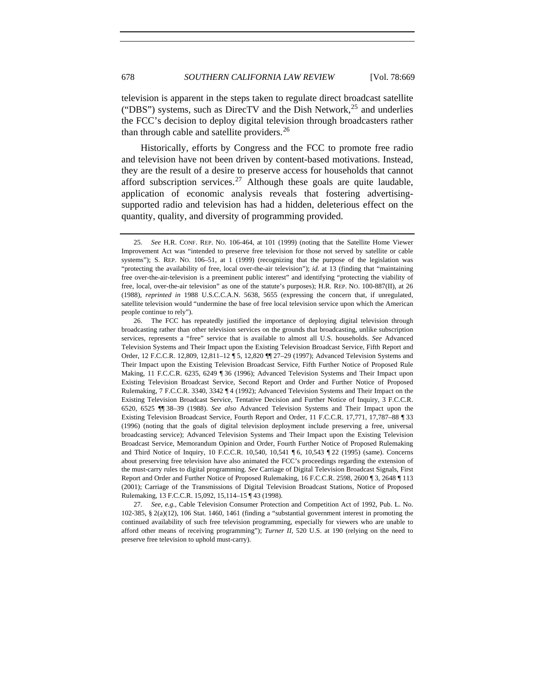television is apparent in the steps taken to regulate direct broadcast satellite ("DBS") systems, such as DirecTV and the Dish Network,  $^{25}$  $^{25}$  $^{25}$  and underlies the FCC's decision to deploy digital television through broadcasters rather than through cable and satellite providers.<sup>[26](#page-9-1)</sup>

Historically, efforts by Congress and the FCC to promote free radio and television have not been driven by content-based motivations. Instead, they are the result of a desire to preserve access for households that cannot afford subscription services.<sup>[27](#page-9-2)</sup> Although these goals are quite laudable, application of economic analysis reveals that fostering advertisingsupported radio and television has had a hidden, deleterious effect on the quantity, quality, and diversity of programming provided.

<span id="page-9-2"></span>27*. See, e.g.*, Cable Television Consumer Protection and Competition Act of 1992, Pub. L. No. 102-385, § 2(a)(12), 106 Stat. 1460, 1461 (finding a "substantial government interest in promoting the continued availability of such free television programming, especially for viewers who are unable to afford other means of receiving programming"); *Turner II*, 520 U.S. at 190 (relying on the need to preserve free television to uphold must-carry).

<span id="page-9-0"></span><sup>25</sup>*. See* H.R. CONF. REP. NO. 106-464, at 101 (1999) (noting that the Satellite Home Viewer Improvement Act was "intended to preserve free television for those not served by satellite or cable systems"); S. REP. NO. 106–51, at 1 (1999) (recognizing that the purpose of the legislation was "protecting the availability of free, local over-the-air television"); *id.* at 13 (finding that "maintaining free over-the-air-television is a preeminent public interest" and identifying "protecting the viability of free, local, over-the-air television" as one of the statute's purposes); H.R. REP. NO. 100-887(II), at 26 (1988), *reprinted in* 1988 U.S.C.C.A.N. 5638, 5655 (expressing the concern that, if unregulated, satellite television would "undermine the base of free local television service upon which the American people continue to rely").

<span id="page-9-1"></span><sup>26.</sup> The FCC has repeatedly justified the importance of deploying digital television through broadcasting rather than other television services on the grounds that broadcasting, unlike subscription services, represents a "free" service that is available to almost all U.S. households. *See* Advanced Television Systems and Their Impact upon the Existing Television Broadcast Service, Fifth Report and Order, 12 F.C.C.R. 12,809, 12,811–12 ¶ 5, 12,820 ¶¶ 27–29 (1997); Advanced Television Systems and Their Impact upon the Existing Television Broadcast Service, Fifth Further Notice of Proposed Rule Making, 11 F.C.C.R. 6235, 6249 ¶ 36 (1996); Advanced Television Systems and Their Impact upon Existing Television Broadcast Service, Second Report and Order and Further Notice of Proposed Rulemaking, 7 F.C.C.R. 3340, 3342 ¶ 4 (1992); Advanced Television Systems and Their Impact on the Existing Television Broadcast Service, Tentative Decision and Further Notice of Inquiry, 3 F.C.C.R. 6520, 6525 ¶¶ 38–39 (1988). *See also* Advanced Television Systems and Their Impact upon the Existing Television Broadcast Service, Fourth Report and Order, 11 F.C.C.R. 17,771, 17,787–88 ¶ 33 (1996) (noting that the goals of digital television deployment include preserving a free, universal broadcasting service); Advanced Television Systems and Their Impact upon the Existing Television Broadcast Service, Memorandum Opinion and Order, Fourth Further Notice of Proposed Rulemaking and Third Notice of Inquiry, 10 F.C.C.R. 10,540, 10,541 ¶ 6, 10,543 ¶ 22 (1995) (same). Concerns about preserving free television have also animated the FCC's proceedings regarding the extension of the must-carry rules to digital programming. *See* Carriage of Digital Television Broadcast Signals, First Report and Order and Further Notice of Proposed Rulemaking, 16 F.C.C.R. 2598, 2600 ¶ 3, 2648 ¶ 113 (2001); Carriage of the Transmissions of Digital Television Broadcast Stations, Notice of Proposed Rulemaking, 13 F.C.C.R. 15,092, 15,114–15 ¶ 43 (1998).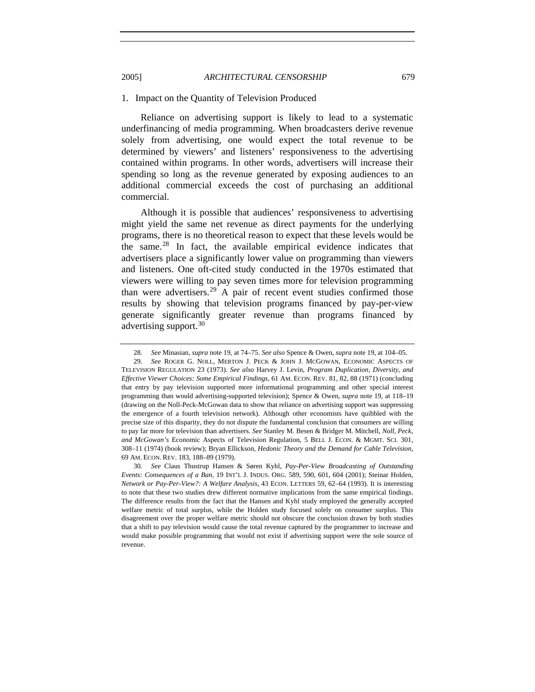#### 1. Impact on the Quantity of Television Produced

Reliance on advertising support is likely to lead to a systematic underfinancing of media programming. When broadcasters derive revenue solely from advertising, one would expect the total revenue to be determined by viewers' and listeners' responsiveness to the advertising contained within programs. In other words, advertisers will increase their spending so long as the revenue generated by exposing audiences to an additional commercial exceeds the cost of purchasing an additional commercial.

Although it is possible that audiences' responsiveness to advertising might yield the same net revenue as direct payments for the underlying programs, there is no theoretical reason to expect that these levels would be the same. $28$  In fact, the available empirical evidence indicates that advertisers place a significantly lower value on programming than viewers and listeners. One oft-cited study conducted in the 1970s estimated that viewers were willing to pay seven times more for television programming than were advertisers.<sup>[29](#page-10-2)</sup> A pair of recent event studies confirmed those results by showing that television programs financed by pay-per-view generate significantly greater revenue than programs financed by advertising support.<sup>[30](#page-10-3)</sup>

<span id="page-10-0"></span>

<span id="page-10-2"></span><span id="page-10-1"></span><sup>28</sup>*. See* Minasian, *supra* note 19, at 74–75. *See also* Spence & Owen, *supra* note 19, at 104–05. 29*. See* ROGER G. NOLL, MERTON J. PECK & JOHN J. MCGOWAN, ECONOMIC ASPECTS OF TELEVISION REGULATION 23 (1973). *See also* Harvey J. Levin, *Program Duplication, Diversity, and Effective Viewer Choices: Some Empirical Findings*, 61 AM. ECON. REV. 81, 82, 88 (1971) (concluding that entry by pay television supported more informational programming and other special interest programming than would advertising-supported television); Spence & Owen, *supra* note 19, at 118–19 (drawing on the Noll-Peck-McGowan data to show that reliance on advertising support was suppressing the emergence of a fourth television network). Although other economists have quibbled with the precise size of this disparity, they do not dispute the fundamental conclusion that consumers are willing to pay far more for television than advertisers. *See* Stanley M. Besen & Bridger M. Mitchell, *Noll, Peck, and McGowan's* Economic Aspects of Television Regulation, 5 BELL J. ECON. & MGMT. SCI. 301, 308–11 (1974) (book review); Bryan Ellickson, *Hedonic Theory and the Demand for Cable Television*, 69 AM. ECON. REV. 183, 188–89 (1979).

<span id="page-10-3"></span><sup>30</sup>*. See* Claus Thustrup Hansen & Søren Kyhl, *Pay-Per-View Broadcasting of Outstanding Events: Consequences of a Ban*, 19 INT'L J. INDUS. ORG. 589, 590, 601, 604 (2001); Steinar Holden, *Network or Pay-Per-View?: A Welfare Analysis*, 43 ECON. LETTERS 59, 62–64 (1993). It is interesting to note that these two studies drew different normative implications from the same empirical findings. The difference results from the fact that the Hansen and Kyhl study employed the generally accepted welfare metric of total surplus, while the Holden study focused solely on consumer surplus. This disagreement over the proper welfare metric should not obscure the conclusion drawn by both studies that a shift to pay television would cause the total revenue captured by the programmer to increase and would make possible programming that would not exist if advertising support were the sole source of revenue.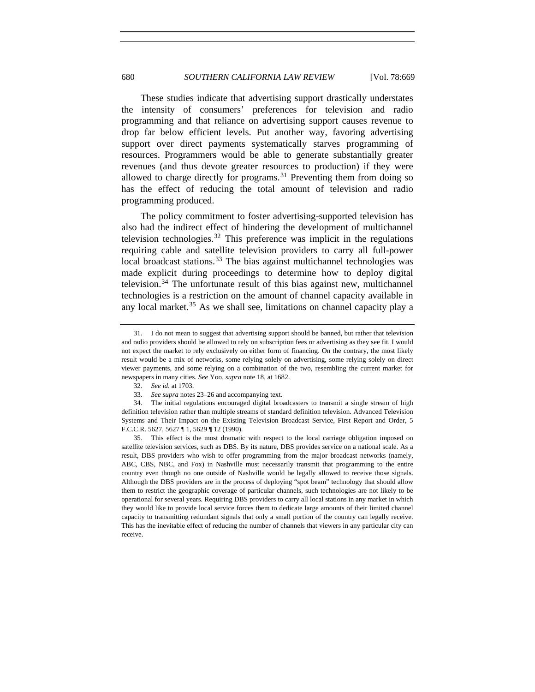These studies indicate that advertising support drastically understates the intensity of consumers' preferences for television and radio programming and that reliance on advertising support causes revenue to drop far below efficient levels. Put another way, favoring advertising support over direct payments systematically starves programming of resources. Programmers would be able to generate substantially greater revenues (and thus devote greater resources to production) if they were allowed to charge directly for programs. $31$  Preventing them from doing so has the effect of reducing the total amount of television and radio programming produced.

The policy commitment to foster advertising-supported television has also had the indirect effect of hindering the development of multichannel television technologies.<sup>[32](#page-11-1)</sup> This preference was implicit in the regulations requiring cable and satellite television providers to carry all full-power local broadcast stations. $33$  The bias against multichannel technologies was made explicit during proceedings to determine how to deploy digital television.<sup>[34](#page-11-3)</sup> The unfortunate result of this bias against new, multichannel technologies is a restriction on the amount of channel capacity available in any local market. $35$  As we shall see, limitations on channel capacity play a

<span id="page-11-0"></span><sup>31.</sup> I do not mean to suggest that advertising support should be banned, but rather that television and radio providers should be allowed to rely on subscription fees or advertising as they see fit. I would not expect the market to rely exclusively on either form of financing. On the contrary, the most likely result would be a mix of networks, some relying solely on advertising, some relying solely on direct viewer payments, and some relying on a combination of the two, resembling the current market for newspapers in many cities. *See* Yoo, *supra* note 18, at 1682.

<sup>32</sup>*. See id.* at 1703.

<sup>33</sup>*. See supra* notes 23–26 and accompanying text.

<span id="page-11-3"></span><span id="page-11-2"></span><span id="page-11-1"></span><sup>34.</sup> The initial regulations encouraged digital broadcasters to transmit a single stream of high definition television rather than multiple streams of standard definition television. Advanced Television Systems and Their Impact on the Existing Television Broadcast Service, First Report and Order, 5 F.C.C.R. 5627, 5627 ¶ 1, 5629 ¶ 12 (1990).

<span id="page-11-4"></span><sup>35.</sup> This effect is the most dramatic with respect to the local carriage obligation imposed on satellite television services, such as DBS. By its nature, DBS provides service on a national scale. As a result, DBS providers who wish to offer programming from the major broadcast networks (namely, ABC, CBS, NBC, and Fox) in Nashville must necessarily transmit that programming to the entire country even though no one outside of Nashville would be legally allowed to receive those signals. Although the DBS providers are in the process of deploying "spot beam" technology that should allow them to restrict the geographic coverage of particular channels, such technologies are not likely to be operational for several years. Requiring DBS providers to carry all local stations in any market in which they would like to provide local service forces them to dedicate large amounts of their limited channel capacity to transmitting redundant signals that only a small portion of the country can legally receive. This has the inevitable effect of reducing the number of channels that viewers in any particular city can receive.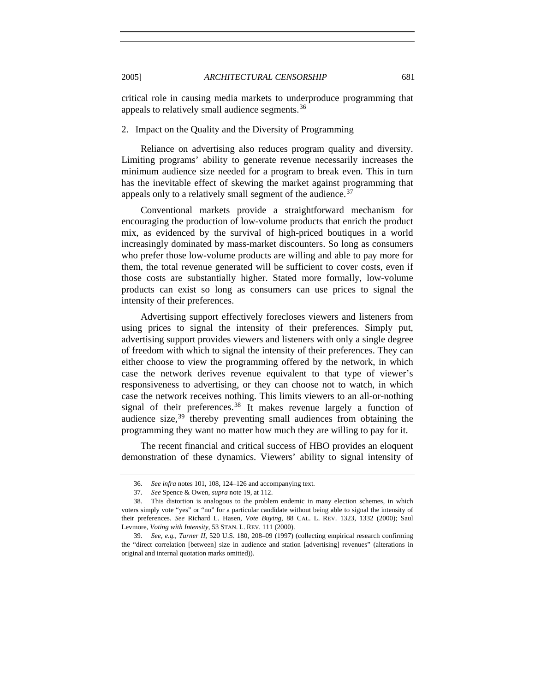critical role in causing media markets to underproduce programming that appeals to relatively small audience segments.<sup>[36](#page-12-1)</sup>

# 2. Impact on the Quality and the Diversity of Programming

Reliance on advertising also reduces program quality and diversity. Limiting programs' ability to generate revenue necessarily increases the minimum audience size needed for a program to break even. This in turn has the inevitable effect of skewing the market against programming that appeals only to a relatively small segment of the audience.<sup>[37](#page-12-2)</sup>

Conventional markets provide a straightforward mechanism for encouraging the production of low-volume products that enrich the product mix, as evidenced by the survival of high-priced boutiques in a world increasingly dominated by mass-market discounters. So long as consumers who prefer those low-volume products are willing and able to pay more for them, the total revenue generated will be sufficient to cover costs, even if those costs are substantially higher. Stated more formally, low-volume products can exist so long as consumers can use prices to signal the intensity of their preferences.

Advertising support effectively forecloses viewers and listeners from using prices to signal the intensity of their preferences. Simply put, advertising support provides viewers and listeners with only a single degree of freedom with which to signal the intensity of their preferences. They can either choose to view the programming offered by the network, in which case the network derives revenue equivalent to that type of viewer's responsiveness to advertising, or they can choose not to watch, in which case the network receives nothing. This limits viewers to an all-or-nothing signal of their preferences.<sup>[38](#page-12-3)</sup> It makes revenue largely a function of audience size,  $39$  thereby preventing small audiences from obtaining the programming they want no matter how much they are willing to pay for it.

The recent financial and critical success of HBO provides an eloquent demonstration of these dynamics. Viewers' ability to signal intensity of

<span id="page-12-0"></span>

<sup>36</sup>*. See infra* notes 101, 108, 124–126 and accompanying text.

<sup>37</sup>*. See* Spence & Owen, *supra* note 19, at 112.

<span id="page-12-3"></span><span id="page-12-2"></span><span id="page-12-1"></span><sup>38.</sup> This distortion is analogous to the problem endemic in many election schemes, in which voters simply vote "yes" or "no" for a particular candidate without being able to signal the intensity of their preferences. *See* Richard L. Hasen, *Vote Buying*, 88 CAL. L. REV. 1323, 1332 (2000); Saul Levmore, *Voting with Intensity*, 53 STAN. L. REV. 111 (2000).

<span id="page-12-4"></span><sup>39</sup>*. See, e.g.*, *Turner II*, 520 U.S. 180, 208–09 (1997) (collecting empirical research confirming the "direct correlation [between] size in audience and station [advertising] revenues" (alterations in original and internal quotation marks omitted)).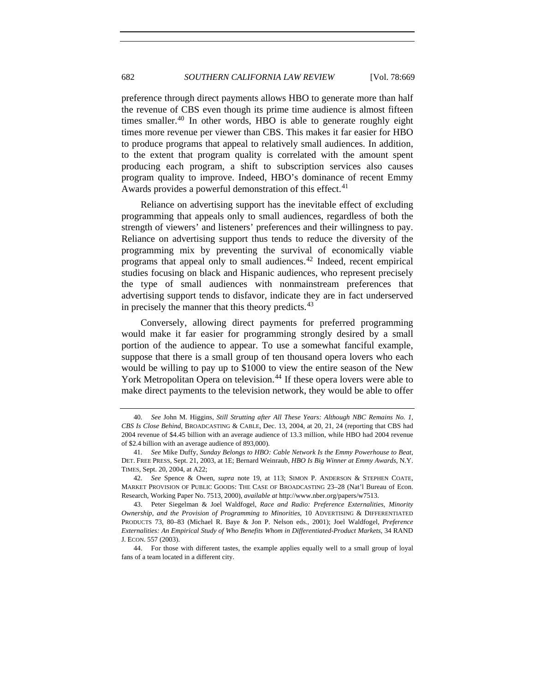preference through direct payments allows HBO to generate more than half the revenue of CBS even though its prime time audience is almost fifteen times smaller. $40$  In other words, HBO is able to generate roughly eight times more revenue per viewer than CBS. This makes it far easier for HBO to produce programs that appeal to relatively small audiences. In addition, to the extent that program quality is correlated with the amount spent producing each program, a shift to subscription services also causes program quality to improve. Indeed, HBO's dominance of recent Emmy Awards provides a powerful demonstration of this effect.<sup>[41](#page-13-1)</sup>

Reliance on advertising support has the inevitable effect of excluding programming that appeals only to small audiences, regardless of both the strength of viewers' and listeners' preferences and their willingness to pay. Reliance on advertising support thus tends to reduce the diversity of the programming mix by preventing the survival of economically viable programs that appeal only to small audiences.[42](#page-13-2) Indeed, recent empirical studies focusing on black and Hispanic audiences, who represent precisely the type of small audiences with nonmainstream preferences that advertising support tends to disfavor, indicate they are in fact underserved in precisely the manner that this theory predicts.<sup>[43](#page-13-3)</sup>

Conversely, allowing direct payments for preferred programming would make it far easier for programming strongly desired by a small portion of the audience to appear. To use a somewhat fanciful example, suppose that there is a small group of ten thousand opera lovers who each would be willing to pay up to \$1000 to view the entire season of the New York Metropolitan Opera on television.<sup>[44](#page-13-4)</sup> If these opera lovers were able to make direct payments to the television network, they would be able to offer

<span id="page-13-0"></span><sup>40</sup>*. See* John M. Higgins, *Still Strutting after All These Years: Although NBC Remains No. 1, CBS Is Close Behind*, BROADCASTING & CABLE, Dec. 13, 2004, at 20, 21, 24 (reporting that CBS had 2004 revenue of \$4.45 billion with an average audience of 13.3 million, while HBO had 2004 revenue of \$2.4 billion with an average audience of 893,000).

<span id="page-13-1"></span><sup>41</sup>*. See* Mike Duffy, *Sunday Belongs to HBO: Cable Network Is the Emmy Powerhouse to Beat*, DET. FREE PRESS, Sept. 21, 2003, at 1E; Bernard Weinraub, *HBO Is Big Winner at Emmy Awards*, N.Y. TIMES, Sept. 20, 2004, at A22;

<span id="page-13-2"></span><sup>42</sup>*. See* Spence & Owen, *supra* note 19, at 113; SIMON P. ANDERSON & STEPHEN COATE, MARKET PROVISION OF PUBLIC GOODS: THE CASE OF BROADCASTING 23–28 (Nat'l Bureau of Econ. Research, Working Paper No. 7513, 2000), *available at* http://www.nber.org/papers/w7513.

<span id="page-13-3"></span><sup>43.</sup> Peter Siegelman & Joel Waldfogel, *Race and Radio: Preference Externalities, Minority Ownership, and the Provision of Programming to Minorities*, 10 ADVERTISING & DIFFERENTIATED PRODUCTS 73, 80–83 (Michael R. Baye & Jon P. Nelson eds., 2001); Joel Waldfogel, *Preference Externalities: An Empirical Study of Who Benefits Whom in Differentiated-Product Markets*, 34 RAND J. ECON. 557 (2003).

<span id="page-13-4"></span><sup>44.</sup> For those with different tastes, the example applies equally well to a small group of loyal fans of a team located in a different city.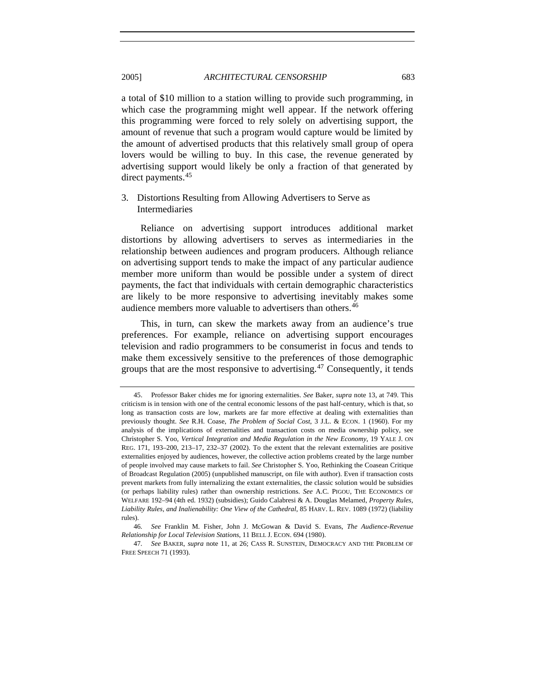a total of \$10 million to a station willing to provide such programming, in which case the programming might well appear. If the network offering this programming were forced to rely solely on advertising support, the amount of revenue that such a program would capture would be limited by the amount of advertised products that this relatively small group of opera lovers would be willing to buy. In this case, the revenue generated by advertising support would likely be only a fraction of that generated by direct payments.<sup>[45](#page-14-1)</sup>

# 3. Distortions Resulting from Allowing Advertisers to Serve as Intermediaries

Reliance on advertising support introduces additional market distortions by allowing advertisers to serves as intermediaries in the relationship between audiences and program producers. Although reliance on advertising support tends to make the impact of any particular audience member more uniform than would be possible under a system of direct payments, the fact that individuals with certain demographic characteristics are likely to be more responsive to advertising inevitably makes some audience members more valuable to advertisers than others.<sup>[46](#page-14-2)</sup>

This, in turn, can skew the markets away from an audience's true preferences. For example, reliance on advertising support encourages television and radio programmers to be consumerist in focus and tends to make them excessively sensitive to the preferences of those demographic groups that are the most responsive to advertising.<sup>[47](#page-14-3)</sup> Consequently, it tends

<span id="page-14-0"></span>

<span id="page-14-1"></span><sup>45.</sup> Professor Baker chides me for ignoring externalities. *See* Baker, *supra* note 13, at 749. This criticism is in tension with one of the central economic lessons of the past half-century, which is that, so long as transaction costs are low, markets are far more effective at dealing with externalities than previously thought. *See* R.H. Coase, *The Problem of Social Cost*, 3 J.L. & ECON. 1 (1960). For my analysis of the implications of externalities and transaction costs on media ownership policy, see Christopher S. Yoo, *Vertical Integration and Media Regulation in the New Economy*, 19 YALE J. ON REG. 171, 193–200, 213–17, 232–37 (2002). To the extent that the relevant externalities are positive externalities enjoyed by audiences, however, the collective action problems created by the large number of people involved may cause markets to fail. *See* Christopher S. Yoo, Rethinking the Coasean Critique of Broadcast Regulation (2005) (unpublished manuscript, on file with author). Even if transaction costs prevent markets from fully internalizing the extant externalities, the classic solution would be subsidies (or perhaps liability rules) rather than ownership restrictions. *See* A.C. PIGOU, THE ECONOMICS OF WELFARE 192–94 (4th ed. 1932) (subsidies); Guido Calabresi & A. Douglas Melamed, *Property Rules, Liability Rules, and Inalienability: One View of the Cathedral*, 85 HARV. L. REV. 1089 (1972) (liability rules).

<span id="page-14-2"></span><sup>46</sup>*. See* Franklin M. Fisher, John J. McGowan & David S. Evans, *The Audience-Revenue Relationship for Local Television Stations*, 11 BELL J. ECON. 694 (1980).

<span id="page-14-3"></span><sup>47</sup>*. See* BAKER, *supra* note 11, at 26; CASS R. SUNSTEIN, DEMOCRACY AND THE PROBLEM OF FREE SPEECH 71 (1993).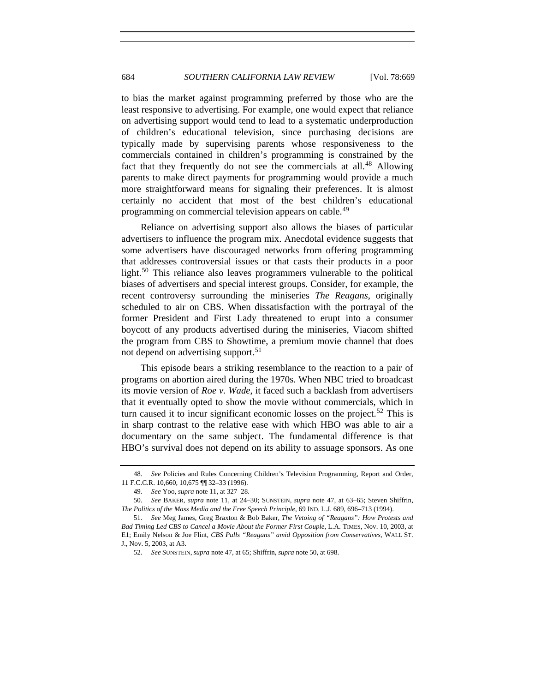to bias the market against programming preferred by those who are the least responsive to advertising. For example, one would expect that reliance on advertising support would tend to lead to a systematic underproduction of children's educational television, since purchasing decisions are typically made by supervising parents whose responsiveness to the commercials contained in children's programming is constrained by the fact that they frequently do not see the commercials at all.<sup>[48](#page-15-0)</sup> Allowing parents to make direct payments for programming would provide a much more straightforward means for signaling their preferences. It is almost certainly no accident that most of the best children's educational programming on commercial television appears on cable.<sup>[49](#page-15-1)</sup>

Reliance on advertising support also allows the biases of particular advertisers to influence the program mix. Anecdotal evidence suggests that some advertisers have discouraged networks from offering programming that addresses controversial issues or that casts their products in a poor light.<sup>[50](#page-15-2)</sup> This reliance also leaves programmers vulnerable to the political biases of advertisers and special interest groups. Consider, for example, the recent controversy surrounding the miniseries *The Reagans*, originally scheduled to air on CBS. When dissatisfaction with the portrayal of the former President and First Lady threatened to erupt into a consumer boycott of any products advertised during the miniseries, Viacom shifted the program from CBS to Showtime, a premium movie channel that does not depend on advertising support.<sup>[51](#page-15-3)</sup>

This episode bears a striking resemblance to the reaction to a pair of programs on abortion aired during the 1970s. When NBC tried to broadcast its movie version of *Roe v. Wade*, it faced such a backlash from advertisers that it eventually opted to show the movie without commercials, which in turn caused it to incur significant economic losses on the project.<sup>[52](#page-15-4)</sup> This is in sharp contrast to the relative ease with which HBO was able to air a documentary on the same subject. The fundamental difference is that HBO's survival does not depend on its ability to assuage sponsors. As one

<span id="page-15-0"></span><sup>48</sup>*. See* Policies and Rules Concerning Children's Television Programming, Report and Order, 11 F.C.C.R. 10,660, 10,675 ¶¶ 32–33 (1996).

<sup>49</sup>*. See* Yoo, *supra* note 11, at 327–28.

<span id="page-15-2"></span><span id="page-15-1"></span><sup>50</sup>*. See* BAKER, *supra* note 11, at 24–30; SUNSTEIN, *supra* note 47, at 63–65; Steven Shiffrin, *The Politics of the Mass Media and the Free Speech Principle*, 69 IND. L.J. 689, 696–713 (1994).

<span id="page-15-4"></span><span id="page-15-3"></span><sup>51</sup>*. See* Meg James, Greg Braxton & Bob Baker, *The Vetoing of "Reagans": How Protests and Bad Timing Led CBS to Cancel a Movie About the Former First Couple*, L.A. TIMES, Nov. 10, 2003, at E1; Emily Nelson & Joe Flint, *CBS Pulls "Reagans" amid Opposition from Conservatives*, WALL ST. J., Nov. 5, 2003, at A3.

<sup>52</sup>*. See* SUNSTEIN, *supra* note 47, at 65; Shiffrin, *supra* note 50, at 698.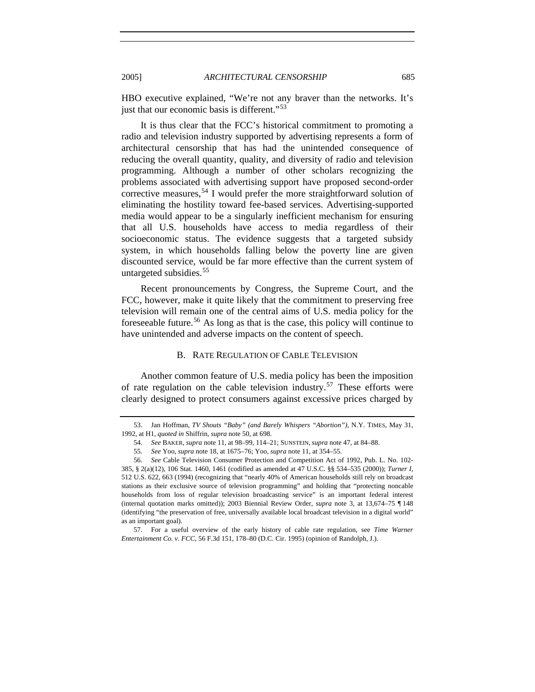HBO executive explained, "We're not any braver than the networks. It's just that our economic basis is different."<sup>[53](#page-16-1)</sup>

It is thus clear that the FCC's historical commitment to promoting a radio and television industry supported by advertising represents a form of architectural censorship that has had the unintended consequence of reducing the overall quantity, quality, and diversity of radio and television programming. Although a number of other scholars recognizing the problems associated with advertising support have proposed second-order corrective measures,  $54$  I would prefer the more straightforward solution of eliminating the hostility toward fee-based services. Advertising-supported media would appear to be a singularly inefficient mechanism for ensuring that all U.S. households have access to media regardless of their socioeconomic status. The evidence suggests that a targeted subsidy system, in which households falling below the poverty line are given discounted service, would be far more effective than the current system of untargeted subsidies.<sup>[55](#page-16-3)</sup>

Recent pronouncements by Congress, the Supreme Court, and the FCC, however, make it quite likely that the commitment to preserving free television will remain one of the central aims of U.S. media policy for the foreseeable future.[56](#page-16-4) As long as that is the case, this policy will continue to have unintended and adverse impacts on the content of speech.

## B. RATE REGULATION OF CABLE TELEVISION

Another common feature of U.S. media policy has been the imposition of rate regulation on the cable television industry.<sup>[57](#page-16-5)</sup> These efforts were clearly designed to protect consumers against excessive prices charged by

<span id="page-16-0"></span>

<span id="page-16-2"></span><span id="page-16-1"></span><sup>53.</sup> Jan Hoffman, *TV Shouts "Baby" (and Barely Whispers "Abortion")*, N.Y. TIMES, May 31, 1992, at H1, *quoted in* Shiffrin, *supra* note 50, at 698.

<sup>54</sup>*. See* BAKER, *supra* note 11, at 98–99, 114–21; SUNSTEIN, *supra* note 47, at 84–88.

<sup>55</sup>*. See* Yoo, *supra* note 18, at 1675–76; Yoo, *supra* note 11, at 354–55.

<span id="page-16-4"></span><span id="page-16-3"></span><sup>56</sup>*. See* Cable Television Consumer Protection and Competition Act of 1992, Pub. L. No. 102- 385, § 2(a)(12), 106 Stat. 1460, 1461 (codified as amended at 47 U.S.C. §§ 534–535 (2000)); *Turner I*, 512 U.S. 622, 663 (1994) (recognizing that "nearly 40% of American households still rely on broadcast stations as their exclusive source of television programming" and holding that "protecting noncable households from loss of regular television broadcasting service" is an important federal interest (internal quotation marks omitted)); 2003 Biennial Review Order, *supra* note 3, at 13,674–75 ¶ 148 (identifying "the preservation of free, universally available local broadcast television in a digital world" as an important goal).

<span id="page-16-5"></span><sup>57.</sup> For a useful overview of the early history of cable rate regulation, see *Time Warner Entertainment Co. v. FCC*, 56 F.3d 151, 178–80 (D.C. Cir. 1995) (opinion of Randolph, J.).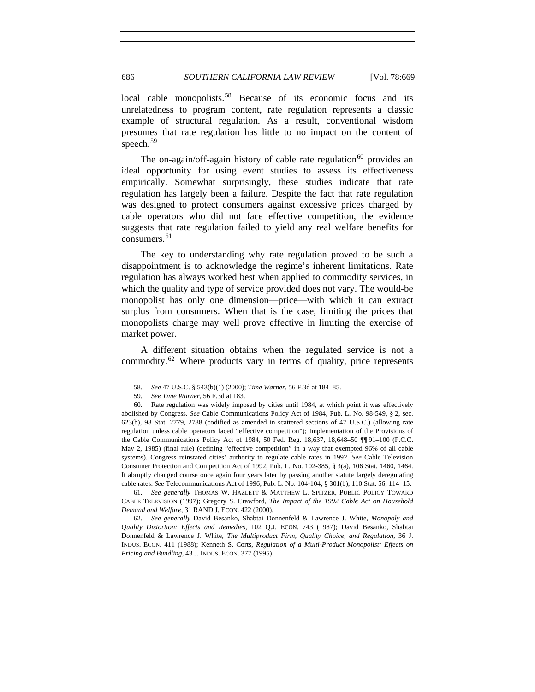686 *SOUTHERN CALIFORNIA LAW REVIEW* [Vol. 78:669

local cable monopolists.<sup>[58](#page-17-0)</sup> Because of its economic focus and its unrelatedness to program content, rate regulation represents a classic example of structural regulation. As a result, conventional wisdom presumes that rate regulation has little to no impact on the content of speech.<sup>[59](#page-17-1)</sup>

The on-again/off-again history of cable rate regulation<sup>[60](#page-17-2)</sup> provides an ideal opportunity for using event studies to assess its effectiveness empirically. Somewhat surprisingly, these studies indicate that rate regulation has largely been a failure. Despite the fact that rate regulation was designed to protect consumers against excessive prices charged by cable operators who did not face effective competition, the evidence suggests that rate regulation failed to yield any real welfare benefits for consumers. $61$ 

The key to understanding why rate regulation proved to be such a disappointment is to acknowledge the regime's inherent limitations. Rate regulation has always worked best when applied to commodity services, in which the quality and type of service provided does not vary. The would-be monopolist has only one dimension—price—with which it can extract surplus from consumers. When that is the case, limiting the prices that monopolists charge may well prove effective in limiting the exercise of market power.

A different situation obtains when the regulated service is not a commodity.<sup>[62](#page-17-4)</sup> Where products vary in terms of quality, price represents

<span id="page-17-3"></span>61*. See generally* THOMAS W. HAZLETT & MATTHEW L. SPITZER, PUBLIC POLICY TOWARD CABLE TELEVISION (1997); Gregory S. Crawford, *The Impact of the 1992 Cable Act on Household Demand and Welfare*, 31 RAND J. ECON. 422 (2000).

<span id="page-17-4"></span>62*. See generally* David Besanko, Shabtai Donnenfeld & Lawrence J. White, *Monopoly and Quality Distortion: Effects and Remedies*, 102 Q.J. ECON. 743 (1987); David Besanko, Shabtai Donnenfeld & Lawrence J. White, *The Multiproduct Firm, Quality Choice, and Regulation*, 36 J. INDUS. ECON. 411 (1988); Kenneth S. Corts, *Regulation of a Multi-Product Monopolist: Effects on Pricing and Bundling*, 43 J. INDUS. ECON. 377 (1995).

<sup>58</sup>*. See* 47 U.S.C. § 543(b)(1) (2000); *Time Warner*, 56 F.3d at 184–85.

<sup>59</sup>*. See Time Warner*, 56 F.3d at 183.

<span id="page-17-2"></span><span id="page-17-1"></span><span id="page-17-0"></span><sup>60.</sup> Rate regulation was widely imposed by cities until 1984, at which point it was effectively abolished by Congress. *See* Cable Communications Policy Act of 1984, Pub. L. No. 98-549, § 2, sec. 623(b), 98 Stat. 2779, 2788 (codified as amended in scattered sections of 47 U.S.C.) (allowing rate regulation unless cable operators faced "effective competition"); Implementation of the Provisions of the Cable Communications Policy Act of 1984, 50 Fed. Reg. 18,637, 18,648–50 ¶¶ 91–100 (F.C.C. May 2, 1985) (final rule) (defining "effective competition" in a way that exempted 96% of all cable systems). Congress reinstated cities' authority to regulate cable rates in 1992. *See* Cable Television Consumer Protection and Competition Act of 1992, Pub. L. No. 102-385, § 3(a), 106 Stat. 1460, 1464. It abruptly changed course once again four years later by passing another statute largely deregulating cable rates. *See* Telecommunications Act of 1996, Pub. L. No. 104-104, § 301(b), 110 Stat. 56, 114–15.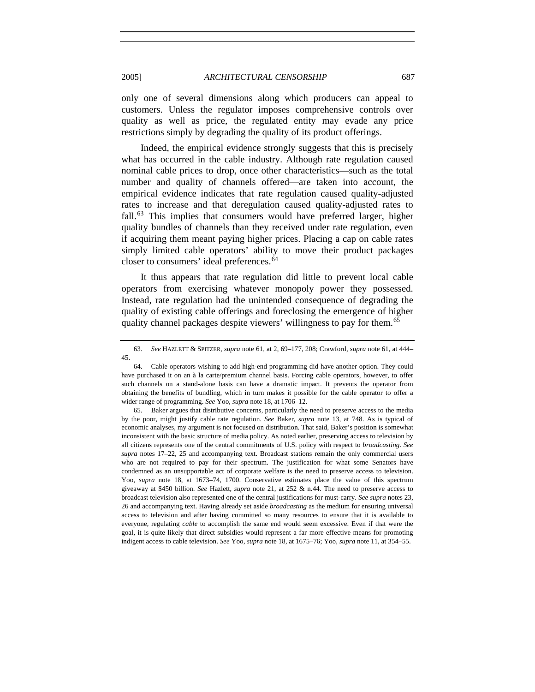2005] *ARCHITECTURAL CENSORSHIP* 687

only one of several dimensions along which producers can appeal to customers. Unless the regulator imposes comprehensive controls over quality as well as price, the regulated entity may evade any price restrictions simply by degrading the quality of its product offerings.

Indeed, the empirical evidence strongly suggests that this is precisely what has occurred in the cable industry. Although rate regulation caused nominal cable prices to drop, once other characteristics—such as the total number and quality of channels offered—are taken into account, the empirical evidence indicates that rate regulation caused quality-adjusted rates to increase and that deregulation caused quality-adjusted rates to fall.<sup>[63](#page-18-0)</sup> This implies that consumers would have preferred larger, higher quality bundles of channels than they received under rate regulation, even if acquiring them meant paying higher prices. Placing a cap on cable rates simply limited cable operators' ability to move their product packages closer to consumers' ideal preferences.<sup>[64](#page-18-1)</sup>

It thus appears that rate regulation did little to prevent local cable operators from exercising whatever monopoly power they possessed. Instead, rate regulation had the unintended consequence of degrading the quality of existing cable offerings and foreclosing the emergence of higher quality channel packages despite viewers' willingness to pay for them.<sup>[65](#page-18-2)</sup>

<span id="page-18-2"></span>65. Baker argues that distributive concerns, particularly the need to preserve access to the media by the poor, might justify cable rate regulation. *See* Baker, *supra* note 13, at 748. As is typical of economic analyses, my argument is not focused on distribution. That said, Baker's position is somewhat inconsistent with the basic structure of media policy. As noted earlier, preserving access to television by all citizens represents one of the central commitments of U.S. policy with respect to *broadcasting*. *See supra* notes 17–22, 25 and accompanying text. Broadcast stations remain the only commercial users who are not required to pay for their spectrum. The justification for what some Senators have condemned as an unsupportable act of corporate welfare is the need to preserve access to television. Yoo, *supra* note 18, at 1673–74, 1700. Conservative estimates place the value of this spectrum giveaway at \$450 billion. *See* Hazlett, *supra* note 21, at 252 & n.44. The need to preserve access to broadcast television also represented one of the central justifications for must-carry. *See supra* notes 23, 26 and accompanying text. Having already set aside *broadcasting* as the medium for ensuring universal access to television and after having committed so many resources to ensure that it is available to everyone, regulating *cable* to accomplish the same end would seem excessive. Even if that were the goal, it is quite likely that direct subsidies would represent a far more effective means for promoting indigent access to cable television. *See* Yoo, *supra* note 18, at 1675–76; Yoo, *supra* note 11, at 354–55.

<span id="page-18-0"></span><sup>63</sup>*. See* HAZLETT & SPITZER, *supra* note 61, at 2, 69–177, 208; Crawford, *supra* note 61, at 444– 45.

<span id="page-18-1"></span><sup>64.</sup> Cable operators wishing to add high-end programming did have another option. They could have purchased it on an à la carte/premium channel basis. Forcing cable operators, however, to offer such channels on a stand-alone basis can have a dramatic impact. It prevents the operator from obtaining the benefits of bundling, which in turn makes it possible for the cable operator to offer a wider range of programming. *See* Yoo, *supra* note 18, at 1706–12.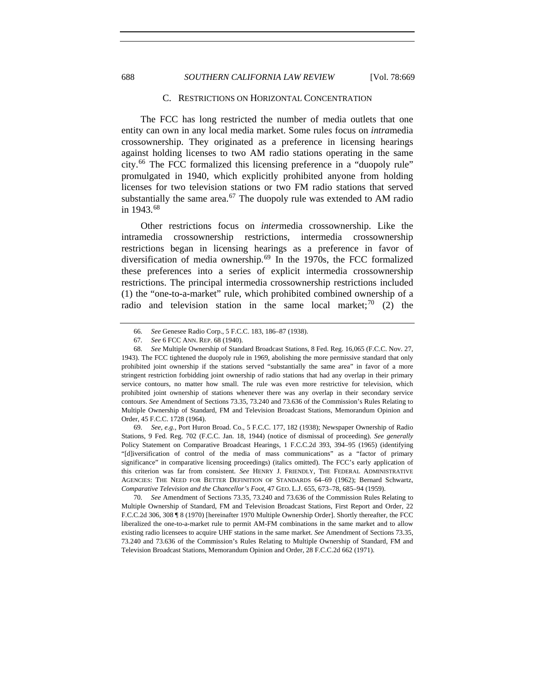<span id="page-19-0"></span>688 *SOUTHERN CALIFORNIA LAW REVIEW* [Vol. 78:669

#### C. RESTRICTIONS ON HORIZONTAL CONCENTRATION

The FCC has long restricted the number of media outlets that one entity can own in any local media market. Some rules focus on *intra*media crossownership. They originated as a preference in licensing hearings against holding licenses to two AM radio stations operating in the same city.[66](#page-19-1) The FCC formalized this licensing preference in a "duopoly rule" promulgated in 1940, which explicitly prohibited anyone from holding licenses for two television stations or two FM radio stations that served substantially the same area. $67$  The duopoly rule was extended to AM radio in 1943.[68](#page-19-3)

Other restrictions focus on *inter*media crossownership. Like the intramedia crossownership restrictions, intermedia crossownership restrictions began in licensing hearings as a preference in favor of diversification of media ownership.[69](#page-19-4) In the 1970s, the FCC formalized these preferences into a series of explicit intermedia crossownership restrictions. The principal intermedia crossownership restrictions included (1) the "one-to-a-market" rule, which prohibited combined ownership of a radio and television station in the same local market;<sup>[70](#page-19-5)</sup> (2) the

<span id="page-19-4"></span>69*. See, e.g.*, Port Huron Broad. Co., 5 F.C.C. 177, 182 (1938); Newspaper Ownership of Radio Stations, 9 Fed. Reg. 702 (F.C.C. Jan. 18, 1944) (notice of dismissal of proceeding). *See generally* Policy Statement on Comparative Broadcast Hearings, 1 F.C.C.2d 393, 394–95 (1965) (identifying "[d]iversification of control of the media of mass communications" as a "factor of primary significance" in comparative licensing proceedings) (italics omitted). The FCC's early application of this criterion was far from consistent. *See* HENRY J. FRIENDLY, THE FEDERAL ADMINISTRATIVE AGENCIES: THE NEED FOR BETTER DEFINITION OF STANDARDS 64–69 (1962); Bernard Schwartz, *Comparative Television and the Chancellor's Foot*, 47 GEO. L.J. 655, 673–78, 685–94 (1959).

<span id="page-19-5"></span>70*. See* Amendment of Sections 73.35, 73.240 and 73.636 of the Commission Rules Relating to Multiple Ownership of Standard, FM and Television Broadcast Stations, First Report and Order, 22 F.C.C.2d 306, 308 ¶ 8 (1970) [hereinafter 1970 Multiple Ownership Order]. Shortly thereafter, the FCC liberalized the one-to-a-market rule to permit AM-FM combinations in the same market and to allow existing radio licensees to acquire UHF stations in the same market. *See* Amendment of Sections 73.35, 73.240 and 73.636 of the Commission's Rules Relating to Multiple Ownership of Standard, FM and Television Broadcast Stations, Memorandum Opinion and Order, 28 F.C.C.2d 662 (1971).

<sup>66</sup>*. See* Genesee Radio Corp., 5 F.C.C. 183, 186–87 (1938).

<sup>67</sup>*. See* 6 FCC ANN. REP. 68 (1940).

<span id="page-19-3"></span><span id="page-19-2"></span><span id="page-19-1"></span><sup>68</sup>*. See* Multiple Ownership of Standard Broadcast Stations, 8 Fed. Reg. 16,065 (F.C.C. Nov. 27, 1943). The FCC tightened the duopoly rule in 1969, abolishing the more permissive standard that only prohibited joint ownership if the stations served "substantially the same area" in favor of a more stringent restriction forbidding joint ownership of radio stations that had any overlap in their primary service contours, no matter how small. The rule was even more restrictive for television, which prohibited joint ownership of stations whenever there was any overlap in their secondary service contours. *See* Amendment of Sections 73.35, 73.240 and 73.636 of the Commission's Rules Relating to Multiple Ownership of Standard, FM and Television Broadcast Stations, Memorandum Opinion and Order, 45 F.C.C. 1728 (1964).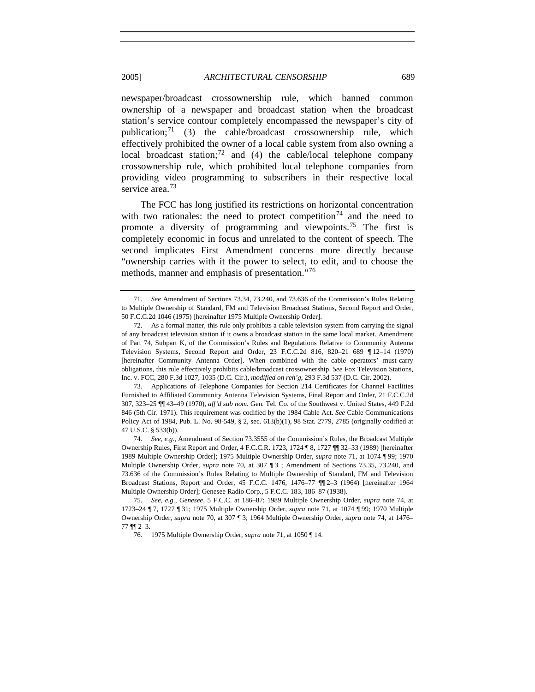newspaper/broadcast crossownership rule, which banned common ownership of a newspaper and broadcast station when the broadcast station's service contour completely encompassed the newspaper's city of publication; $^{71}$  $^{71}$  $^{71}$  (3) the cable/broadcast crossownership rule, which effectively prohibited the owner of a local cable system from also owning a local broadcast station;<sup>[72](#page-20-1)</sup> and (4) the cable/local telephone company crossownership rule, which prohibited local telephone companies from providing video programming to subscribers in their respective local service area.<sup>[73](#page-20-2)</sup>

The FCC has long justified its restrictions on horizontal concentration with two rationales: the need to protect competition<sup>[74](#page-20-3)</sup> and the need to promote a diversity of programming and viewpoints.<sup>[75](#page-20-4)</sup> The first is completely economic in focus and unrelated to the content of speech. The second implicates First Amendment concerns more directly because "ownership carries with it the power to select, to edit, and to choose the methods, manner and emphasis of presentation."[76](#page-20-5)

<span id="page-20-0"></span><sup>71</sup>*. See* Amendment of Sections 73.34, 73.240, and 73.636 of the Commission's Rules Relating to Multiple Ownership of Standard, FM and Television Broadcast Stations, Second Report and Order, 50 F.C.C.2d 1046 (1975) [hereinafter 1975 Multiple Ownership Order].

<span id="page-20-1"></span><sup>72.</sup> As a formal matter, this rule only prohibits a cable television system from carrying the signal of any broadcast television station if it owns a broadcast station in the same local market. Amendment of Part 74, Subpart K, of the Commission's Rules and Regulations Relative to Community Antenna Television Systems, Second Report and Order, 23 F.C.C.2d 816, 820–21 689 ¶ 12–14 (1970) [hereinafter Community Antenna Order]. When combined with the cable operators' must-carry obligations, this rule effectively prohibits cable/broadcast crossownership. *See* Fox Television Stations, Inc. v. FCC, 280 F.3d 1027, 1035 (D.C. Cir.), *modified on reh'g*, 293 F.3d 537 (D.C. Cir. 2002).

<span id="page-20-2"></span><sup>73.</sup> Applications of Telephone Companies for Section 214 Certificates for Channel Facilities Furnished to Affiliated Community Antenna Television Systems, Final Report and Order, 21 F.C.C.2d 307, 323–25 ¶¶ 43–49 (1970), *aff'd sub nom.* Gen. Tel. Co. of the Southwest v. United States, 449 F.2d 846 (5th Cir. 1971). This requirement was codified by the 1984 Cable Act. *See* Cable Communications Policy Act of 1984, Pub. L. No. 98-549, § 2, sec. 613(b)(1), 98 Stat. 2779, 2785 (originally codified at 47 U.S.C. § 533(b)).

<span id="page-20-3"></span><sup>74</sup>*. See, e.g.*, Amendment of Section 73.3555 of the Commission's Rules, the Broadcast Multiple Ownership Rules, First Report and Order, 4 F.C.C.R. 1723, 1724 ¶ 8, 1727 ¶¶ 32–33 (1989) [hereinafter 1989 Multiple Ownership Order]; 1975 Multiple Ownership Order, *supra* note 71, at 1074 ¶ 99; 1970 Multiple Ownership Order, *supra* note 70, at 307 ¶ 3 ; Amendment of Sections 73.35, 73.240, and 73.636 of the Commission's Rules Relating to Multiple Ownership of Standard, FM and Television Broadcast Stations, Report and Order, 45 F.C.C. 1476, 1476–77 ¶¶ 2–3 (1964) [hereinafter 1964 Multiple Ownership Order]; Genesee Radio Corp., 5 F.C.C. 183, 186–87 (1938).

<span id="page-20-5"></span><span id="page-20-4"></span><sup>75</sup>*. See, e.g.*, *Genesee*, 5 F.C.C. at 186–87; 1989 Multiple Ownership Order, *supra* note 74, at 1723–24 ¶ 7, 1727 ¶ 31; 1975 Multiple Ownership Order, *supra* note 71, at 1074 ¶ 99; 1970 Multiple Ownership Order, *supra* note 70, at 307 ¶ 3; 1964 Multiple Ownership Order, *supra* note 74, at 1476–  $77$  ¶¶  $2-3$ .

<sup>76. 1975</sup> Multiple Ownership Order, *supra* note 71, at 1050 ¶ 14.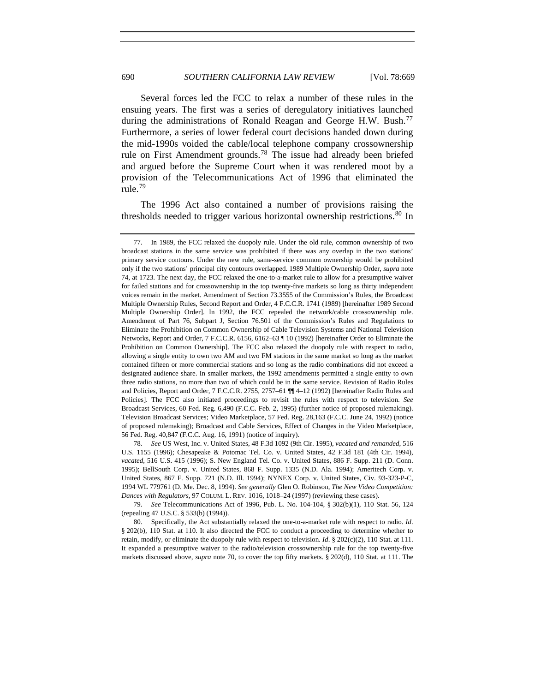Several forces led the FCC to relax a number of these rules in the ensuing years. The first was a series of deregulatory initiatives launched during the administrations of Ronald Reagan and George H.W. Bush.<sup>[77](#page-21-0)</sup> Furthermore, a series of lower federal court decisions handed down during the mid-1990s voided the cable/local telephone company crossownership rule on First Amendment grounds.[78](#page-21-1) The issue had already been briefed and argued before the Supreme Court when it was rendered moot by a provision of the Telecommunications Act of 1996 that eliminated the rule.[79](#page-21-2)

The 1996 Act also contained a number of provisions raising the thresholds needed to trigger various horizontal ownership restrictions.<sup>[80](#page-21-3)</sup> In

<span id="page-21-1"></span>78*. See* US West, Inc. v. United States, 48 F.3d 1092 (9th Cir. 1995), *vacated and remanded*, 516 U.S. 1155 (1996); Chesapeake & Potomac Tel. Co. v. United States, 42 F.3d 181 (4th Cir. 1994), *vacated*, 516 U.S. 415 (1996); S. New England Tel. Co. v. United States, 886 F. Supp. 211 (D. Conn. 1995); BellSouth Corp. v. United States, 868 F. Supp. 1335 (N.D. Ala. 1994); Ameritech Corp. v. United States, 867 F. Supp. 721 (N.D. Ill. 1994); NYNEX Corp. v. United States, Civ. 93-323-P-C, 1994 WL 779761 (D. Me. Dec. 8, 1994). *See generally* Glen O. Robinson, *The New Video Competition: Dances with Regulators*, 97 COLUM. L. REV. 1016, 1018–24 (1997) (reviewing these cases).

<span id="page-21-2"></span>79*. See* Telecommunications Act of 1996, Pub. L. No. 104-104, § 302(b)(1), 110 Stat. 56, 124 (repealing 47 U.S.C. § 533(b) (1994)).

<span id="page-21-3"></span>80. Specifically, the Act substantially relaxed the one-to-a-market rule with respect to radio. *Id*. § 202(b), 110 Stat. at 110. It also directed the FCC to conduct a proceeding to determine whether to retain, modify, or eliminate the duopoly rule with respect to television. *Id.* § 202(c)(2), 110 Stat. at 111. It expanded a presumptive waiver to the radio/television crossownership rule for the top twenty-five markets discussed above, *supra* note 70, to cover the top fifty markets. § 202(d), 110 Stat. at 111. The

<span id="page-21-0"></span><sup>77.</sup> In 1989, the FCC relaxed the duopoly rule. Under the old rule, common ownership of two broadcast stations in the same service was prohibited if there was any overlap in the two stations' primary service contours. Under the new rule, same-service common ownership would be prohibited only if the two stations' principal city contours overlapped. 1989 Multiple Ownership Order, *supra* note 74, at 1723. The next day, the FCC relaxed the one-to-a-market rule to allow for a presumptive waiver for failed stations and for crossownership in the top twenty-five markets so long as thirty independent voices remain in the market. Amendment of Section 73.3555 of the Commission's Rules, the Broadcast Multiple Ownership Rules, Second Report and Order, 4 F.C.C.R. 1741 (1989) [hereinafter 1989 Second Multiple Ownership Order]. In 1992, the FCC repealed the network/cable crossownership rule. Amendment of Part 76, Subpart J, Section 76.501 of the Commission's Rules and Regulations to Eliminate the Prohibition on Common Ownership of Cable Television Systems and National Television Networks, Report and Order, 7 F.C.C.R. 6156, 6162–63 ¶ 10 (1992) [hereinafter Order to Eliminate the Prohibition on Common Ownership]. The FCC also relaxed the duopoly rule with respect to radio, allowing a single entity to own two AM and two FM stations in the same market so long as the market contained fifteen or more commercial stations and so long as the radio combinations did not exceed a designated audience share. In smaller markets, the 1992 amendments permitted a single entity to own three radio stations, no more than two of which could be in the same service. Revision of Radio Rules and Policies, Report and Order, 7 F.C.C.R. 2755, 2757–61 ¶¶ 4–12 (1992) [hereinafter Radio Rules and Policies]. The FCC also initiated proceedings to revisit the rules with respect to television. *See* Broadcast Services, 60 Fed. Reg. 6,490 (F.C.C. Feb. 2, 1995) (further notice of proposed rulemaking). Television Broadcast Services; Video Marketplace, 57 Fed. Reg. 28,163 (F.C.C. June 24, 1992) (notice of proposed rulemaking); Broadcast and Cable Services, Effect of Changes in the Video Marketplace, 56 Fed. Reg. 40,847 (F.C.C. Aug. 16, 1991) (notice of inquiry).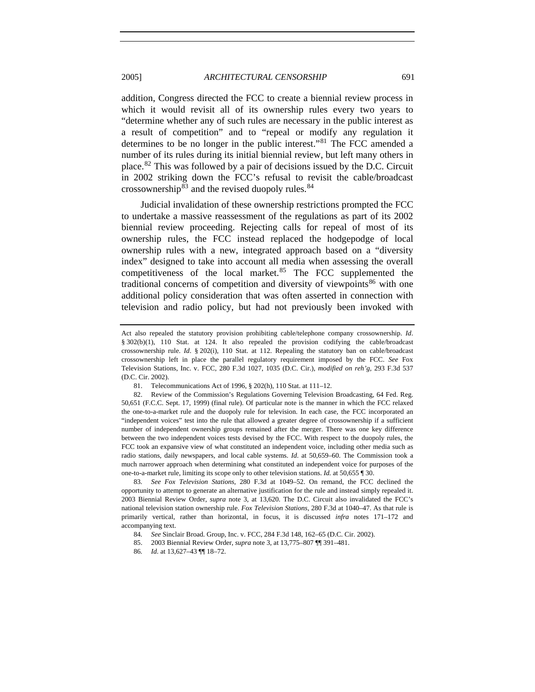addition, Congress directed the FCC to create a biennial review process in which it would revisit all of its ownership rules every two years to "determine whether any of such rules are necessary in the public interest as a result of competition" and to "repeal or modify any regulation it determines to be no longer in the public interest."[81](#page-22-0) The FCC amended a number of its rules during its initial biennial review, but left many others in place.[82](#page-22-1) This was followed by a pair of decisions issued by the D.C. Circuit in 2002 striking down the FCC's refusal to revisit the cable/broadcast crossownership $83$  and the revised duopoly rules. $84$ 

Judicial invalidation of these ownership restrictions prompted the FCC to undertake a massive reassessment of the regulations as part of its 2002 biennial review proceeding. Rejecting calls for repeal of most of its ownership rules, the FCC instead replaced the hodgepodge of local ownership rules with a new, integrated approach based on a "diversity index" designed to take into account all media when assessing the overall competitiveness of the local market.<sup>[85](#page-22-4)</sup> The FCC supplemented the traditional concerns of competition and diversity of viewpoints<sup>[86](#page-22-5)</sup> with one additional policy consideration that was often asserted in connection with television and radio policy, but had not previously been invoked with

Act also repealed the statutory provision prohibiting cable/telephone company crossownership. *Id*. § 302(b)(1), 110 Stat. at 124. It also repealed the provision codifying the cable/broadcast crossownership rule. *Id.* § 202(i), 110 Stat. at 112. Repealing the statutory ban on cable/broadcast crossownership left in place the parallel regulatory requirement imposed by the FCC. *See* Fox Television Stations, Inc. v. FCC, 280 F.3d 1027, 1035 (D.C. Cir.), *modified on reh'g*, 293 F.3d 537 (D.C. Cir. 2002).

<sup>81.</sup> Telecommunications Act of 1996, § 202(h), 110 Stat. at 111–12.

<span id="page-22-1"></span><span id="page-22-0"></span><sup>82.</sup> Review of the Commission's Regulations Governing Television Broadcasting, 64 Fed. Reg. 50,651 (F.C.C. Sept. 17, 1999) (final rule). Of particular note is the manner in which the FCC relaxed the one-to-a-market rule and the duopoly rule for television. In each case, the FCC incorporated an "independent voices" test into the rule that allowed a greater degree of crossownership if a sufficient number of independent ownership groups remained after the merger. There was one key difference between the two independent voices tests devised by the FCC. With respect to the duopoly rules, the FCC took an expansive view of what constituted an independent voice, including other media such as radio stations, daily newspapers, and local cable systems. *Id*. at 50,659–60. The Commission took a much narrower approach when determining what constituted an independent voice for purposes of the one-to-a-market rule, limiting its scope only to other television stations. *Id.* at 50,655 ¶ 30.

<span id="page-22-3"></span><span id="page-22-2"></span><sup>83</sup>*. See Fox Television Stations*, 280 F.3d at 1049–52. On remand, the FCC declined the opportunity to attempt to generate an alternative justification for the rule and instead simply repealed it. 2003 Biennial Review Order, *supra* note 3, at 13,620. The D.C. Circuit also invalidated the FCC's national television station ownership rule. *Fox Television Stations*, 280 F.3d at 1040–47. As that rule is primarily vertical, rather than horizontal, in focus, it is discussed *infra* notes 171–172 and accompanying text.

<sup>84</sup>*. See* Sinclair Broad. Group, Inc. v. FCC, 284 F.3d 148, 162–65 (D.C. Cir. 2002).

<span id="page-22-4"></span><sup>85. 2003</sup> Biennial Review Order, *supra* note 3, at 13,775–807 ¶¶ 391–481.

<span id="page-22-5"></span><sup>86</sup>*. Id.* at 13,627–43 ¶¶ 18–72.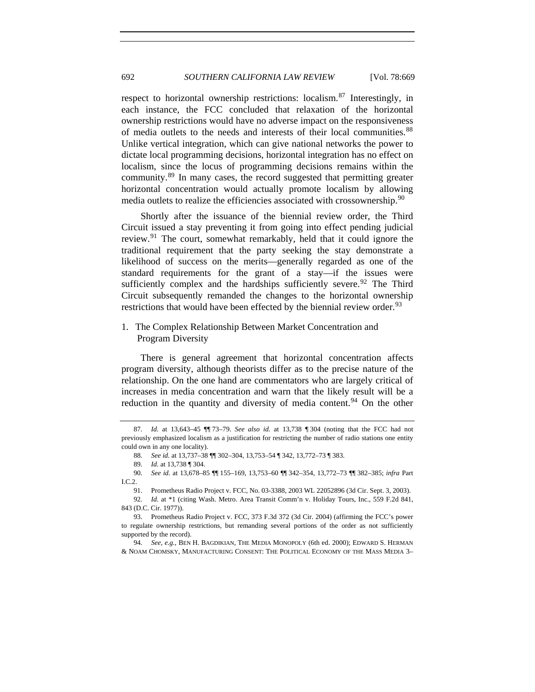<span id="page-23-0"></span>respect to horizontal ownership restrictions: localism.<sup>[87](#page-23-1)</sup> Interestingly, in each instance, the FCC concluded that relaxation of the horizontal ownership restrictions would have no adverse impact on the responsiveness of media outlets to the needs and interests of their local communities.<sup>[88](#page-23-2)</sup> Unlike vertical integration, which can give national networks the power to dictate local programming decisions, horizontal integration has no effect on localism, since the locus of programming decisions remains within the community.[89](#page-23-3) In many cases, the record suggested that permitting greater horizontal concentration would actually promote localism by allowing media outlets to realize the efficiencies associated with crossownership.<sup>[90](#page-23-4)</sup>

Shortly after the issuance of the biennial review order, the Third Circuit issued a stay preventing it from going into effect pending judicial review.[91](#page-23-5) The court, somewhat remarkably, held that it could ignore the traditional requirement that the party seeking the stay demonstrate a likelihood of success on the merits—generally regarded as one of the standard requirements for the grant of a stay—if the issues were sufficiently complex and the hardships sufficiently severe.<sup>[92](#page-23-6)</sup> The Third Circuit subsequently remanded the changes to the horizontal ownership restrictions that would have been effected by the biennial review order.<sup>[93](#page-23-7)</sup>

# 1. The Complex Relationship Between Market Concentration and Program Diversity

There is general agreement that horizontal concentration affects program diversity, although theorists differ as to the precise nature of the relationship. On the one hand are commentators who are largely critical of increases in media concentration and warn that the likely result will be a reduction in the quantity and diversity of media content.<sup>[94](#page-23-8)</sup> On the other

<span id="page-23-1"></span><sup>87</sup>*. Id.* at 13,643–45 ¶¶ 73–79. *See also id.* at 13,738 ¶ 304 (noting that the FCC had not previously emphasized localism as a justification for restricting the number of radio stations one entity could own in any one locality).

<sup>88</sup>*. See id.* at 13,737–38 ¶¶ 302–304, 13,753–54 ¶ 342, 13,772–73 ¶ 383.

<sup>89</sup>*. Id.* at 13,738 ¶ 304.

<span id="page-23-4"></span><span id="page-23-3"></span><span id="page-23-2"></span><sup>90</sup>*. See id.* at 13,678–85 ¶¶ 155–169, 13,753–60 ¶¶ 342–354, 13,772–73 ¶¶ 382–385; *infra* Part I.C.2.

<sup>91.</sup> Prometheus Radio Project v. FCC, No. 03-3388, 2003 WL 22052896 (3d Cir. Sept. 3, 2003).

<span id="page-23-6"></span><span id="page-23-5"></span><sup>92</sup>*. Id.* at \*1 (citing Wash. Metro. Area Transit Comm'n v. Holiday Tours, Inc., 559 F.2d 841, 843 (D.C. Cir. 1977)).

<span id="page-23-7"></span><sup>93.</sup> Prometheus Radio Project v. FCC, 373 F.3d 372 (3d Cir. 2004) (affirming the FCC's power to regulate ownership restrictions, but remanding several portions of the order as not sufficiently supported by the record).

<span id="page-23-8"></span><sup>94</sup>*. See, e.g.*, BEN H. BAGDIKIAN, THE MEDIA MONOPOLY (6th ed. 2000); EDWARD S. HERMAN & NOAM CHOMSKY, MANUFACTURING CONSENT: THE POLITICAL ECONOMY OF THE MASS MEDIA 3–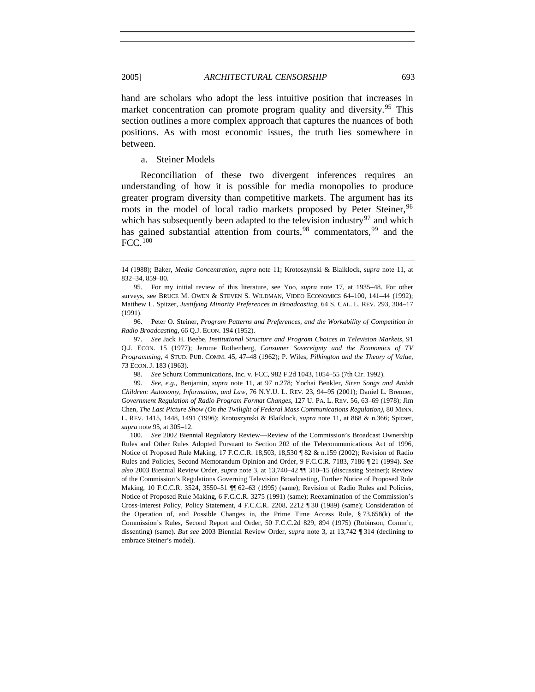<span id="page-24-0"></span>hand are scholars who adopt the less intuitive position that increases in market concentration can promote program quality and diversity.<sup>[95](#page-24-1)</sup> This section outlines a more complex approach that captures the nuances of both positions. As with most economic issues, the truth lies somewhere in between.

a. Steiner Models

Reconciliation of these two divergent inferences requires an understanding of how it is possible for media monopolies to produce greater program diversity than competitive markets. The argument has its roots in the model of local radio markets proposed by Peter Steiner,<sup>[96](#page-24-2)</sup> which has subsequently been adapted to the television industry<sup>[97](#page-24-3)</sup> and which has gained substantial attention from courts,  $98$  commentators,  $99$  and the  $FCC$ .<sup>[100](#page-24-6)</sup>

98*. See* Schurz Communications, Inc. v. FCC, 982 F.2d 1043, 1054–55 (7th Cir. 1992).

<span id="page-24-5"></span><span id="page-24-4"></span>99*. See, e.g.*, Benjamin, *supra* note 11, at 97 n.278; Yochai Benkler, *Siren Songs and Amish Children: Autonomy, Information, and Law*, 76 N.Y.U. L. REV. 23, 94–95 (2001); Daniel L. Brenner, *Government Regulation of Radio Program Format Changes*, 127 U. PA. L. REV. 56, 63–69 (1978); Jim Chen, *The Last Picture Show (On the Twilight of Federal Mass Communications Regulation)*, 80 MINN. L. REV. 1415, 1448, 1491 (1996); Krotoszynski & Blaiklock, *supra* note 11, at 868 & n.366; Spitzer, *supra* note 95, at 305–12.

<span id="page-24-6"></span>100*. See* 2002 Biennial Regulatory Review—Review of the Commission's Broadcast Ownership Rules and Other Rules Adopted Pursuant to Section 202 of the Telecommunications Act of 1996, Notice of Proposed Rule Making, 17 F.C.C.R. 18,503, 18,530 ¶ 82 & n.159 (2002); Revision of Radio Rules and Policies, Second Memorandum Opinion and Order, 9 F.C.C.R. 7183, 7186 ¶ 21 (1994). *See also* 2003 Biennial Review Order, *supra* note 3, at 13,740–42 ¶¶ 310–15 (discussing Steiner); Review of the Commission's Regulations Governing Television Broadcasting, Further Notice of Proposed Rule Making, 10 F.C.C.R. 3524, 3550-51 <sup>[4]</sup> 62-63 (1995) (same); Revision of Radio Rules and Policies, Notice of Proposed Rule Making, 6 F.C.C.R. 3275 (1991) (same); Reexamination of the Commission's Cross-Interest Policy, Policy Statement, 4 F.C.C.R. 2208, 2212 ¶ 30 (1989) (same); Consideration of the Operation of, and Possible Changes in, the Prime Time Access Rule, § 73.658(k) of the Commission's Rules, Second Report and Order, 50 F.C.C.2d 829, 894 (1975) (Robinson, Comm'r, dissenting) (same). *But see* 2003 Biennial Review Order, *supra* note 3, at 13,742 ¶ 314 (declining to embrace Steiner's model).

<sup>14 (1988);</sup> Baker, *Media Concentration*, *supra* note 11; Krotoszynski & Blaiklock, *supra* note 11, at 832–34, 859–80.

<span id="page-24-1"></span><sup>95.</sup> For my initial review of this literature, see Yoo, *supra* note 17, at 1935–48. For other surveys, see BRUCE M. OWEN & STEVEN S. WILDMAN, VIDEO ECONOMICS 64–100, 141–44 (1992); Matthew L. Spitzer, *Justifying Minority Preferences in Broadcasting*, 64 S. CAL. L. REV. 293, 304–17 (1991).

<span id="page-24-2"></span><sup>96.</sup> Peter O. Steiner, *Program Patterns and Preferences, and the Workability of Competition in Radio Broadcasting*, 66 Q.J. ECON. 194 (1952).

<span id="page-24-3"></span><sup>97</sup>*. See* Jack H. Beebe, *Institutional Structure and Program Choices in Television Markets*, 91 Q.J. ECON. 15 (1977); Jerome Rothenberg, *Consumer Sovereignty and the Economics of TV Programming*, 4 STUD. PUB. COMM. 45, 47–48 (1962); P. Wiles, *Pilkington and the Theory of Value*, 73 ECON. J. 183 (1963).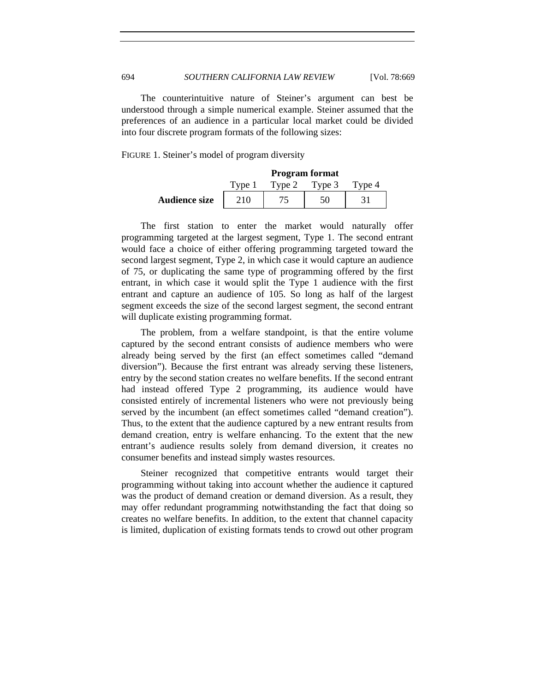The counterintuitive nature of Steiner's argument can best be understood through a simple numerical example. Steiner assumed that the preferences of an audience in a particular local market could be divided into four discrete program formats of the following sizes:

FIGURE 1. Steiner's model of program diversity

|                      | <b>Program format</b> |               |  |        |
|----------------------|-----------------------|---------------|--|--------|
|                      | Type 1                | Type 2 Type 3 |  | Type 4 |
| <b>Audience size</b> | 210                   |               |  |        |

The first station to enter the market would naturally offer programming targeted at the largest segment, Type 1. The second entrant would face a choice of either offering programming targeted toward the second largest segment, Type 2, in which case it would capture an audience of 75, or duplicating the same type of programming offered by the first entrant, in which case it would split the Type 1 audience with the first entrant and capture an audience of 105. So long as half of the largest segment exceeds the size of the second largest segment, the second entrant will duplicate existing programming format.

The problem, from a welfare standpoint, is that the entire volume captured by the second entrant consists of audience members who were already being served by the first (an effect sometimes called "demand diversion"). Because the first entrant was already serving these listeners, entry by the second station creates no welfare benefits. If the second entrant had instead offered Type 2 programming, its audience would have consisted entirely of incremental listeners who were not previously being served by the incumbent (an effect sometimes called "demand creation"). Thus, to the extent that the audience captured by a new entrant results from demand creation, entry is welfare enhancing. To the extent that the new entrant's audience results solely from demand diversion, it creates no consumer benefits and instead simply wastes resources.

Steiner recognized that competitive entrants would target their programming without taking into account whether the audience it captured was the product of demand creation or demand diversion. As a result, they may offer redundant programming notwithstanding the fact that doing so creates no welfare benefits. In addition, to the extent that channel capacity is limited, duplication of existing formats tends to crowd out other program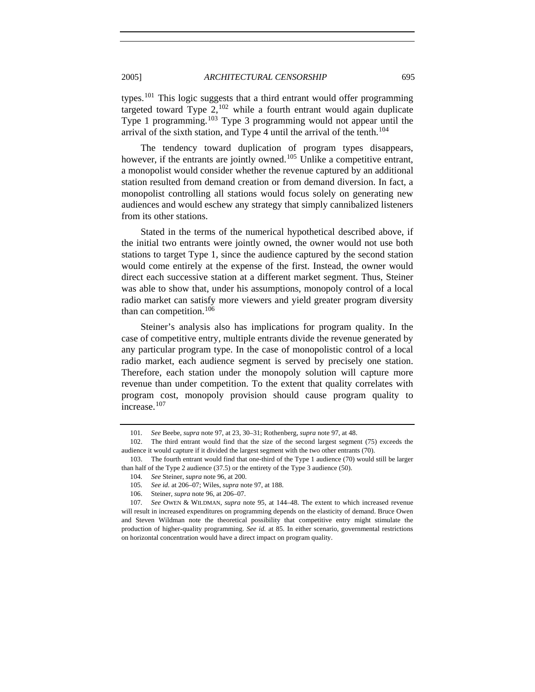types.<sup>[101](#page-26-0)</sup> This logic suggests that a third entrant would offer programming targeted toward Type  $2$ ,  $102$  while a fourth entrant would again duplicate Type 1 programming.[103](#page-26-2) Type 3 programming would not appear until the arrival of the sixth station, and Type 4 until the arrival of the tenth.<sup>[104](#page-26-3)</sup>

The tendency toward duplication of program types disappears, however, if the entrants are jointly owned.<sup>[105](#page-26-4)</sup> Unlike a competitive entrant, a monopolist would consider whether the revenue captured by an additional station resulted from demand creation or from demand diversion. In fact, a monopolist controlling all stations would focus solely on generating new audiences and would eschew any strategy that simply cannibalized listeners from its other stations.

Stated in the terms of the numerical hypothetical described above, if the initial two entrants were jointly owned, the owner would not use both stations to target Type 1, since the audience captured by the second station would come entirely at the expense of the first. Instead, the owner would direct each successive station at a different market segment. Thus, Steiner was able to show that, under his assumptions, monopoly control of a local radio market can satisfy more viewers and yield greater program diversity than can competition.<sup>[106](#page-26-5)</sup>

Steiner's analysis also has implications for program quality. In the case of competitive entry, multiple entrants divide the revenue generated by any particular program type. In the case of monopolistic control of a local radio market, each audience segment is served by precisely one station. Therefore, each station under the monopoly solution will capture more revenue than under competition. To the extent that quality correlates with program cost, monopoly provision should cause program quality to increase.[107](#page-26-6)

<sup>101</sup>*. See* Beebe, *supra* note 97, at 23, 30–31; Rothenberg, *supra* note 97, at 48.

<span id="page-26-1"></span><span id="page-26-0"></span><sup>102.</sup> The third entrant would find that the size of the second largest segment (75) exceeds the audience it would capture if it divided the largest segment with the two other entrants (70).

<span id="page-26-3"></span><span id="page-26-2"></span><sup>103.</sup> The fourth entrant would find that one-third of the Type 1 audience (70) would still be larger than half of the Type 2 audience (37.5) or the entirety of the Type 3 audience (50).

<sup>104</sup>*. See* Steiner, *supra* note 96, at 200.

<sup>105</sup>*. See id.* at 206–07; Wiles, *supra* note 97, at 188.

<sup>106.</sup> Steiner, *supra* note 96, at 206–07.

<span id="page-26-6"></span><span id="page-26-5"></span><span id="page-26-4"></span><sup>107</sup>*. See* OWEN & WILDMAN, *supra* note 95, at 144–48. The extent to which increased revenue will result in increased expenditures on programming depends on the elasticity of demand. Bruce Owen and Steven Wildman note the theoretical possibility that competitive entry might stimulate the production of higher-quality programming. *See id.* at 85. In either scenario, governmental restrictions on horizontal concentration would have a direct impact on program quality.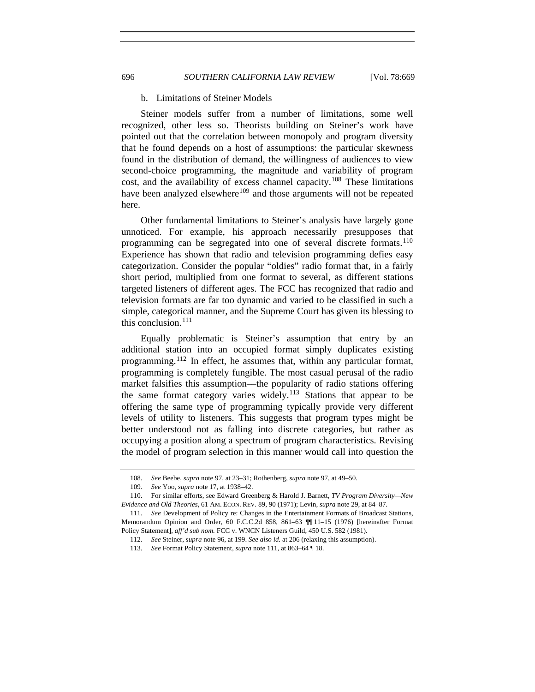#### b. Limitations of Steiner Models

Steiner models suffer from a number of limitations, some well recognized, other less so. Theorists building on Steiner's work have pointed out that the correlation between monopoly and program diversity that he found depends on a host of assumptions: the particular skewness found in the distribution of demand, the willingness of audiences to view second-choice programming, the magnitude and variability of program cost, and the availability of excess channel capacity.<sup>[108](#page-27-1)</sup> These limitations have been analyzed elsewhere<sup>[109](#page-27-2)</sup> and those arguments will not be repeated here.

Other fundamental limitations to Steiner's analysis have largely gone unnoticed. For example, his approach necessarily presupposes that programming can be segregated into one of several discrete formats.<sup>[110](#page-27-3)</sup> Experience has shown that radio and television programming defies easy categorization. Consider the popular "oldies" radio format that, in a fairly short period, multiplied from one format to several, as different stations targeted listeners of different ages. The FCC has recognized that radio and television formats are far too dynamic and varied to be classified in such a simple, categorical manner, and the Supreme Court has given its blessing to this conclusion.<sup>[111](#page-27-4)</sup>

Equally problematic is Steiner's assumption that entry by an additional station into an occupied format simply duplicates existing programming.[112](#page-27-5) In effect, he assumes that, within any particular format, programming is completely fungible. The most casual perusal of the radio market falsifies this assumption––the popularity of radio stations offering the same format category varies widely.<sup>[113](#page-27-6)</sup> Stations that appear to be offering the same type of programming typically provide very different levels of utility to listeners. This suggests that program types might be better understood not as falling into discrete categories, but rather as occupying a position along a spectrum of program characteristics. Revising the model of program selection in this manner would call into question the

<span id="page-27-0"></span>

<sup>108</sup>*. See* Beebe, *supra* note 97, at 23–31; Rothenberg, *supra* note 97, at 49–50.

<sup>109</sup>*. See* Yoo, *supra* note 17, at 1938–42.

<span id="page-27-3"></span><span id="page-27-2"></span><span id="page-27-1"></span><sup>110.</sup> For similar efforts, see Edward Greenberg & Harold J. Barnett, *TV Program Diversity—New Evidence and Old Theories*, 61 AM. ECON. REV. 89, 90 (1971); Levin, *supra* note 29, at 84–87.

<span id="page-27-6"></span><span id="page-27-5"></span><span id="page-27-4"></span><sup>111</sup>*. See* Development of Policy re: Changes in the Entertainment Formats of Broadcast Stations, Memorandum Opinion and Order, 60 F.C.C.2d 858, 861–63 ¶¶ 11–15 (1976) [hereinafter Format Policy Statement], *aff'd sub nom.* FCC v. WNCN Listeners Guild, 450 U.S. 582 (1981).

<sup>112</sup>*. See* Steiner, *supra* note 96, at 199. *See also id.* at 206 (relaxing this assumption).

<sup>113</sup>*. See* Format Policy Statement, *supra* note 111, at 863–64 ¶ 18.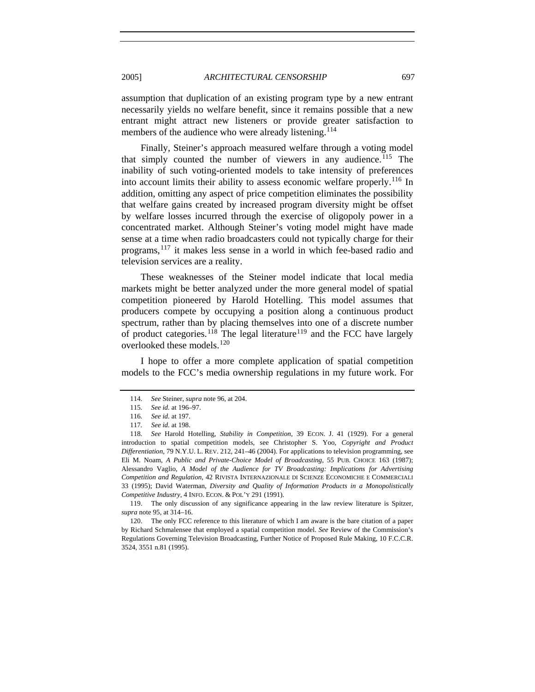assumption that duplication of an existing program type by a new entrant necessarily yields no welfare benefit, since it remains possible that a new entrant might attract new listeners or provide greater satisfaction to members of the audience who were already listening.<sup>[114](#page-28-0)</sup>

Finally, Steiner's approach measured welfare through a voting model that simply counted the number of viewers in any audience.<sup>[115](#page-28-1)</sup> The inability of such voting-oriented models to take intensity of preferences into account limits their ability to assess economic welfare properly.<sup>[116](#page-28-2)</sup> In addition, omitting any aspect of price competition eliminates the possibility that welfare gains created by increased program diversity might be offset by welfare losses incurred through the exercise of oligopoly power in a concentrated market. Although Steiner's voting model might have made sense at a time when radio broadcasters could not typically charge for their programs,[117](#page-28-3) it makes less sense in a world in which fee-based radio and television services are a reality.

These weaknesses of the Steiner model indicate that local media markets might be better analyzed under the more general model of spatial competition pioneered by Harold Hotelling. This model assumes that producers compete by occupying a position along a continuous product spectrum, rather than by placing themselves into one of a discrete number of product categories.<sup>[118](#page-28-4)</sup> The legal literature<sup>[119](#page-28-5)</sup> and the FCC have largely overlooked these models.<sup>[120](#page-28-6)</sup>

<span id="page-28-0"></span>I hope to offer a more complete application of spatial competition models to the FCC's media ownership regulations in my future work. For

<span id="page-28-5"></span>119. The only discussion of any significance appearing in the law review literature is Spitzer, *supra* note 95, at 314–16.

<span id="page-28-6"></span>120. The only FCC reference to this literature of which I am aware is the bare citation of a paper by Richard Schmalensee that employed a spatial competition model. *See* Review of the Commission's Regulations Governing Television Broadcasting, Further Notice of Proposed Rule Making, 10 F.C.C.R. 3524, 3551 n.81 (1995).

<sup>114</sup>*. See* Steiner, *supra* note 96, at 204.

<sup>115</sup>*. See id.* at 196–97.

<sup>116</sup>*. See id.* at 197.

<sup>117</sup>*. See id.* at 198.

<span id="page-28-4"></span><span id="page-28-3"></span><span id="page-28-2"></span><span id="page-28-1"></span><sup>118</sup>*. See* Harold Hotelling, *Stability in Competition*, 39 ECON. J. 41 (1929). For a general introduction to spatial competition models, see Christopher S. Yoo, *Copyright and Product Differentiation*, 79 N.Y.U. L. REV. 212, 241–46 (2004). For applications to television programming, see Eli M. Noam, *A Public and Private-Choice Model of Broadcasting*, 55 PUB. CHOICE 163 (1987); Alessandro Vaglio, *A Model of the Audience for TV Broadcasting: Implications for Advertising Competition and Regulation*, 42 RIVISTA INTERNAZIONALE DI SCIENZE ECONOMICHE E COMMERCIALI 33 (1995); David Waterman, *Diversity and Quality of Information Products in a Monopolistically Competitive Industry*, 4 INFO. ECON. & POL'Y 291 (1991).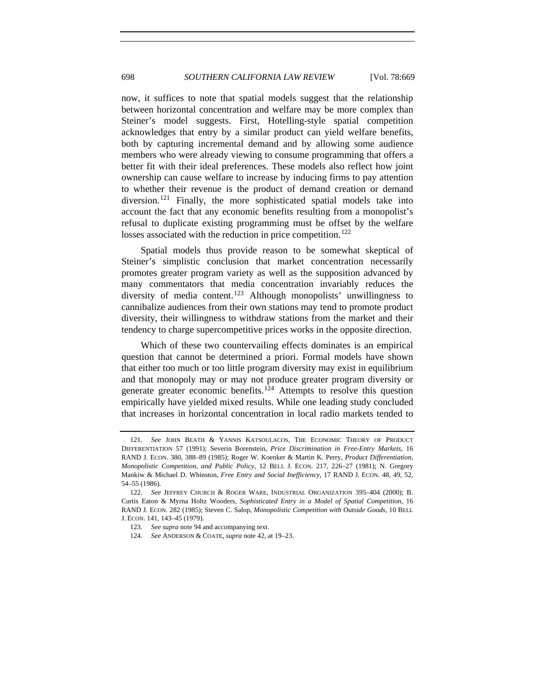now, it suffices to note that spatial models suggest that the relationship between horizontal concentration and welfare may be more complex than Steiner's model suggests. First, Hotelling-style spatial competition acknowledges that entry by a similar product can yield welfare benefits, both by capturing incremental demand and by allowing some audience members who were already viewing to consume programming that offers a better fit with their ideal preferences. These models also reflect how joint ownership can cause welfare to increase by inducing firms to pay attention to whether their revenue is the product of demand creation or demand diversion.<sup>[121](#page-29-0)</sup> Finally, the more sophisticated spatial models take into account the fact that any economic benefits resulting from a monopolist's refusal to duplicate existing programming must be offset by the welfare losses associated with the reduction in price competition.<sup>[122](#page-29-1)</sup>

Spatial models thus provide reason to be somewhat skeptical of Steiner's simplistic conclusion that market concentration necessarily promotes greater program variety as well as the supposition advanced by many commentators that media concentration invariably reduces the diversity of media content.<sup>[123](#page-29-2)</sup> Although monopolists' unwillingness to cannibalize audiences from their own stations may tend to promote product diversity, their willingness to withdraw stations from the market and their tendency to charge supercompetitive prices works in the opposite direction.

Which of these two countervailing effects dominates is an empirical question that cannot be determined a priori. Formal models have shown that either too much or too little program diversity may exist in equilibrium and that monopoly may or may not produce greater program diversity or generate greater economic benefits.<sup>[124](#page-29-3)</sup> Attempts to resolve this question empirically have yielded mixed results. While one leading study concluded that increases in horizontal concentration in local radio markets tended to

<span id="page-29-0"></span><sup>121</sup>*. See* JOHN BEATH & YANNIS KATSOULACOS, THE ECONOMIC THEORY OF PRODUCT DIFFERENTIATION 57 (1991); Severin Borenstein, *Price Discrimination in Free-Entry Markets*, 16 RAND J. ECON. 380, 388–89 (1985); Roger W. Koenker & Martin K. Perry, *Product Differentiation, Monopolistic Competition, and Public Policy*, 12 BELL J. ECON. 217, 226–27 (1981); N. Gregory Mankiw & Michael D. Whinston, *Free Entry and Social Inefficiency*, 17 RAND J. ECON. 48, 49, 52, 54–55 (1986).

<span id="page-29-3"></span><span id="page-29-2"></span><span id="page-29-1"></span><sup>122</sup>*. See* JEFFREY CHURCH & ROGER WARE, INDUSTRIAL ORGANIZATION 395–404 (2000); B. Curtis Eaton & Myrna Holtz Wooders, *Sophisticated Entry in a Model of Spatial Competition*, 16 RAND J. ECON. 282 (1985); Steven C. Salop, *Monopolistic Competition with Outside Goods*, 10 BELL J. ECON. 141, 143–45 (1979).

<sup>123</sup>*. See supra* note 94 and accompanying text.

<sup>124</sup>*. See* ANDERSON & COATE, *supra* note 42, at 19–23.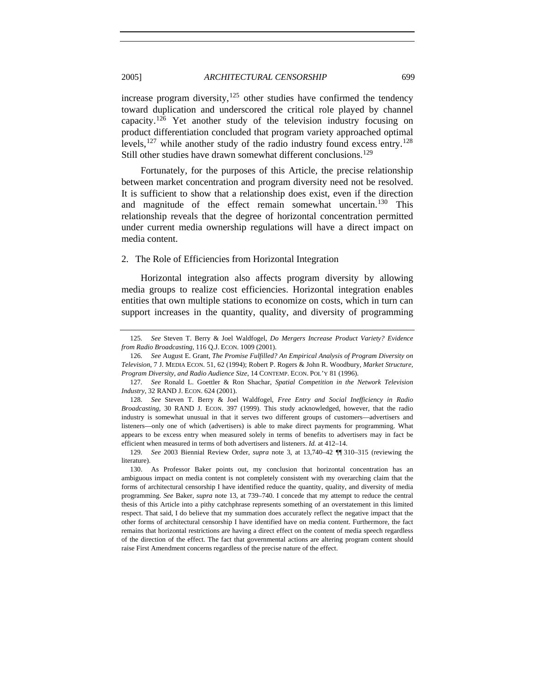### <span id="page-30-0"></span>2005] *ARCHITECTURAL CENSORSHIP* 699

increase program diversity, $125$  other studies have confirmed the tendency toward duplication and underscored the critical role played by channel capacity.[126](#page-30-2) Yet another study of the television industry focusing on product differentiation concluded that program variety approached optimal levels,  $127$  while another study of the radio industry found excess entry.<sup>[128](#page-30-4)</sup> Still other studies have drawn somewhat different conclusions.<sup>[129](#page-30-5)</sup>

Fortunately, for the purposes of this Article, the precise relationship between market concentration and program diversity need not be resolved. It is sufficient to show that a relationship does exist, even if the direction and magnitude of the effect remain somewhat uncertain.[130](#page-30-6) This relationship reveals that the degree of horizontal concentration permitted under current media ownership regulations will have a direct impact on media content.

## 2. The Role of Efficiencies from Horizontal Integration

Horizontal integration also affects program diversity by allowing media groups to realize cost efficiencies. Horizontal integration enables entities that own multiple stations to economize on costs, which in turn can support increases in the quantity, quality, and diversity of programming

<span id="page-30-2"></span><span id="page-30-1"></span><sup>125</sup>*. See* Steven T. Berry & Joel Waldfogel, *Do Mergers Increase Product Variety? Evidence from Radio Broadcasting*, 116 Q.J. ECON. 1009 (2001).

<sup>126</sup>*. See* August E. Grant, *The Promise Fulfilled? An Empirical Analysis of Program Diversity on Television*, 7 J. MEDIA ECON. 51, 62 (1994); Robert P. Rogers & John R. Woodbury, *Market Structure, Program Diversity, and Radio Audience Size*, 14 CONTEMP. ECON. POL'Y 81 (1996).

<span id="page-30-3"></span><sup>127</sup>*. See* Ronald L. Goettler & Ron Shachar, *Spatial Competition in the Network Television Industry*, 32 RAND J. ECON. 624 (2001).

<span id="page-30-4"></span><sup>128</sup>*. See* Steven T. Berry & Joel Waldfogel, *Free Entry and Social Inefficiency in Radio Broadcasting*, 30 RAND J. ECON. 397 (1999). This study acknowledged, however, that the radio industry is somewhat unusual in that it serves two different groups of customers—advertisers and listeners—only one of which (advertisers) is able to make direct payments for programming. What appears to be excess entry when measured solely in terms of benefits to advertisers may in fact be efficient when measured in terms of both advertisers and listeners. *Id.* at 412–14.

<span id="page-30-5"></span><sup>129</sup>*. See* 2003 Biennial Review Order, *supra* note 3, at 13,740–42 ¶¶ 310–315 (reviewing the literature).

<span id="page-30-6"></span><sup>130.</sup> As Professor Baker points out, my conclusion that horizontal concentration has an ambiguous impact on media content is not completely consistent with my overarching claim that the forms of architectural censorship I have identified reduce the quantity, quality, and diversity of media programming. *See* Baker, *supra* note 13, at 739–740. I concede that my attempt to reduce the central thesis of this Article into a pithy catchphrase represents something of an overstatement in this limited respect. That said, I do believe that my summation does accurately reflect the negative impact that the other forms of architectural censorship I have identified have on media content. Furthermore, the fact remains that horizontal restrictions are having a direct effect on the content of media speech regardless of the direction of the effect. The fact that governmental actions are altering program content should raise First Amendment concerns regardless of the precise nature of the effect.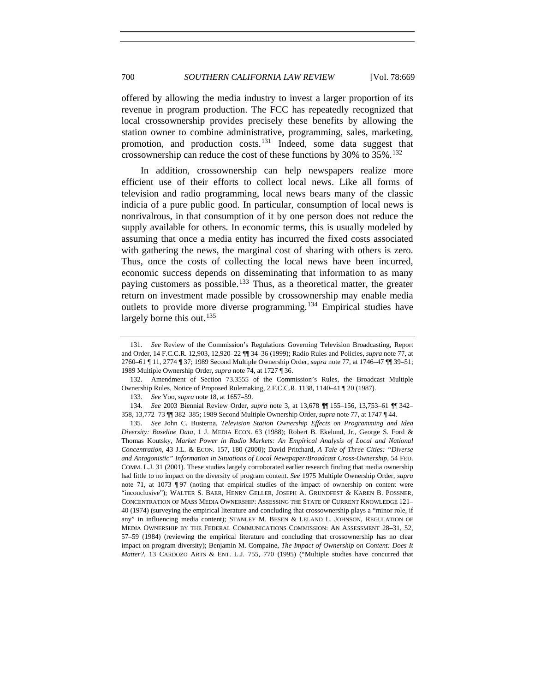offered by allowing the media industry to invest a larger proportion of its revenue in program production. The FCC has repeatedly recognized that local crossownership provides precisely these benefits by allowing the station owner to combine administrative, programming, sales, marketing, promotion, and production costs.<sup>[131](#page-31-0)</sup> Indeed, some data suggest that crossownership can reduce the cost of these functions by  $30\%$  to  $35\%$ .<sup>[132](#page-31-1)</sup>

In addition, crossownership can help newspapers realize more efficient use of their efforts to collect local news. Like all forms of television and radio programming, local news bears many of the classic indicia of a pure public good. In particular, consumption of local news is nonrivalrous, in that consumption of it by one person does not reduce the supply available for others. In economic terms, this is usually modeled by assuming that once a media entity has incurred the fixed costs associated with gathering the news, the marginal cost of sharing with others is zero. Thus, once the costs of collecting the local news have been incurred, economic success depends on disseminating that information to as many paying customers as possible.<sup>[133](#page-31-2)</sup> Thus, as a theoretical matter, the greater return on investment made possible by crossownership may enable media outlets to provide more diverse programming.[134](#page-31-3) Empirical studies have largely borne this out. $135$ 

133*. See* Yoo, *supra* note 18, at 1657–59.

<span id="page-31-0"></span><sup>131</sup>*. See* Review of the Commission's Regulations Governing Television Broadcasting, Report and Order, 14 F.C.C.R. 12,903, 12,920–22 ¶¶ 34–36 (1999); Radio Rules and Policies, *supra* note 77, at 2760–61 ¶ 11, 2774 ¶ 37; 1989 Second Multiple Ownership Order, *supra* note 77, at 1746–47 ¶¶ 39–51; 1989 Multiple Ownership Order, *supra* note 74, at 1727 ¶ 36.

<span id="page-31-1"></span><sup>132.</sup> Amendment of Section 73.3555 of the Commission's Rules, the Broadcast Multiple Ownership Rules, Notice of Proposed Rulemaking, 2 F.C.C.R. 1138, 1140–41 ¶ 20 (1987).

<span id="page-31-3"></span><span id="page-31-2"></span><sup>134</sup>*. See* 2003 Biennial Review Order, *supra* note 3, at 13,678 ¶¶ 155–156, 13,753–61 ¶¶ 342– 358, 13,772–73 ¶¶ 382–385; 1989 Second Multiple Ownership Order, *supra* note 77, at 1747 ¶ 44.

<span id="page-31-4"></span><sup>135</sup>*. See* John C. Busterna, *Television Station Ownership Effects on Programming and Idea Diversity: Baseline Data*, 1 J. MEDIA ECON. 63 (1988); Robert B. Ekelund, Jr., George S. Ford & Thomas Koutsky, *Market Power in Radio Markets: An Empirical Analysis of Local and National Concentration*, 43 J.L. & ECON. 157, 180 (2000); David Pritchard, *A Tale of Three Cities: "Diverse and Antagonistic" Information in Situations of Local Newspaper/Broadcast Cross-Ownership*, 54 FED. COMM. L.J. 31 (2001). These studies largely corroborated earlier research finding that media ownership had little to no impact on the diversity of program content. *See* 1975 Multiple Ownership Order, *supra*  note 71, at 1073 ¶ 97 (noting that empirical studies of the impact of ownership on content were "inconclusive"); WALTER S. BAER, HENRY GELLER, JOSEPH A. GRUNDFEST & KAREN B. POSSNER, CONCENTRATION OF MASS MEDIA OWNERSHIP: ASSESSING THE STATE OF CURRENT KNOWLEDGE 121– 40 (1974) (surveying the empirical literature and concluding that crossownership plays a "minor role, if any" in influencing media content); STANLEY M. BESEN & LELAND L. JOHNSON, REGULATION OF MEDIA OWNERSHIP BY THE FEDERAL COMMUNICATIONS COMMISSION: AN ASSESSMENT 28–31, 52, 57–59 (1984) (reviewing the empirical literature and concluding that crossownership has no clear impact on program diversity); Benjamin M. Compaine, *The Impact of Ownership on Content: Does It Matter?*, 13 CARDOZO ARTS & ENT. L.J. 755, 770 (1995) ("Multiple studies have concurred that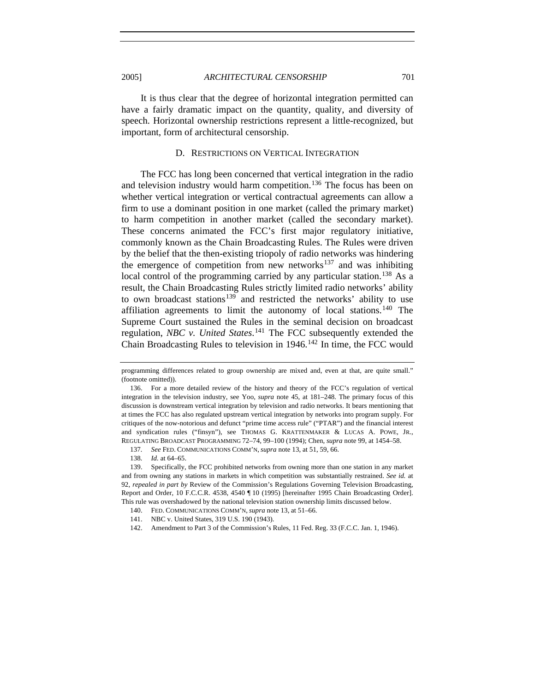<span id="page-32-0"></span>

It is thus clear that the degree of horizontal integration permitted can have a fairly dramatic impact on the quantity, quality, and diversity of speech. Horizontal ownership restrictions represent a little-recognized, but important, form of architectural censorship.

## D. RESTRICTIONS ON VERTICAL INTEGRATION

The FCC has long been concerned that vertical integration in the radio and television industry would harm competition.<sup>[136](#page-32-1)</sup> The focus has been on whether vertical integration or vertical contractual agreements can allow a firm to use a dominant position in one market (called the primary market) to harm competition in another market (called the secondary market). These concerns animated the FCC's first major regulatory initiative, commonly known as the Chain Broadcasting Rules. The Rules were driven by the belief that the then-existing triopoly of radio networks was hindering the emergence of competition from new networks $137$  and was inhibiting local control of the programming carried by any particular station.<sup>[138](#page-32-3)</sup> As a result, the Chain Broadcasting Rules strictly limited radio networks' ability to own broadcast stations<sup>[139](#page-32-4)</sup> and restricted the networks' ability to use affiliation agreements to limit the autonomy of local stations.<sup>[140](#page-32-5)</sup> The Supreme Court sustained the Rules in the seminal decision on broadcast regulation, *NBC v. United States*. [141](#page-32-6) The FCC subsequently extended the Chain Broadcasting Rules to television in  $1946$ .<sup>[142](#page-32-7)</sup> In time, the FCC would

programming differences related to group ownership are mixed and, even at that, are quite small." (footnote omitted)).

<span id="page-32-1"></span><sup>136.</sup> For a more detailed review of the history and theory of the FCC's regulation of vertical integration in the television industry, see Yoo, *supra* note 45, at 181–248. The primary focus of this discussion is downstream vertical integration by television and radio networks. It bears mentioning that at times the FCC has also regulated upstream vertical integration by networks into program supply. For critiques of the now-notorious and defunct "prime time access rule" ("PTAR") and the financial interest and syndication rules ("finsyn"), see THOMAS G. KRATTENMAKER & LUCAS A. POWE, JR., REGULATING BROADCAST PROGRAMMING 72–74, 99–100 (1994); Chen, *supra* note 99, at 1454–58.

<sup>137</sup>*. See* FED. COMMUNICATIONS COMM'N, *supra* note 13, at 51, 59, 66.

<sup>138</sup>*. Id.* at 64–65.

<span id="page-32-5"></span><span id="page-32-4"></span><span id="page-32-3"></span><span id="page-32-2"></span><sup>139.</sup> Specifically, the FCC prohibited networks from owning more than one station in any market and from owning any stations in markets in which competition was substantially restrained. *See id.* at 92, *repealed in part by* Review of the Commission's Regulations Governing Television Broadcasting, Report and Order, 10 F.C.C.R. 4538, 4540 ¶ 10 (1995) [hereinafter 1995 Chain Broadcasting Order]. This rule was overshadowed by the national television station ownership limits discussed below.

<sup>140.</sup> FED. COMMUNICATIONS COMM'N, *supra* note 13, at 51–66.

<span id="page-32-6"></span><sup>141.</sup> NBC v. United States, 319 U.S. 190 (1943).

<span id="page-32-7"></span><sup>142.</sup> Amendment to Part 3 of the Commission's Rules, 11 Fed. Reg. 33 (F.C.C. Jan. 1, 1946).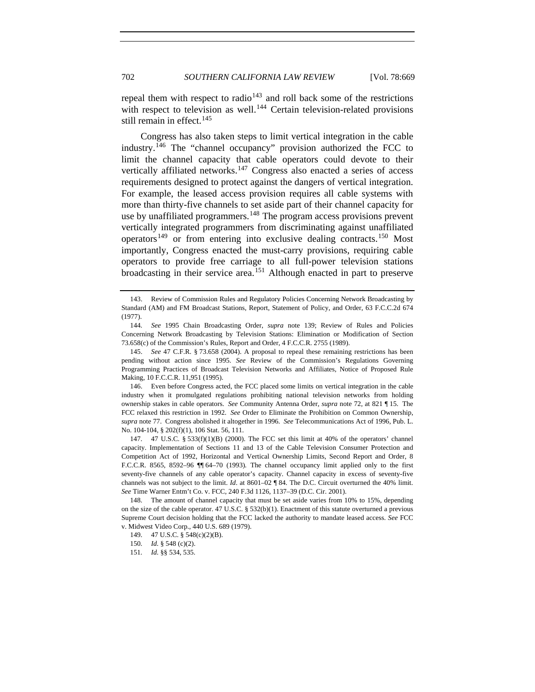repeal them with respect to radio<sup> $143$ </sup> and roll back some of the restrictions with respect to television as well.<sup>[144](#page-33-1)</sup> Certain television-related provisions still remain in effect.<sup>[145](#page-33-2)</sup>

Congress has also taken steps to limit vertical integration in the cable industry.[146](#page-33-3) The "channel occupancy" provision authorized the FCC to limit the channel capacity that cable operators could devote to their vertically affiliated networks.<sup>[147](#page-33-4)</sup> Congress also enacted a series of access requirements designed to protect against the dangers of vertical integration. For example, the leased access provision requires all cable systems with more than thirty-five channels to set aside part of their channel capacity for use by unaffiliated programmers.<sup>[148](#page-33-5)</sup> The program access provisions prevent vertically integrated programmers from discriminating against unaffiliated operators<sup>[149](#page-33-6)</sup> or from entering into exclusive dealing contracts.<sup>[150](#page-33-7)</sup> Most importantly, Congress enacted the must-carry provisions, requiring cable operators to provide free carriage to all full-power television stations broadcasting in their service area.<sup>[151](#page-33-8)</sup> Although enacted in part to preserve

<span id="page-33-3"></span> 146. Even before Congress acted, the FCC placed some limits on vertical integration in the cable industry when it promulgated regulations prohibiting national television networks from holding ownership stakes in cable operators. *See* Community Antenna Order, *supra* note 72, at 821 ¶ 15. The FCC relaxed this restriction in 1992. *See* Order to Eliminate the Prohibition on Common Ownership, *supra* note 77. Congress abolished it altogether in 1996. *See* Telecommunications Act of 1996, Pub. L. No. 104-104, § 202(f)(1), 106 Stat. 56, 111.

<span id="page-33-4"></span>147. 47 U.S.C.  $\S 533(f)(1)(B)$  (2000). The FCC set this limit at 40% of the operators' channel capacity. Implementation of Sections 11 and 13 of the Cable Television Consumer Protection and Competition Act of 1992, Horizontal and Vertical Ownership Limits, Second Report and Order, 8 F.C.C.R. 8565, 8592–96 ¶¶ 64–70 (1993)*.* The channel occupancy limit applied only to the first seventy-five channels of any cable operator's capacity. Channel capacity in excess of seventy-five channels was not subject to the limit. *Id*. at 8601–02 ¶ 84. The D.C. Circuit overturned the 40% limit. *See* Time Warner Entm't Co. v. FCC, 240 F.3d 1126, 1137–39 (D.C. Cir. 2001).

<span id="page-33-7"></span><span id="page-33-6"></span><span id="page-33-5"></span> 148. The amount of channel capacity that must be set aside varies from 10% to 15%, depending on the size of the cable operator. 47 U.S.C. § 532(b)(1). Enactment of this statute overturned a previous Supreme Court decision holding that the FCC lacked the authority to mandate leased access. *See* FCC v. Midwest Video Corp., 440 U.S. 689 (1979).

<span id="page-33-0"></span><sup>143.</sup> Review of Commission Rules and Regulatory Policies Concerning Network Broadcasting by Standard (AM) and FM Broadcast Stations, Report, Statement of Policy, and Order, 63 F.C.C.2d 674 (1977).

<span id="page-33-1"></span><sup>144</sup>*. See* 1995 Chain Broadcasting Order, *supra* note 139; Review of Rules and Policies Concerning Network Broadcasting by Television Stations: Elimination or Modification of Section 73.658(c) of the Commission's Rules, Report and Order, 4 F.C.C.R. 2755 (1989).

<span id="page-33-2"></span><sup>145.</sup> *See* 47 C.F.R. § 73.658 (2004). A proposal to repeal these remaining restrictions has been pending without action since 1995. *See* Review of the Commission's Regulations Governing Programming Practices of Broadcast Television Networks and Affiliates, Notice of Proposed Rule Making, 10 F.C.C.R. 11,951 (1995).

 <sup>149. 47</sup> U.S.C. § 548(c)(2)(B).

<sup>150</sup>*. Id.* § 548 (c)(2).

<span id="page-33-8"></span><sup>151</sup>*. Id.* §§ 534, 535.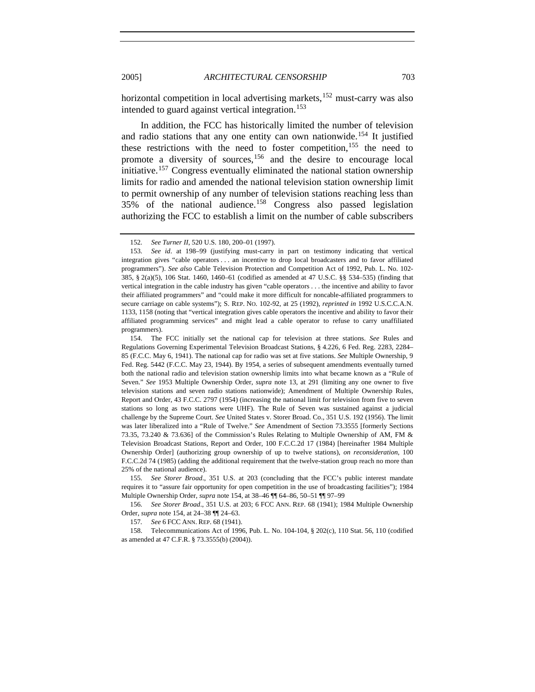horizontal competition in local advertising markets,<sup>[152](#page-34-0)</sup> must-carry was also intended to guard against vertical integration.<sup>[153](#page-34-1)</sup>

In addition, the FCC has historically limited the number of television and radio stations that any one entity can own nationwide.<sup>[154](#page-34-2)</sup> It justified these restrictions with the need to foster competition,  $155$  the need to promote a diversity of sources,<sup>[156](#page-34-4)</sup> and the desire to encourage local initiative.[157](#page-34-5) Congress eventually eliminated the national station ownership limits for radio and amended the national television station ownership limit to permit ownership of any number of television stations reaching less than 35% of the national audience.[158](#page-34-6) Congress also passed legislation authorizing the FCC to establish a limit on the number of cable subscribers

<span id="page-34-3"></span>155*. See Storer Broad*., 351 U.S. at 203 (concluding that the FCC's public interest mandate requires it to "assure fair opportunity for open competition in the use of broadcasting facilities"); 1984 Multiple Ownership Order, *supra* note 154, at 38–46 ¶¶ 64–86, 50–51 ¶¶ 97–99

<span id="page-34-4"></span>156*. See Storer Broad*., 351 U.S. at 203; 6 FCC ANN. REP. 68 (1941); 1984 Multiple Ownership Order, *supra* note 154, at 24–38 ¶¶ 24–63.

157*. See* 6 FCC ANN. REP. 68 (1941).

<span id="page-34-6"></span><span id="page-34-5"></span> 158. Telecommunications Act of 1996, Pub. L. No. 104-104, § 202(c), 110 Stat. 56, 110 (codified as amended at 47 C.F.R. § 73.3555(b) (2004)).

<sup>152</sup>*. See Turner II*, 520 U.S. 180, 200–01 (1997).

<span id="page-34-1"></span><span id="page-34-0"></span><sup>153</sup>*. See id*. at 198–99 (justifying must-carry in part on testimony indicating that vertical integration gives "cable operators . . . an incentive to drop local broadcasters and to favor affiliated programmers"). *See also* Cable Television Protection and Competition Act of 1992, Pub. L. No. 102- 385, § 2(a)(5), 106 Stat. 1460, 1460–61 (codified as amended at 47 U.S.C. §§ 534–535) (finding that vertical integration in the cable industry has given "cable operators . . . the incentive and ability to favor their affiliated programmers" and "could make it more difficult for noncable-affiliated programmers to secure carriage on cable systems"); S. REP. NO. 102-92, at 25 (1992), *reprinted in* 1992 U.S.C.C.A.N. 1133, 1158 (noting that "vertical integration gives cable operators the incentive and ability to favor their affiliated programming services" and might lead a cable operator to refuse to carry unaffiliated programmers).

<span id="page-34-2"></span> <sup>154.</sup> The FCC initially set the national cap for television at three stations. *See* Rules and Regulations Governing Experimental Television Broadcast Stations, § 4.226, 6 Fed. Reg. 2283, 2284– 85 (F.C.C. May 6, 1941). The national cap for radio was set at five stations. *See* Multiple Ownership, 9 Fed. Reg. 5442 (F.C.C. May 23, 1944). By 1954, a series of subsequent amendments eventually turned both the national radio and television station ownership limits into what became known as a "Rule of Seven." *See* 1953 Multiple Ownership Order, *supra* note 13, at 291 (limiting any one owner to five television stations and seven radio stations nationwide); Amendment of Multiple Ownership Rules, Report and Order, 43 F.C.C. 2797 (1954) (increasing the national limit for television from five to seven stations so long as two stations were UHF). The Rule of Seven was sustained against a judicial challenge by the Supreme Court. *See* United States v. Storer Broad. Co., 351 U.S. 192 (1956). The limit was later liberalized into a "Rule of Twelve." *See* Amendment of Section 73.3555 [formerly Sections 73.35, 73.240 & 73.636] of the Commission's Rules Relating to Multiple Ownership of AM, FM & Television Broadcast Stations, Report and Order, 100 F.C.C.2d 17 (1984) [hereinafter 1984 Multiple Ownership Order] (authorizing group ownership of up to twelve stations), *on reconsideration*, 100 F.C.C.2d 74 (1985) (adding the additional requirement that the twelve-station group reach no more than 25% of the national audience).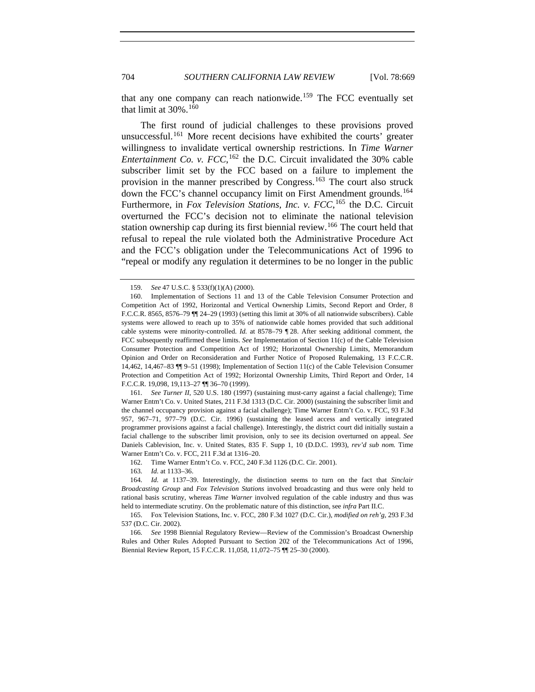that any one company can reach nationwide.<sup>[159](#page-35-0)</sup> The FCC eventually set that limit at  $30\%$ .<sup>[160](#page-35-1)</sup>

The first round of judicial challenges to these provisions proved unsuccessful.[161](#page-35-2) More recent decisions have exhibited the courts' greater willingness to invalidate vertical ownership restrictions. In *Time Warner Entertainment Co. v.*  $FCC$ *,* <sup>[162](#page-35-3)</sup> the D.C. Circuit invalidated the 30% cable subscriber limit set by the FCC based on a failure to implement the provision in the manner prescribed by Congress.<sup>[163](#page-35-4)</sup> The court also struck down the FCC's channel occupancy limit on First Amendment grounds.<sup>[164](#page-35-5)</sup> Furthermore, in *Fox Television Stations, Inc. v. FCC*, [165](#page-35-6) the D.C. Circuit overturned the FCC's decision not to eliminate the national television station ownership cap during its first biennial review.[166](#page-35-7) The court held that refusal to repeal the rule violated both the Administrative Procedure Act and the FCC's obligation under the Telecommunications Act of 1996 to "repeal or modify any regulation it determines to be no longer in the public

<span id="page-35-2"></span>161*. See Turner II*, 520 U.S. 180 (1997) (sustaining must-carry against a facial challenge); Time Warner Entm't Co. v. United States, 211 F.3d 1313 (D.C. Cir. 2000) (sustaining the subscriber limit and the channel occupancy provision against a facial challenge); Time Warner Entm't Co. v. FCC, 93 F.3d 957, 967–71, 977–79 (D.C. Cir. 1996) (sustaining the leased access and vertically integrated programmer provisions against a facial challenge). Interestingly, the district court did initially sustain a facial challenge to the subscriber limit provision, only to see its decision overturned on appeal. *See* Daniels Cablevision, Inc. v. United States, 835 F. Supp 1, 10 (D.D.C. 1993), *rev'd sub nom.* Time Warner Entm't Co. v. FCC, 211 F.3d at 1316–20.

162. Time Warner Entm't Co. v. FCC, 240 F.3d 1126 (D.C. Cir. 2001).

163*. Id.* at 1133–36.

<span id="page-35-6"></span> 165. Fox Television Stations, Inc. v. FCC, 280 F.3d 1027 (D.C. Cir.), *modified on reh'g*, 293 F.3d 537 (D.C. Cir. 2002).

<span id="page-35-7"></span>166*. See* 1998 Biennial Regulatory Review—Review of the Commission's Broadcast Ownership Rules and Other Rules Adopted Pursuant to Section 202 of the Telecommunications Act of 1996, Biennial Review Report, 15 F.C.C.R. 11,058, 11,072–75 ¶¶ 25–30 (2000).

<sup>159</sup>*. See* 47 U.S.C. § 533(f)(1)(A) (2000).

<span id="page-35-1"></span><span id="page-35-0"></span> <sup>160.</sup> Implementation of Sections 11 and 13 of the Cable Television Consumer Protection and Competition Act of 1992, Horizontal and Vertical Ownership Limits, Second Report and Order, 8 F.C.C.R. 8565, 8576–79 ¶¶ 24–29 (1993) (setting this limit at 30% of all nationwide subscribers). Cable systems were allowed to reach up to 35% of nationwide cable homes provided that such additional cable systems were minority-controlled. *Id.* at 8578–79 ¶ 28. After seeking additional comment, the FCC subsequently reaffirmed these limits. *See* Implementation of Section 11(c) of the Cable Television Consumer Protection and Competition Act of 1992; Horizontal Ownership Limits, Memorandum Opinion and Order on Reconsideration and Further Notice of Proposed Rulemaking, 13 F.C.C.R. 14,462, 14,467–83 ¶¶ 9–51 (1998); Implementation of Section 11(c) of the Cable Television Consumer Protection and Competition Act of 1992; Horizontal Ownership Limits, Third Report and Order, 14 F.C.C.R. 19,098, 19,113–27 ¶¶ 36–70 (1999).

<span id="page-35-5"></span><span id="page-35-4"></span><span id="page-35-3"></span><sup>164</sup>*. Id.* at 1137–39. Interestingly, the distinction seems to turn on the fact that *Sinclair Broadcasting Group* and *Fox Television Stations* involved broadcasting and thus were only held to rational basis scrutiny, whereas *Time Warner* involved regulation of the cable industry and thus was held to intermediate scrutiny. On the problematic nature of this distinction, see *infra* Part II.C.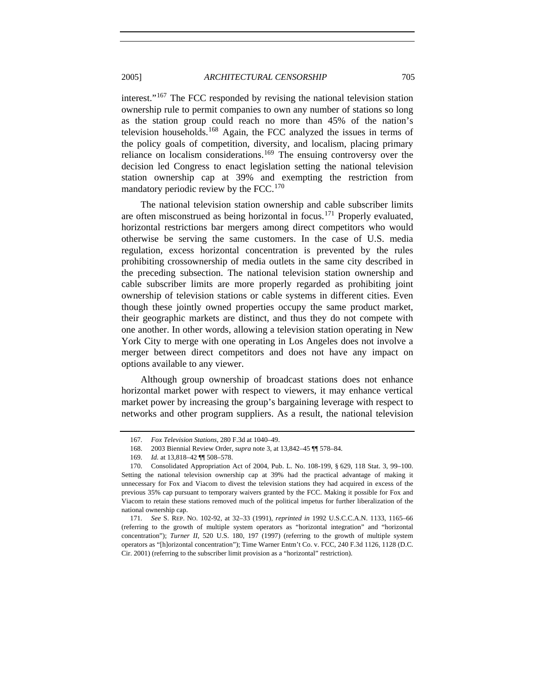interest."[167](#page-36-0) The FCC responded by revising the national television station ownership rule to permit companies to own any number of stations so long as the station group could reach no more than 45% of the nation's television households.<sup>[168](#page-36-1)</sup> Again, the FCC analyzed the issues in terms of the policy goals of competition, diversity, and localism, placing primary reliance on localism considerations.[169](#page-36-2) The ensuing controversy over the decision led Congress to enact legislation setting the national television station ownership cap at 39% and exempting the restriction from mandatory periodic review by the FCC.<sup>[170](#page-36-3)</sup>

The national television station ownership and cable subscriber limits are often misconstrued as being horizontal in focus.<sup>[171](#page-36-4)</sup> Properly evaluated, horizontal restrictions bar mergers among direct competitors who would otherwise be serving the same customers. In the case of U.S. media regulation, excess horizontal concentration is prevented by the rules prohibiting crossownership of media outlets in the same city described in the preceding subsection. The national television station ownership and cable subscriber limits are more properly regarded as prohibiting joint ownership of television stations or cable systems in different cities. Even though these jointly owned properties occupy the same product market, their geographic markets are distinct, and thus they do not compete with one another. In other words, allowing a television station operating in New York City to merge with one operating in Los Angeles does not involve a merger between direct competitors and does not have any impact on options available to any viewer.

Although group ownership of broadcast stations does not enhance horizontal market power with respect to viewers, it may enhance vertical market power by increasing the group's bargaining leverage with respect to networks and other program suppliers. As a result, the national television

<sup>167</sup>*. Fox Television Stations*, 280 F.3d at 1040–49.

 <sup>168. 2003</sup> Biennial Review Order, *supra* note 3, at 13,842–45 ¶¶ 578–84.

<sup>169.</sup> *Id.* at 13,818–42  $\P$  508–578.

<span id="page-36-3"></span><span id="page-36-2"></span><span id="page-36-1"></span><span id="page-36-0"></span> <sup>170.</sup> Consolidated Appropriation Act of 2004, Pub. L. No. 108-199, § 629, 118 Stat. 3, 99–100. Setting the national television ownership cap at 39% had the practical advantage of making it unnecessary for Fox and Viacom to divest the television stations they had acquired in excess of the previous 35% cap pursuant to temporary waivers granted by the FCC. Making it possible for Fox and Viacom to retain these stations removed much of the political impetus for further liberalization of the national ownership cap.

<span id="page-36-4"></span><sup>171</sup>*. See* S. REP. NO. 102-92, at 32–33 (1991), *reprinted in* 1992 U.S.C.C.A.N. 1133, 1165–66 (referring to the growth of multiple system operators as "horizontal integration" and "horizontal concentration"); *Turner II*, 520 U.S. 180, 197 (1997) (referring to the growth of multiple system operators as "[h]orizontal concentration"); Time Warner Entm't Co. v. FCC, 240 F.3d 1126, 1128 (D.C. Cir. 2001) (referring to the subscriber limit provision as a "horizontal" restriction).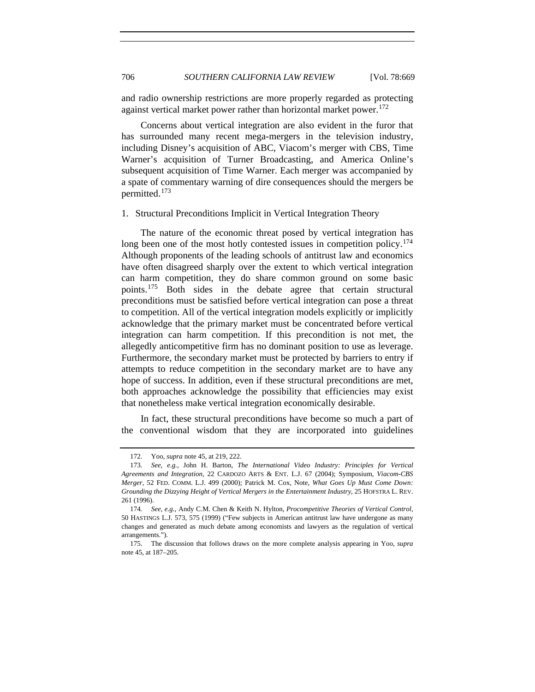and radio ownership restrictions are more properly regarded as protecting against vertical market power rather than horizontal market power.<sup>[172](#page-37-1)</sup>

Concerns about vertical integration are also evident in the furor that has surrounded many recent mega-mergers in the television industry, including Disney's acquisition of ABC, Viacom's merger with CBS, Time Warner's acquisition of Turner Broadcasting, and America Online's subsequent acquisition of Time Warner. Each merger was accompanied by a spate of commentary warning of dire consequences should the mergers be permitted.[173](#page-37-2)

<span id="page-37-0"></span>1. Structural Preconditions Implicit in Vertical Integration Theory

The nature of the economic threat posed by vertical integration has long been one of the most hotly contested issues in competition policy.<sup>[174](#page-37-3)</sup> Although proponents of the leading schools of antitrust law and economics have often disagreed sharply over the extent to which vertical integration can harm competition, they do share common ground on some basic points.[175](#page-37-4) Both sides in the debate agree that certain structural preconditions must be satisfied before vertical integration can pose a threat to competition. All of the vertical integration models explicitly or implicitly acknowledge that the primary market must be concentrated before vertical integration can harm competition. If this precondition is not met, the allegedly anticompetitive firm has no dominant position to use as leverage. Furthermore, the secondary market must be protected by barriers to entry if attempts to reduce competition in the secondary market are to have any hope of success. In addition, even if these structural preconditions are met, both approaches acknowledge the possibility that efficiencies may exist that nonetheless make vertical integration economically desirable.

In fact, these structural preconditions have become so much a part of the conventional wisdom that they are incorporated into guidelines

 <sup>172.</sup> Yoo, *supra* note 45, at 219, 222.

<span id="page-37-2"></span><span id="page-37-1"></span><sup>173</sup>*. See, e.g.*, John H. Barton, *The International Video Industry: Principles for Vertical Agreements and Integration*, 22 CARDOZO ARTS & ENT. L.J. 67 (2004); Symposium, *Viacom-CBS Merger*, 52 FED. COMM. L.J. 499 (2000); Patrick M. Cox, Note, *What Goes Up Must Come Down: Grounding the Dizzying Height of Vertical Mergers in the Entertainment Industry*, 25 HOFSTRA L. REV. 261 (1996).

<span id="page-37-3"></span><sup>174</sup>*. See, e.g.*, Andy C.M. Chen & Keith N. Hylton, *Procompetitive Theories of Vertical Control*, 50 HASTINGS L.J. 573, 575 (1999) ("Few subjects in American antitrust law have undergone as many changes and generated as much debate among economists and lawyers as the regulation of vertical arrangements.").

<span id="page-37-4"></span> <sup>175.</sup> The discussion that follows draws on the more complete analysis appearing in Yoo, *supra* note 45, at 187–205.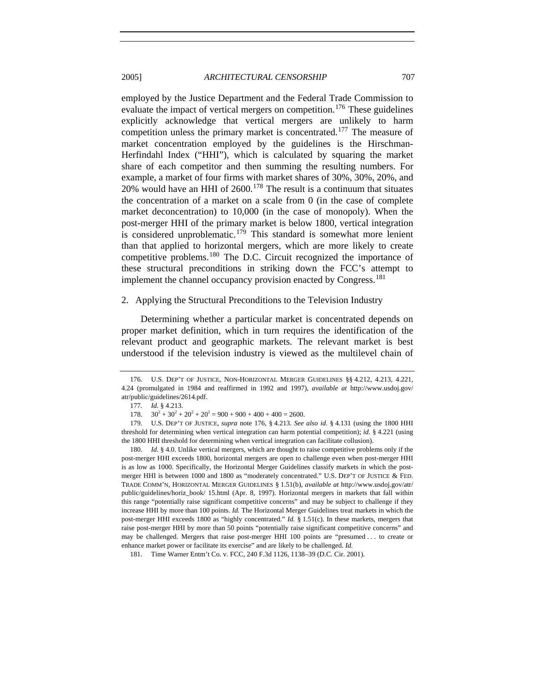#### <span id="page-38-0"></span>2005] *ARCHITECTURAL CENSORSHIP* 707

employed by the Justice Department and the Federal Trade Commission to evaluate the impact of vertical mergers on competition.<sup>[176](#page-38-1)</sup> These guidelines explicitly acknowledge that vertical mergers are unlikely to harm competition unless the primary market is concentrated.<sup>[177](#page-38-2)</sup> The measure of market concentration employed by the guidelines is the Hirschman-Herfindahl Index ("HHI"), which is calculated by squaring the market share of each competitor and then summing the resulting numbers. For example, a market of four firms with market shares of 30%, 30%, 20%, and 20% would have an HHI of  $2600$ .<sup>[178](#page-38-3)</sup> The result is a continuum that situates the concentration of a market on a scale from 0 (in the case of complete market deconcentration) to 10,000 (in the case of monopoly). When the post-merger HHI of the primary market is below 1800, vertical integration is considered unproblematic.<sup>[179](#page-38-4)</sup> This standard is somewhat more lenient than that applied to horizontal mergers, which are more likely to create competitive problems.[180](#page-38-5) The D.C. Circuit recognized the importance of these structural preconditions in striking down the FCC's attempt to implement the channel occupancy provision enacted by Congress.<sup>[181](#page-38-6)</sup>

#### 2. Applying the Structural Preconditions to the Television Industry

Determining whether a particular market is concentrated depends on proper market definition, which in turn requires the identification of the relevant product and geographic markets. The relevant market is best understood if the television industry is viewed as the multilevel chain of

<span id="page-38-1"></span> <sup>176.</sup> U.S. DEP'T OF JUSTICE, NON-HORIZONTAL MERGER GUIDELINES §§ 4.212, 4.213, 4.221, 4.24 (promulgated in 1984 and reaffirmed in 1992 and 1997), *available at* http://www.usdoj.gov/ atr/public/guidelines/2614.pdf.

<sup>177</sup>*. Id.* § 4.213.

<sup>178.</sup>  $+30^2 + 20^2 + 20^2 = 900 + 900 + 400 + 400 = 2600.$ 

<span id="page-38-4"></span><span id="page-38-3"></span><span id="page-38-2"></span> <sup>179.</sup> U.S. DEP'T OF JUSTICE, *supra* note 176, § 4.213. *See also id.* § 4.131 (using the 1800 HHI threshold for determining when vertical integration can harm potential competition); *id.* § 4.221 (using the 1800 HHI threshold for determining when vertical integration can facilitate collusion).

<span id="page-38-5"></span> <sup>180.</sup> *Id.* § 4.0. Unlike vertical mergers, which are thought to raise competitive problems only if the post-merger HHI exceeds 1800, horizontal mergers are open to challenge even when post-merger HHI is as low as 1000. Specifically, the Horizontal Merger Guidelines classify markets in which the postmerger HHI is between 1000 and 1800 as "moderately concentrated." U.S. DEP'T OF JUSTICE & FED. TRADE COMM'N, HORIZONTAL MERGER GUIDELINES § 1.51(b), *available at* http://www.usdoj.gov/atr/ public/guidelines/horiz\_book/ 15.html (Apr. 8, 1997). Horizontal mergers in markets that fall within this range "potentially raise significant competitive concerns" and may be subject to challenge if they increase HHI by more than 100 points. *Id.* The Horizontal Merger Guidelines treat markets in which the post-merger HHI exceeds 1800 as "highly concentrated." *Id.* § 1.51(c). In these markets, mergers that raise post-merger HHI by more than 50 points "potentially raise significant competitive concerns" and may be challenged. Mergers that raise post-merger HHI 100 points are "presumed . . . to create or enhance market power or facilitate its exercise" and are likely to be challenged. *Id.*

<span id="page-38-6"></span> <sup>181.</sup> Time Warner Entm't Co. v. FCC, 240 F.3d 1126, 1138–39 (D.C. Cir. 2001).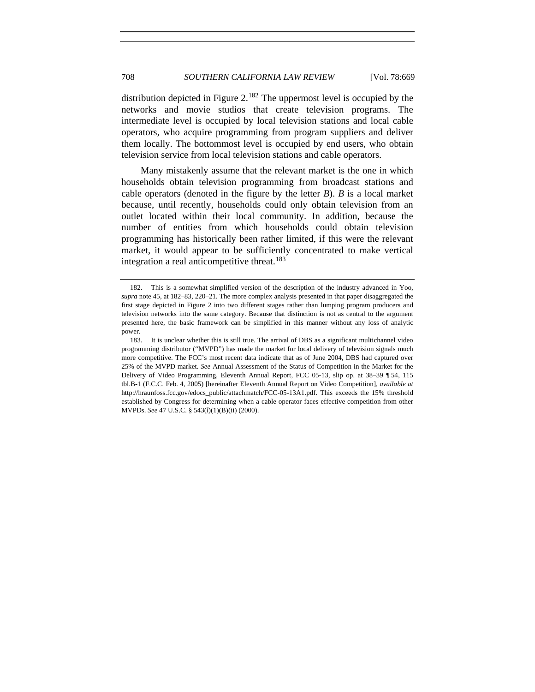# 708 *SOUTHERN CALIFORNIA LAW REVIEW* [Vol. 78:669

distribution depicted in Figure  $2^{182}$  $2^{182}$  $2^{182}$ . The uppermost level is occupied by the networks and movie studios that create television programs. The intermediate level is occupied by local television stations and local cable operators, who acquire programming from program suppliers and deliver them locally. The bottommost level is occupied by end users, who obtain television service from local television stations and cable operators.

Many mistakenly assume that the relevant market is the one in which households obtain television programming from broadcast stations and cable operators (denoted in the figure by the letter *B*). *B* is a local market because, until recently, households could only obtain television from an outlet located within their local community. In addition, because the number of entities from which households could obtain television programming has historically been rather limited, if this were the relevant market, it would appear to be sufficiently concentrated to make vertical integration a real anticompetitive threat.<sup>[183](#page-39-1)</sup>

<span id="page-39-0"></span> <sup>182.</sup> This is a somewhat simplified version of the description of the industry advanced in Yoo, *supra* note 45, at 182–83, 220–21. The more complex analysis presented in that paper disaggregated the first stage depicted in Figure 2 into two different stages rather than lumping program producers and television networks into the same category. Because that distinction is not as central to the argument presented here, the basic framework can be simplified in this manner without any loss of analytic power.

<span id="page-39-1"></span> <sup>183.</sup> It is unclear whether this is still true. The arrival of DBS as a significant multichannel video programming distributor ("MVPD") has made the market for local delivery of television signals much more competitive. The FCC's most recent data indicate that as of June 2004, DBS had captured over 25% of the MVPD market. *See* Annual Assessment of the Status of Competition in the Market for the Delivery of Video Programming, Eleventh Annual Report, FCC 05-13, slip op. at 38–39 ¶ 54, 115 tbl.B-1 (F.C.C. Feb. 4, 2005) [hereinafter Eleventh Annual Report on Video Competition], *available at* http://hraunfoss.fcc.gov/edocs\_public/attachmatch/FCC-05-13A1.pdf. This exceeds the 15% threshold established by Congress for determining when a cable operator faces effective competition from other MVPDs. *See* 47 U.S.C. § 543(*l*)(1)(B)(ii) (2000).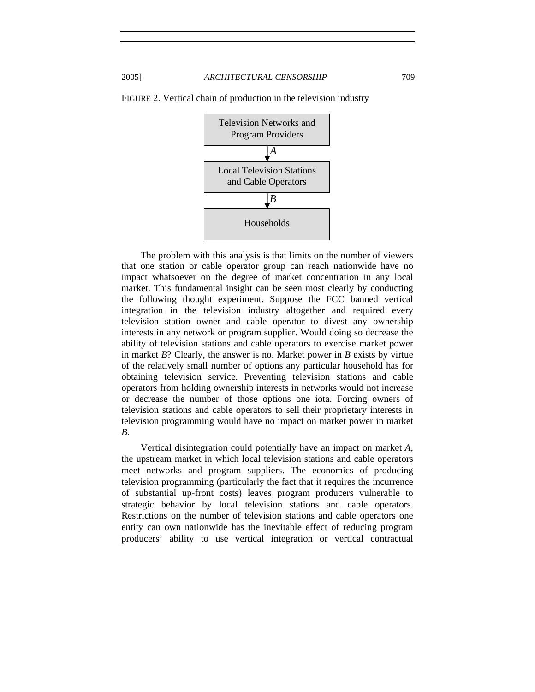

FIGURE 2. Vertical chain of production in the television industry

 The problem with this analysis is that limits on the number of viewers that one station or cable operator group can reach nationwide have no impact whatsoever on the degree of market concentration in any local market. This fundamental insight can be seen most clearly by conducting the following thought experiment. Suppose the FCC banned vertical integration in the television industry altogether and required every television station owner and cable operator to divest any ownership interests in any network or program supplier. Would doing so decrease the ability of television stations and cable operators to exercise market power in market *B*? Clearly, the answer is no. Market power in *B* exists by virtue of the relatively small number of options any particular household has for obtaining television service. Preventing television stations and cable operators from holding ownership interests in networks would not increase or decrease the number of those options one iota. Forcing owners of television stations and cable operators to sell their proprietary interests in television programming would have no impact on market power in market *B*.

Vertical disintegration could potentially have an impact on market *A*, the upstream market in which local television stations and cable operators meet networks and program suppliers. The economics of producing television programming (particularly the fact that it requires the incurrence of substantial up-front costs) leaves program producers vulnerable to strategic behavior by local television stations and cable operators. Restrictions on the number of television stations and cable operators one entity can own nationwide has the inevitable effect of reducing program producers' ability to use vertical integration or vertical contractual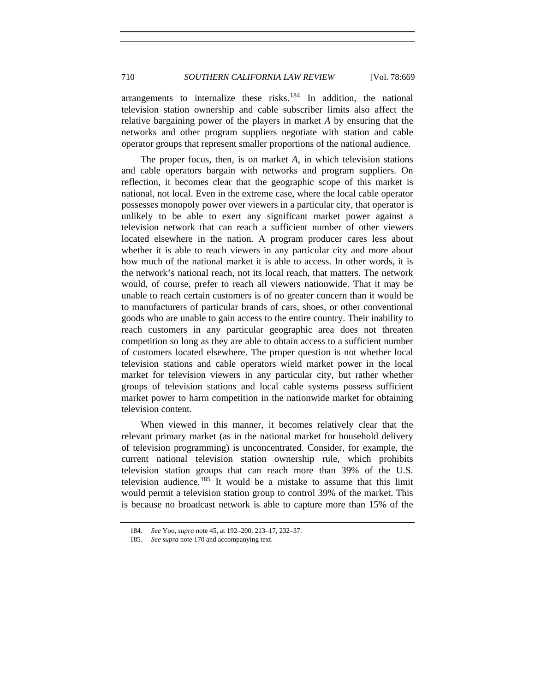arrangements to internalize these risks.<sup>[184](#page-41-0)</sup> In addition, the national television station ownership and cable subscriber limits also affect the relative bargaining power of the players in market *A* by ensuring that the networks and other program suppliers negotiate with station and cable operator groups that represent smaller proportions of the national audience.

The proper focus, then, is on market *A*, in which television stations and cable operators bargain with networks and program suppliers. On reflection, it becomes clear that the geographic scope of this market is national, not local. Even in the extreme case, where the local cable operator possesses monopoly power over viewers in a particular city, that operator is unlikely to be able to exert any significant market power against a television network that can reach a sufficient number of other viewers located elsewhere in the nation. A program producer cares less about whether it is able to reach viewers in any particular city and more about how much of the national market it is able to access. In other words, it is the network's national reach, not its local reach, that matters. The network would, of course, prefer to reach all viewers nationwide. That it may be unable to reach certain customers is of no greater concern than it would be to manufacturers of particular brands of cars, shoes, or other conventional goods who are unable to gain access to the entire country. Their inability to reach customers in any particular geographic area does not threaten competition so long as they are able to obtain access to a sufficient number of customers located elsewhere. The proper question is not whether local television stations and cable operators wield market power in the local market for television viewers in any particular city, but rather whether groups of television stations and local cable systems possess sufficient market power to harm competition in the nationwide market for obtaining television content.

When viewed in this manner, it becomes relatively clear that the relevant primary market (as in the national market for household delivery of television programming) is unconcentrated. Consider, for example, the current national television station ownership rule, which prohibits television station groups that can reach more than 39% of the U.S. television audience.<sup>[185](#page-41-1)</sup> It would be a mistake to assume that this limit would permit a television station group to control 39% of the market. This is because no broadcast network is able to capture more than 15% of the

<sup>184</sup>*. See* Yoo, *supra* note 45, at 192–200, 213–17, 232–37.

<span id="page-41-1"></span><span id="page-41-0"></span><sup>185</sup>*. See supra* note 170 and accompanying text.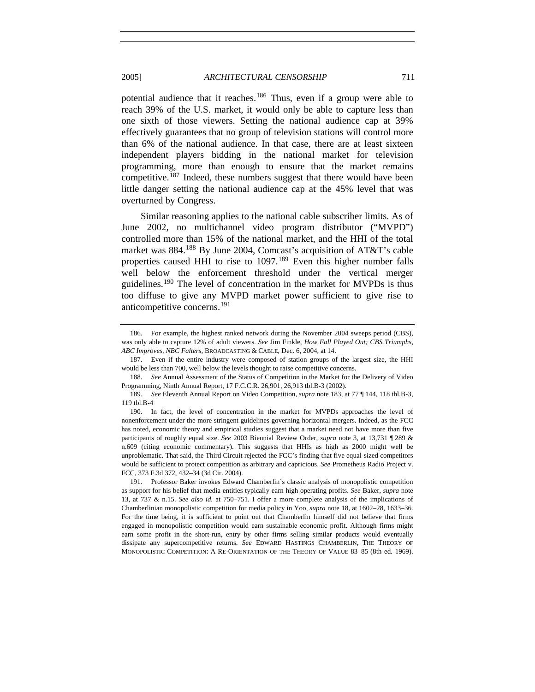potential audience that it reaches.<sup>[186](#page-42-0)</sup> Thus, even if a group were able to reach 39% of the U.S. market, it would only be able to capture less than one sixth of those viewers. Setting the national audience cap at 39% effectively guarantees that no group of television stations will control more than 6% of the national audience. In that case, there are at least sixteen independent players bidding in the national market for television programming, more than enough to ensure that the market remains competitive.[187](#page-42-1) Indeed, these numbers suggest that there would have been little danger setting the national audience cap at the 45% level that was overturned by Congress.

Similar reasoning applies to the national cable subscriber limits. As of June 2002, no multichannel video program distributor ("MVPD") controlled more than 15% of the national market, and the HHI of the total market was 884.[188](#page-42-2) By June 2004, Comcast's acquisition of AT&T's cable properties caused HHI to rise to  $1097$ .<sup>[189](#page-42-3)</sup> Even this higher number falls well below the enforcement threshold under the vertical merger guidelines.[190](#page-42-4) The level of concentration in the market for MVPDs is thus too diffuse to give any MVPD market power sufficient to give rise to anticompetitive concerns.[191](#page-42-5)

<span id="page-42-0"></span> <sup>186.</sup> For example, the highest ranked network during the November 2004 sweeps period (CBS), was only able to capture 12% of adult viewers. *See* Jim Finkle, *How Fall Played Out; CBS Triumphs, ABC Improves, NBC Falters*, BROADCASTING & CABLE, Dec. 6, 2004, at 14.

<span id="page-42-1"></span> <sup>187.</sup> Even if the entire industry were composed of station groups of the largest size, the HHI would be less than 700, well below the levels thought to raise competitive concerns.

<span id="page-42-2"></span><sup>188</sup>*. See* Annual Assessment of the Status of Competition in the Market for the Delivery of Video Programming, Ninth Annual Report, 17 F.C.C.R. 26,901, 26,913 tbl.B-3 (2002).

<span id="page-42-3"></span><sup>189</sup>*. See* Eleventh Annual Report on Video Competition, *supra* note 183, at 77 ¶ 144, 118 tbl.B-3, 119 tbl.B-4

<span id="page-42-4"></span> <sup>190.</sup> In fact, the level of concentration in the market for MVPDs approaches the level of nonenforcement under the more stringent guidelines governing horizontal mergers. Indeed, as the FCC has noted, economic theory and empirical studies suggest that a market need not have more than five participants of roughly equal size. *See* 2003 Biennial Review Order, *supra* note 3, at 13,731 ¶ 289 & n.609 (citing economic commentary). This suggests that HHIs as high as 2000 might well be unproblematic. That said, the Third Circuit rejected the FCC's finding that five equal-sized competitors would be sufficient to protect competition as arbitrary and capricious. *See* Prometheus Radio Project v. FCC, 373 F.3d 372, 432–34 (3d Cir. 2004).

<span id="page-42-5"></span> <sup>191.</sup> Professor Baker invokes Edward Chamberlin's classic analysis of monopolistic competition as support for his belief that media entities typically earn high operating profits. *See* Baker, *supra* note 13, at 737 & n.15. *See also id.* at 750–751. I offer a more complete analysis of the implications of Chamberlinian monopolistic competition for media policy in Yoo, *supra* note 18, at 1602–28, 1633–36. For the time being, it is sufficient to point out that Chamberlin himself did not believe that firms engaged in monopolistic competition would earn sustainable economic profit. Although firms might earn some profit in the short-run, entry by other firms selling similar products would eventually dissipate any supercompetitive returns. *See* EDWARD HASTINGS CHAMBERLIN, THE THEORY OF MONOPOLISTIC COMPETITION: A RE-ORIENTATION OF THE THEORY OF VALUE 83–85 (8th ed. 1969).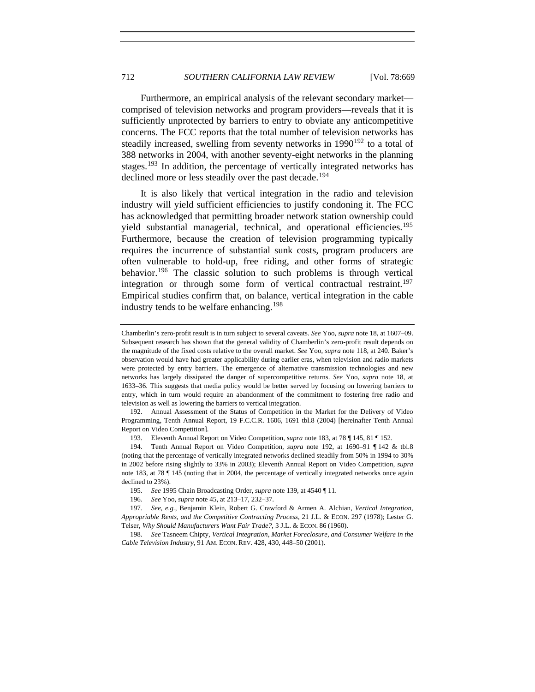Furthermore, an empirical analysis of the relevant secondary market comprised of television networks and program providers—reveals that it is sufficiently unprotected by barriers to entry to obviate any anticompetitive concerns. The FCC reports that the total number of television networks has steadily increased, swelling from seventy networks in  $1990^{192}$  $1990^{192}$  $1990^{192}$  to a total of 388 networks in 2004, with another seventy-eight networks in the planning stages.<sup>[193](#page-43-1)</sup> In addition, the percentage of vertically integrated networks has declined more or less steadily over the past decade.<sup>[194](#page-43-2)</sup>

It is also likely that vertical integration in the radio and television industry will yield sufficient efficiencies to justify condoning it. The FCC has acknowledged that permitting broader network station ownership could yield substantial managerial, technical, and operational efficiencies.<sup>[195](#page-43-3)</sup> Furthermore, because the creation of television programming typically requires the incurrence of substantial sunk costs, program producers are often vulnerable to hold-up, free riding, and other forms of strategic behavior.<sup>[196](#page-43-4)</sup> The classic solution to such problems is through vertical integration or through some form of vertical contractual restraint.<sup>[197](#page-43-5)</sup> Empirical studies confirm that, on balance, vertical integration in the cable industry tends to be welfare enhancing.<sup>[198](#page-43-6)</sup>

Chamberlin's zero-profit result is in turn subject to several caveats. *See* Yoo, *supra* note 18, at 1607–09. Subsequent research has shown that the general validity of Chamberlin's zero-profit result depends on the magnitude of the fixed costs relative to the overall market. *See* Yoo, *supra* note 118, at 240. Baker's observation would have had greater applicability during earlier eras, when television and radio markets were protected by entry barriers. The emergence of alternative transmission technologies and new networks has largely dissipated the danger of supercompetitive returns. *See* Yoo, *supra* note 18, at 1633–36. This suggests that media policy would be better served by focusing on lowering barriers to entry, which in turn would require an abandonment of the commitment to fostering free radio and television as well as lowering the barriers to vertical integration.

<span id="page-43-0"></span> <sup>192.</sup> Annual Assessment of the Status of Competition in the Market for the Delivery of Video Programming, Tenth Annual Report, 19 F.C.C.R. 1606, 1691 tbl.8 (2004) [hereinafter Tenth Annual Report on Video Competition].

 <sup>193.</sup> Eleventh Annual Report on Video Competition, *supra* note 183, at 78 ¶ 145, 81 ¶ 152.

<span id="page-43-2"></span><span id="page-43-1"></span><sup>194.</sup> Tenth Annual Report on Video Competition, *supra* note 192, at 1690–91 ¶ 142 & tbl.8 (noting that the percentage of vertically integrated networks declined steadily from 50% in 1994 to 30% in 2002 before rising slightly to 33% in 2003); Eleventh Annual Report on Video Competition, *supra*  note 183, at 78 ¶ 145 (noting that in 2004, the percentage of vertically integrated networks once again declined to 23%).

<sup>195</sup>*. See* 1995 Chain Broadcasting Order, *supra* note 139, at 4540 ¶ 11.

<sup>196</sup>*. See* Yoo, *supra* note 45, at 213–17, 232–37.

<span id="page-43-5"></span><span id="page-43-4"></span><span id="page-43-3"></span><sup>197</sup>*. See, e.g.*, Benjamin Klein, Robert G. Crawford & Armen A. Alchian, *Vertical Integration, Appropriable Rents, and the Competitive Contracting Process*, 21 J.L. & ECON. 297 (1978); Lester G. Telser, *Why Should Manufacturers Want Fair Trade?*, 3 J.L. & ECON. 86 (1960).

<span id="page-43-6"></span><sup>198</sup>*. See* Tasneem Chipty, *Vertical Integration, Market Foreclosure, and Consumer Welfare in the Cable Television Industry*, 91 AM. ECON. REV. 428, 430, 448–50 (2001).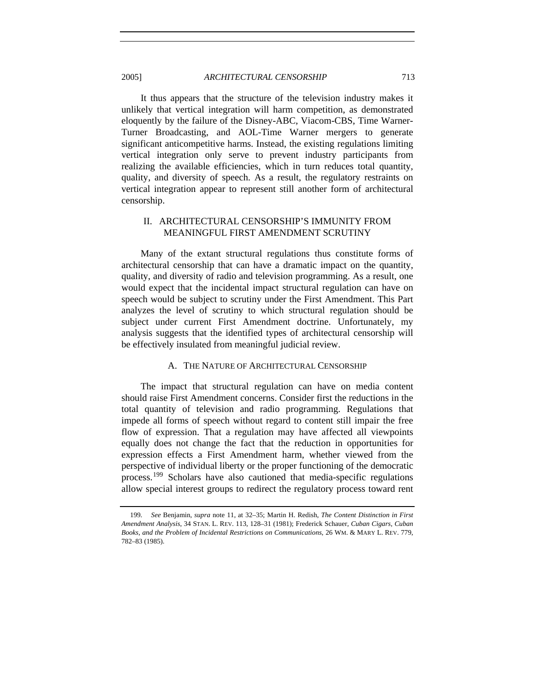<span id="page-44-0"></span>2005] *ARCHITECTURAL CENSORSHIP* 713

It thus appears that the structure of the television industry makes it unlikely that vertical integration will harm competition, as demonstrated eloquently by the failure of the Disney-ABC, Viacom-CBS, Time Warner-Turner Broadcasting, and AOL-Time Warner mergers to generate significant anticompetitive harms. Instead, the existing regulations limiting vertical integration only serve to prevent industry participants from realizing the available efficiencies, which in turn reduces total quantity, quality, and diversity of speech. As a result, the regulatory restraints on vertical integration appear to represent still another form of architectural censorship.

# II. ARCHITECTURAL CENSORSHIP'S IMMUNITY FROM MEANINGFUL FIRST AMENDMENT SCRUTINY

Many of the extant structural regulations thus constitute forms of architectural censorship that can have a dramatic impact on the quantity, quality, and diversity of radio and television programming. As a result, one would expect that the incidental impact structural regulation can have on speech would be subject to scrutiny under the First Amendment. This Part analyzes the level of scrutiny to which structural regulation should be subject under current First Amendment doctrine. Unfortunately, my analysis suggests that the identified types of architectural censorship will be effectively insulated from meaningful judicial review.

#### A. THE NATURE OF ARCHITECTURAL CENSORSHIP

The impact that structural regulation can have on media content should raise First Amendment concerns. Consider first the reductions in the total quantity of television and radio programming. Regulations that impede all forms of speech without regard to content still impair the free flow of expression. That a regulation may have affected all viewpoints equally does not change the fact that the reduction in opportunities for expression effects a First Amendment harm, whether viewed from the perspective of individual liberty or the proper functioning of the democratic process.[199](#page-44-1) Scholars have also cautioned that media-specific regulations allow special interest groups to redirect the regulatory process toward rent

<span id="page-44-1"></span><sup>199</sup>*. See* Benjamin, *supra* note 11, at 32–35; Martin H. Redish, *The Content Distinction in First Amendment Analysis*, 34 STAN. L. REV. 113, 128–31 (1981); Frederick Schauer, *Cuban Cigars, Cuban Books, and the Problem of Incidental Restrictions on Communications*, 26 WM. & MARY L. REV. 779, 782–83 (1985).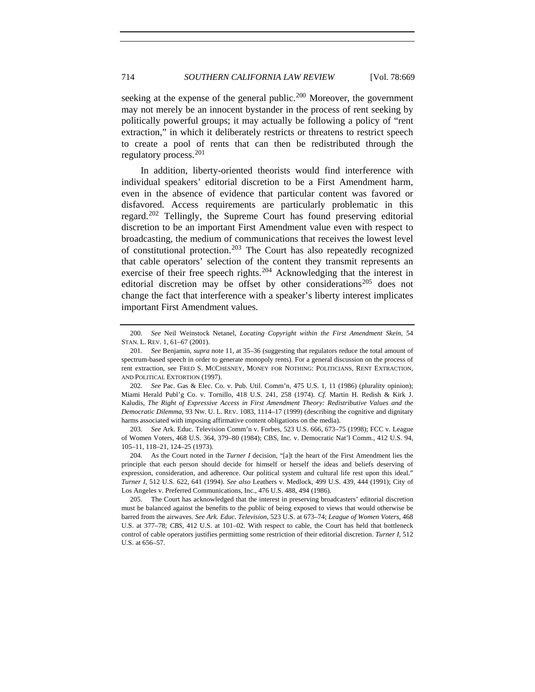seeking at the expense of the general public.<sup>[200](#page-45-0)</sup> Moreover, the government may not merely be an innocent bystander in the process of rent seeking by politically powerful groups; it may actually be following a policy of "rent extraction," in which it deliberately restricts or threatens to restrict speech to create a pool of rents that can then be redistributed through the regulatory process.[201](#page-45-1)

In addition, liberty-oriented theorists would find interference with individual speakers' editorial discretion to be a First Amendment harm, even in the absence of evidence that particular content was favored or disfavored. Access requirements are particularly problematic in this regard.[202](#page-45-2) Tellingly, the Supreme Court has found preserving editorial discretion to be an important First Amendment value even with respect to broadcasting, the medium of communications that receives the lowest level of constitutional protection.[203](#page-45-3) The Court has also repeatedly recognized that cable operators' selection of the content they transmit represents an exercise of their free speech rights.<sup>[204](#page-45-4)</sup> Acknowledging that the interest in editorial discretion may be offset by other considerations<sup>[205](#page-45-5)</sup> does not change the fact that interference with a speaker's liberty interest implicates important First Amendment values.

<span id="page-45-3"></span>203*. See* Ark. Educ. Television Comm'n v. Forbes, 523 U.S. 666, 673–75 (1998); FCC v. League of Women Voters, 468 U.S. 364, 379–80 (1984); CBS, Inc. v. Democratic Nat'l Comm., 412 U.S. 94, 105–11, 118–21, 124–25 (1973).

<span id="page-45-4"></span> 204. As the Court noted in the *Turner I* decision, "[a]t the heart of the First Amendment lies the principle that each person should decide for himself or herself the ideas and beliefs deserving of expression, consideration, and adherence. Our political system and cultural life rest upon this ideal." *Turner I*, 512 U.S. 622, 641 (1994). *See also* Leathers v. Medlock, 499 U.S. 439, 444 (1991); City of Los Angeles v. Preferred Communications, Inc., 476 U.S. 488, 494 (1986).

<span id="page-45-5"></span> 205. The Court has acknowledged that the interest in preserving broadcasters' editorial discretion must be balanced against the benefits to the public of being exposed to views that would otherwise be barred from the airwaves. *See Ark. Educ. Television*, 523 U.S. at 673–74; *League of Women Voters*, 468 U.S. at 377–78; *CBS*, 412 U.S. at 101–02. With respect to cable, the Court has held that bottleneck control of cable operators justifies permitting some restriction of their editorial discretion. *Turner I*, 512 U.S. at 656–57.

<span id="page-45-0"></span><sup>200</sup>*. See* Neil Weinstock Netanel, *Locating Copyright within the First Amendment Skein*, 54 STAN. L. REV. 1, 61–67 (2001).

<span id="page-45-1"></span><sup>201</sup>*. See* Benjamin, *supra* note 11, at 35–36 (suggesting that regulators reduce the total amount of spectrum-based speech in order to generate monopoly rents). For a general discussion on the process of rent extraction, see FRED S. MCCHESNEY, MONEY FOR NOTHING: POLITICIANS, RENT EXTRACTION, AND POLITICAL EXTORTION (1997).

<span id="page-45-2"></span><sup>202</sup>*. See* Pac. Gas & Elec. Co. v. Pub. Util. Comm'n, 475 U.S. 1, 11 (1986) (plurality opinion); Miami Herald Publ'g Co. v. Tornillo, 418 U.S. 241, 258 (1974). *Cf.* Martin H. Redish & Kirk J. Kaludis, *The Right of Expressive Access in First Amendment Theory: Redistributive Values and the Democratic Dilemma*, 93 NW. U. L. REV. 1083, 1114–17 (1999) (describing the cognitive and dignitary harms associated with imposing affirmative content obligations on the media).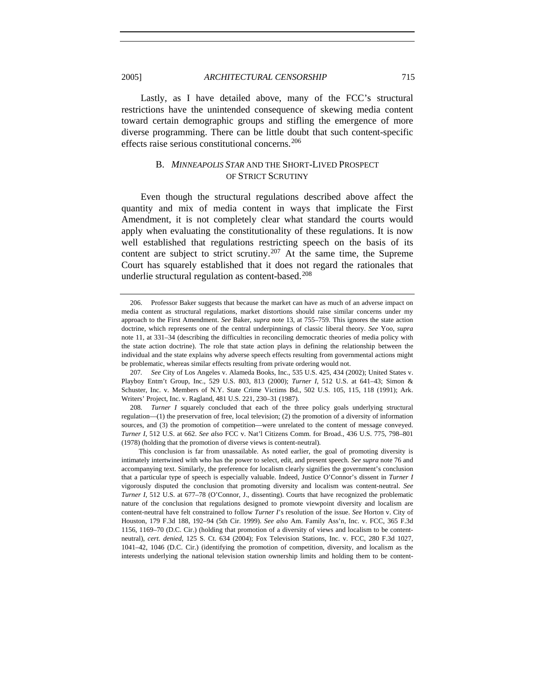Lastly, as I have detailed above, many of the FCC's structural restrictions have the unintended consequence of skewing media content toward certain demographic groups and stifling the emergence of more diverse programming. There can be little doubt that such content-specific effects raise serious constitutional concerns.<sup>[206](#page-46-1)</sup>

# B. *MINNEAPOLIS STAR* AND THE SHORT-LIVED PROSPECT OF STRICT SCRUTINY

Even though the structural regulations described above affect the quantity and mix of media content in ways that implicate the First Amendment, it is not completely clear what standard the courts would apply when evaluating the constitutionality of these regulations. It is now well established that regulations restricting speech on the basis of its content are subject to strict scrutiny.<sup>[207](#page-46-2)</sup> At the same time, the Supreme Court has squarely established that it does not regard the rationales that underlie structural regulation as content-based.<sup>[208](#page-46-3)</sup>

<span id="page-46-0"></span>

<span id="page-46-1"></span> <sup>206.</sup> Professor Baker suggests that because the market can have as much of an adverse impact on media content as structural regulations, market distortions should raise similar concerns under my approach to the First Amendment. *See* Baker, *supra* note 13, at 755–759. This ignores the state action doctrine, which represents one of the central underpinnings of classic liberal theory. *See* Yoo, *supra* note 11, at 331–34 (describing the difficulties in reconciling democratic theories of media policy with the state action doctrine). The role that state action plays in defining the relationship between the individual and the state explains why adverse speech effects resulting from governmental actions might be problematic, whereas similar effects resulting from private ordering would not.

<span id="page-46-2"></span><sup>207</sup>*. See* City of Los Angeles v. Alameda Books, Inc., 535 U.S. 425, 434 (2002); United States v. Playboy Entm't Group, Inc., 529 U.S. 803, 813 (2000); *Turner I*, 512 U.S. at 641–43; Simon & Schuster, Inc. v. Members of N.Y. State Crime Victims Bd., 502 U.S. 105, 115, 118 (1991); Ark. Writers' Project, Inc. v. Ragland, 481 U.S. 221, 230–31 (1987).

<span id="page-46-3"></span><sup>208</sup>*. Turner I* squarely concluded that each of the three policy goals underlying structural regulation—(1) the preservation of free, local television; (2) the promotion of a diversity of information sources, and (3) the promotion of competition—were unrelated to the content of message conveyed. *Turner I*, 512 U.S. at 662. *See also* FCC v. Nat'l Citizens Comm. for Broad., 436 U.S. 775, 798–801 (1978) (holding that the promotion of diverse views is content-neutral).

This conclusion is far from unassailable. As noted earlier, the goal of promoting diversity is intimately intertwined with who has the power to select, edit, and present speech. *See supra* note 76 and accompanying text. Similarly, the preference for localism clearly signifies the government's conclusion that a particular type of speech is especially valuable. Indeed, Justice O'Connor's dissent in *Turner I* vigorously disputed the conclusion that promoting diversity and localism was content-neutral. *See Turner I*, 512 U.S. at 677-78 (O'Connor, J., dissenting). Courts that have recognized the problematic nature of the conclusion that regulations designed to promote viewpoint diversity and localism are content-neutral have felt constrained to follow *Turner I*'s resolution of the issue. *See* Horton v. City of Houston, 179 F.3d 188, 192–94 (5th Cir. 1999). *See also* Am. Family Ass'n, Inc. v. FCC, 365 F.3d 1156, 1169–70 (D.C. Cir.) (holding that promotion of a diversity of views and localism to be contentneutral), *cert. denied*, 125 S. Ct. 634 (2004); Fox Television Stations, Inc. v. FCC, 280 F.3d 1027, 1041–42, 1046 (D.C. Cir.) (identifying the promotion of competition, diversity, and localism as the interests underlying the national television station ownership limits and holding them to be content-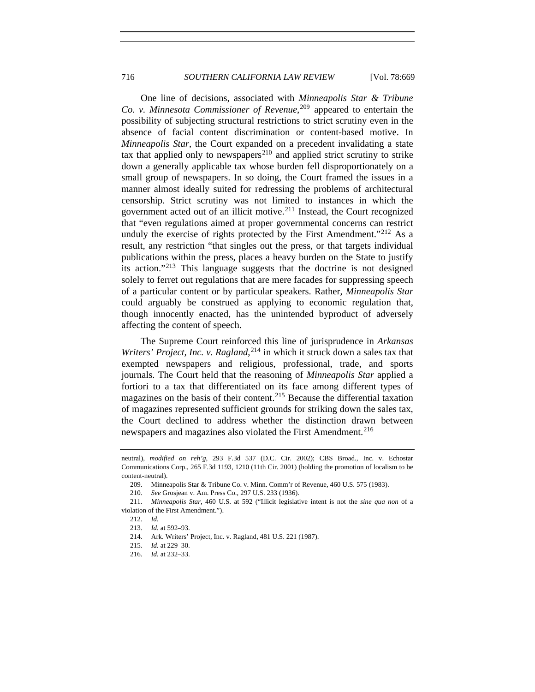One line of decisions, associated with *Minneapolis Star & Tribune Co. v. Minnesota Commissioner of Revenue*, [209](#page-47-0) appeared to entertain the possibility of subjecting structural restrictions to strict scrutiny even in the absence of facial content discrimination or content-based motive. In *Minneapolis Star*, the Court expanded on a precedent invalidating a state tax that applied only to newspapers<sup>[210](#page-47-1)</sup> and applied strict scrutiny to strike down a generally applicable tax whose burden fell disproportionately on a small group of newspapers. In so doing, the Court framed the issues in a manner almost ideally suited for redressing the problems of architectural censorship. Strict scrutiny was not limited to instances in which the government acted out of an illicit motive.[211](#page-47-2) Instead, the Court recognized that "even regulations aimed at proper governmental concerns can restrict unduly the exercise of rights protected by the First Amendment."<sup>[212](#page-47-3)</sup> As a result, any restriction "that singles out the press, or that targets individual publications within the press, places a heavy burden on the State to justify its action."[213](#page-47-4) This language suggests that the doctrine is not designed solely to ferret out regulations that are mere facades for suppressing speech of a particular content or by particular speakers. Rather, *Minneapolis Star* could arguably be construed as applying to economic regulation that, though innocently enacted, has the unintended byproduct of adversely affecting the content of speech.

The Supreme Court reinforced this line of jurisprudence in *Arkansas*  Writers' Project, Inc. v. Ragland,<sup>[214](#page-47-5)</sup> in which it struck down a sales tax that exempted newspapers and religious, professional, trade, and sports journals. The Court held that the reasoning of *Minneapolis Star* applied a fortiori to a tax that differentiated on its face among different types of magazines on the basis of their content.<sup>[215](#page-47-6)</sup> Because the differential taxation of magazines represented sufficient grounds for striking down the sales tax, the Court declined to address whether the distinction drawn between newspapers and magazines also violated the First Amendment.<sup>[216](#page-47-7)</sup>

neutral), *modified on reh'g*, 293 F.3d 537 (D.C. Cir. 2002); CBS Broad., Inc. v. Echostar Communications Corp., 265 F.3d 1193, 1210 (11th Cir. 2001) (holding the promotion of localism to be content-neutral).

 <sup>209.</sup> Minneapolis Star & Tribune Co. v. Minn. Comm'r of Revenue, 460 U.S. 575 (1983).

<sup>210</sup>*. See* Grosjean v. Am. Press Co., 297 U.S. 233 (1936).

<span id="page-47-6"></span><span id="page-47-5"></span><span id="page-47-4"></span><span id="page-47-3"></span><span id="page-47-2"></span><span id="page-47-1"></span><span id="page-47-0"></span><sup>211</sup>*. Minneapolis Star*, 460 U.S. at 592 ("Illicit legislative intent is not the *sine qua non* of a violation of the First Amendment.").

<sup>212</sup>*. Id.*

<sup>213</sup>*. Id.* at 592–93.

 <sup>214.</sup> Ark. Writers' Project, Inc. v. Ragland, 481 U.S. 221 (1987).

<sup>215</sup>*. Id.* at 229–30.

<span id="page-47-7"></span><sup>216</sup>*. Id.* at 232–33.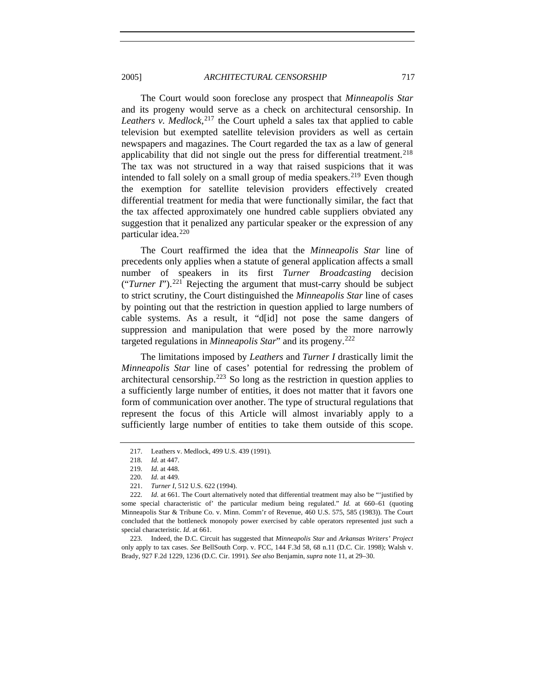2005] *ARCHITECTURAL CENSORSHIP* 717

The Court would soon foreclose any prospect that *Minneapolis Star* and its progeny would serve as a check on architectural censorship. In *Leathers v. Medlock*, [217](#page-48-0) the Court upheld a sales tax that applied to cable television but exempted satellite television providers as well as certain newspapers and magazines. The Court regarded the tax as a law of general applicability that did not single out the press for differential treatment.<sup>[218](#page-48-1)</sup> The tax was not structured in a way that raised suspicions that it was intended to fall solely on a small group of media speakers.<sup>[219](#page-48-2)</sup> Even though the exemption for satellite television providers effectively created differential treatment for media that were functionally similar, the fact that the tax affected approximately one hundred cable suppliers obviated any suggestion that it penalized any particular speaker or the expression of any particular idea.<sup>[220](#page-48-3)</sup>

The Court reaffirmed the idea that the *Minneapolis Star* line of precedents only applies when a statute of general application affects a small number of speakers in its first *Turner Broadcasting* decision ("*Turner I*").<sup>[221](#page-48-4)</sup> Rejecting the argument that must-carry should be subject to strict scrutiny, the Court distinguished the *Minneapolis Star* line of cases by pointing out that the restriction in question applied to large numbers of cable systems. As a result, it "d[id] not pose the same dangers of suppression and manipulation that were posed by the more narrowly targeted regulations in *Minneapolis Star*" and its progeny.[222](#page-48-5)

The limitations imposed by *Leathers* and *Turner I* drastically limit the *Minneapolis Star* line of cases' potential for redressing the problem of architectural censorship.<sup>[223](#page-48-6)</sup> So long as the restriction in question applies to a sufficiently large number of entities, it does not matter that it favors one form of communication over another. The type of structural regulations that represent the focus of this Article will almost invariably apply to a sufficiently large number of entities to take them outside of this scope.

<span id="page-48-0"></span> <sup>217.</sup> Leathers v. Medlock, 499 U.S. 439 (1991).

<sup>218</sup>*. Id.* at 447.

<sup>219</sup>*. Id.* at 448.

<sup>220</sup>*. Id.* at 449.

 <sup>221.</sup> *Turner I*, 512 U.S. 622 (1994).

<span id="page-48-5"></span><span id="page-48-4"></span><span id="page-48-3"></span><span id="page-48-2"></span><span id="page-48-1"></span><sup>222</sup>*. Id.* at 661. The Court alternatively noted that differential treatment may also be "'justified by some special characteristic of' the particular medium being regulated." *Id.* at 660–61 (quoting Minneapolis Star & Tribune Co. v. Minn. Comm'r of Revenue, 460 U.S. 575, 585 (1983)). The Court concluded that the bottleneck monopoly power exercised by cable operators represented just such a special characteristic. *Id*. at 661.

<span id="page-48-6"></span> <sup>223.</sup> Indeed, the D.C. Circuit has suggested that *Minneapolis Star* and *Arkansas Writers' Project*  only apply to tax cases. *See* BellSouth Corp. v. FCC, 144 F.3d 58, 68 n.11 (D.C. Cir. 1998); Walsh v. Brady, 927 F.2d 1229, 1236 (D.C. Cir. 1991)*. See also* Benjamin, *supra* note 11, at 29–30.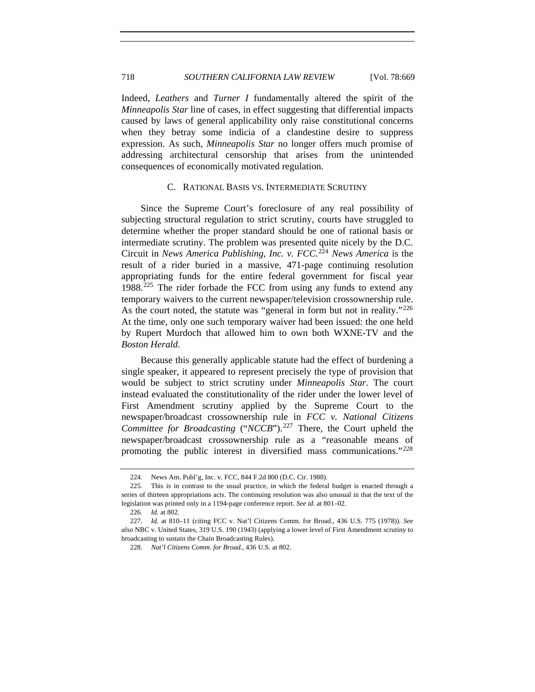<span id="page-49-0"></span>718 *SOUTHERN CALIFORNIA LAW REVIEW* [Vol. 78:669

Indeed, *Leathers* and *Turner I* fundamentally altered the spirit of the *Minneapolis Star* line of cases, in effect suggesting that differential impacts caused by laws of general applicability only raise constitutional concerns when they betray some indicia of a clandestine desire to suppress expression. As such, *Minneapolis Star* no longer offers much promise of addressing architectural censorship that arises from the unintended consequences of economically motivated regulation.

# C. RATIONAL BASIS VS. INTERMEDIATE SCRUTINY

Since the Supreme Court's foreclosure of any real possibility of subjecting structural regulation to strict scrutiny, courts have struggled to determine whether the proper standard should be one of rational basis or intermediate scrutiny. The problem was presented quite nicely by the D.C. Circuit in *News America Publishing, Inc. v. FCC*. [224](#page-49-1) *News America* is the result of a rider buried in a massive, 471-page continuing resolution appropriating funds for the entire federal government for fiscal year 1988.[225](#page-49-2) The rider forbade the FCC from using any funds to extend any temporary waivers to the current newspaper/television crossownership rule. As the court noted, the statute was "general in form but not in reality."<sup>[226](#page-49-3)</sup> At the time, only one such temporary waiver had been issued: the one held by Rupert Murdoch that allowed him to own both WXNE-TV and the *Boston Herald*.

Because this generally applicable statute had the effect of burdening a single speaker, it appeared to represent precisely the type of provision that would be subject to strict scrutiny under *Minneapolis Star*. The court instead evaluated the constitutionality of the rider under the lower level of First Amendment scrutiny applied by the Supreme Court to the newspaper/broadcast crossownership rule in *FCC v. National Citizens Committee for Broadcasting* ("*NCCB*").<sup>[227](#page-49-4)</sup> There, the Court upheld the newspaper/broadcast crossownership rule as a "reasonable means of promoting the public interest in diversified mass communications."[228](#page-49-5)

 <sup>224.</sup> News Am. Publ'g, Inc. v. FCC, 844 F.2d 800 (D.C. Cir. 1988).

<span id="page-49-2"></span><span id="page-49-1"></span> <sup>225.</sup> This is in contrast to the usual practice, in which the federal budget is enacted through a series of thirteen appropriations acts. The continuing resolution was also unusual in that the text of the legislation was printed only in a 1194-page conference report. *See id.* at 801–02.

<sup>226</sup>*. Id.* at 802.

<span id="page-49-5"></span><span id="page-49-4"></span><span id="page-49-3"></span><sup>227</sup>*. Id.* at 810–11 (citing FCC v. Nat'l Citizens Comm. for Broad., 436 U.S. 775 (1978)). *See also* NBC v. United States, 319 U.S. 190 (1943) (applying a lower level of First Amendment scrutiny to broadcasting to sustain the Chain Broadcasting Rules).

<sup>228</sup>*. Nat'l Citizens Comm. for Broad.*, 436 U.S. at 802.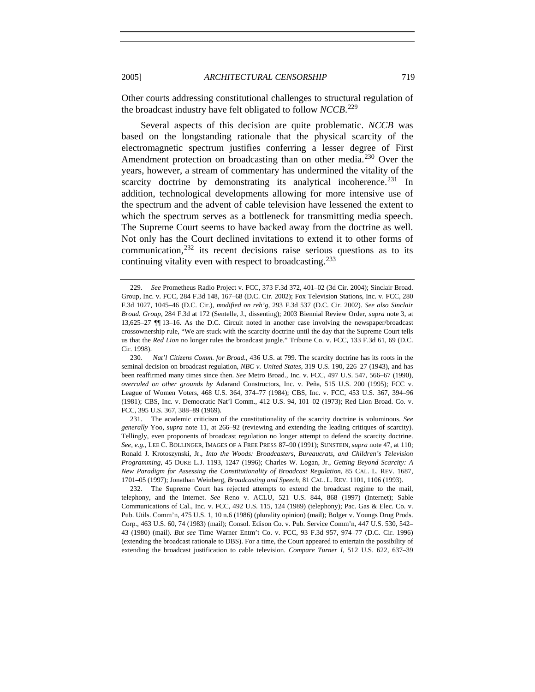Other courts addressing constitutional challenges to structural regulation of the broadcast industry have felt obligated to follow *NCCB*. [229](#page-50-0)

Several aspects of this decision are quite problematic. *NCCB* was based on the longstanding rationale that the physical scarcity of the electromagnetic spectrum justifies conferring a lesser degree of First Amendment protection on broadcasting than on other media.<sup>[230](#page-50-1)</sup> Over the years, however, a stream of commentary has undermined the vitality of the scarcity doctrine by demonstrating its analytical incoherence.<sup>[231](#page-50-2)</sup> In addition, technological developments allowing for more intensive use of the spectrum and the advent of cable television have lessened the extent to which the spectrum serves as a bottleneck for transmitting media speech. The Supreme Court seems to have backed away from the doctrine as well. Not only has the Court declined invitations to extend it to other forms of communication, $232$  its recent decisions raise serious questions as to its continuing vitality even with respect to broadcasting.<sup>[233](#page-50-4)</sup>

<span id="page-50-0"></span><sup>229</sup>*. See* Prometheus Radio Project v. FCC, 373 F.3d 372, 401–02 (3d Cir. 2004); Sinclair Broad. Group, Inc. v. FCC, 284 F.3d 148, 167–68 (D.C. Cir. 2002); Fox Television Stations, Inc. v. FCC, 280 F.3d 1027, 1045–46 (D.C. Cir.), *modified on reh'g*, 293 F.3d 537 (D.C. Cir. 2002). *See also Sinclair Broad. Group*, 284 F.3d at 172 (Sentelle, J., dissenting); 2003 Biennial Review Order, *supra* note 3, at 13,625–27 ¶¶ 13–16. As the D.C. Circuit noted in another case involving the newspaper/broadcast crossownership rule, "We are stuck with the scarcity doctrine until the day that the Supreme Court tells us that the *Red Lion* no longer rules the broadcast jungle." Tribune Co. v. FCC, 133 F.3d 61, 69 (D.C. Cir. 1998).

<span id="page-50-4"></span><span id="page-50-1"></span><sup>230</sup>*. Nat'l Citizens Comm. for Broad.*, 436 U.S. at 799. The scarcity doctrine has its roots in the seminal decision on broadcast regulation, *NBC v. United States*, 319 U.S. 190, 226–27 (1943), and has been reaffirmed many times since then. *See* Metro Broad., Inc. v. FCC, 497 U.S. 547, 566–67 (1990), *overruled on other grounds by* Adarand Constructors, Inc. v. Peña, 515 U.S. 200 (1995); FCC v. League of Women Voters, 468 U.S. 364, 374–77 (1984); CBS, Inc. v. FCC, 453 U.S. 367, 394–96 (1981); CBS, Inc. v. Democratic Nat'l Comm., 412 U.S. 94, 101–02 (1973); Red Lion Broad. Co. v. FCC, 395 U.S. 367, 388–89 (1969).

<span id="page-50-2"></span> <sup>231.</sup> The academic criticism of the constitutionality of the scarcity doctrine is voluminous. *See generally* Yoo, *supra* note 11, at 266–92 (reviewing and extending the leading critiques of scarcity). Tellingly, even proponents of broadcast regulation no longer attempt to defend the scarcity doctrine. *See, e.g.*, LEE C. BOLLINGER, IMAGES OF A FREE PRESS 87–90 (1991); SUNSTEIN, *supra* note 47, at 110; Ronald J. Krotoszynski, Jr., *Into the Woods: Broadcasters, Bureaucrats, and Children's Television Programming*, 45 DUKE L.J. 1193, 1247 (1996); Charles W. Logan, Jr., *Getting Beyond Scarcity: A New Paradigm for Assessing the Constitutionality of Broadcast Regulation*, 85 CAL. L. REV. 1687, 1701–05 (1997); Jonathan Weinberg, *Broadcasting and Speech*, 81 CAL. L. REV. 1101, 1106 (1993).

<span id="page-50-3"></span> <sup>232.</sup> The Supreme Court has rejected attempts to extend the broadcast regime to the mail, telephony, and the Internet. *See* Reno v. ACLU, 521 U.S. 844, 868 (1997) (Internet); Sable Communications of Cal., Inc. v. FCC, 492 U.S. 115, 124 (1989) (telephony); Pac. Gas & Elec. Co. v. Pub. Utils. Comm'n, 475 U.S. 1, 10 n.6 (1986) (plurality opinion) (mail); Bolger v. Youngs Drug Prods. Corp., 463 U.S. 60, 74 (1983) (mail); Consol. Edison Co. v. Pub. Service Comm'n, 447 U.S. 530, 542– 43 (1980) (mail). *But see* Time Warner Entm't Co. v. FCC, 93 F.3d 957, 974–77 (D.C. Cir. 1996) (extending the broadcast rationale to DBS). For a time, the Court appeared to entertain the possibility of extending the broadcast justification to cable television. *Compare Turner I*, 512 U.S. 622, 637–39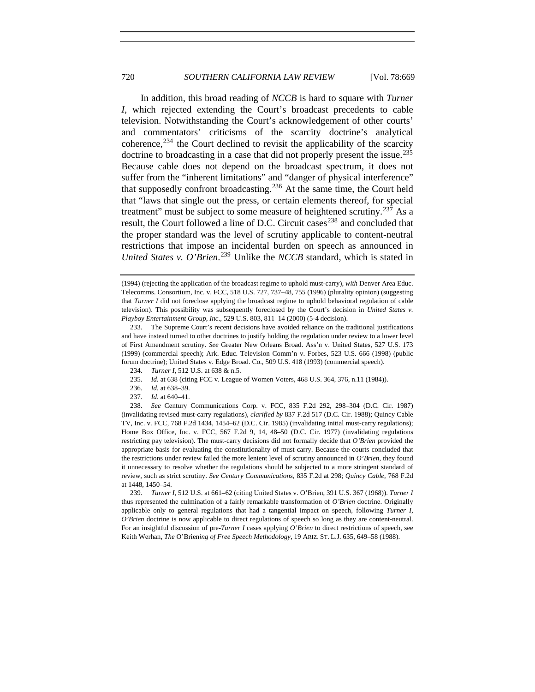In addition, this broad reading of *NCCB* is hard to square with *Turner I*, which rejected extending the Court's broadcast precedents to cable television. Notwithstanding the Court's acknowledgement of other courts' and commentators' criticisms of the scarcity doctrine's analytical coherence,  $234$  the Court declined to revisit the applicability of the scarcity doctrine to broadcasting in a case that did not properly present the issue.[235](#page-51-1) Because cable does not depend on the broadcast spectrum, it does not suffer from the "inherent limitations" and "danger of physical interference" that supposedly confront broadcasting.[236](#page-51-2) At the same time, the Court held that "laws that single out the press, or certain elements thereof, for special treatment" must be subject to some measure of heightened scrutiny.<sup>[237](#page-51-3)</sup> As a result, the Court followed a line of D.C. Circuit cases<sup>[238](#page-51-4)</sup> and concluded that the proper standard was the level of scrutiny applicable to content-neutral restrictions that impose an incidental burden on speech as announced in *United States v. O'Brien*. [239](#page-51-5) Unlike the *NCCB* standard, which is stated in

<span id="page-51-5"></span>239*. Turner I*, 512 U.S. at 661–62 (citing United States v. O'Brien, 391 U.S. 367 (1968)). *Turner I* thus represented the culmination of a fairly remarkable transformation of *O'Brien* doctrine. Originally applicable only to general regulations that had a tangential impact on speech, following *Turner I*, *O'Brien* doctrine is now applicable to direct regulations of speech so long as they are content-neutral. For an insightful discussion of pre-*Turner I* cases applying *O'Brien* to direct restrictions of speech, see Keith Werhan, *The* O'Brien*ing of Free Speech Methodology*, 19 ARIZ. ST. L.J. 635, 649–58 (1988).

<sup>(1994) (</sup>rejecting the application of the broadcast regime to uphold must-carry), *with* Denver Area Educ. Telecomms. Consortium, Inc. v. FCC, 518 U.S. 727, 737–48, 755 (1996) (plurality opinion) (suggesting that *Turner I* did not foreclose applying the broadcast regime to uphold behavioral regulation of cable television). This possibility was subsequently foreclosed by the Court's decision in *United States v. Playboy Entertainment Group, Inc*., 529 U.S. 803, 811–14 (2000) (5-4 decision).

 <sup>233.</sup> The Supreme Court's recent decisions have avoided reliance on the traditional justifications and have instead turned to other doctrines to justify holding the regulation under review to a lower level of First Amendment scrutiny. *See* Greater New Orleans Broad. Ass'n v. United States, 527 U.S. 173 (1999) (commercial speech); Ark. Educ. Television Comm'n v. Forbes, 523 U.S. 666 (1998) (public forum doctrine); United States v. Edge Broad. Co., 509 U.S. 418 (1993) (commercial speech).

<sup>234</sup>*. Turner I*, 512 U.S. at 638 & n.5.

<sup>235</sup>*. Id.* at 638 (citing FCC v. League of Women Voters, 468 U.S. 364, 376, n.11 (1984)).

<sup>236</sup>*. Id.* at 638–39.

<sup>237</sup>*. Id.* at 640–41.

<span id="page-51-4"></span><span id="page-51-3"></span><span id="page-51-2"></span><span id="page-51-1"></span><span id="page-51-0"></span><sup>238</sup>*. See* Century Communications Corp. v. FCC, 835 F.2d 292, 298–304 (D.C. Cir. 1987) (invalidating revised must-carry regulations), *clarified by* 837 F.2d 517 (D.C. Cir. 1988); Quincy Cable TV, Inc. v. FCC, 768 F.2d 1434, 1454–62 (D.C. Cir. 1985) (invalidating initial must-carry regulations); Home Box Office, Inc. v. FCC, 567 F.2d 9, 14, 48–50 (D.C. Cir. 1977) (invalidating regulations restricting pay television). The must-carry decisions did not formally decide that *O'Brien* provided the appropriate basis for evaluating the constitutionality of must-carry. Because the courts concluded that the restrictions under review failed the more lenient level of scrutiny announced in *O'Brien*, they found it unnecessary to resolve whether the regulations should be subjected to a more stringent standard of review, such as strict scrutiny. *See Century Communications*, 835 F.2d at 298; *Quincy Cable*, 768 F.2d at 1448, 1450–54.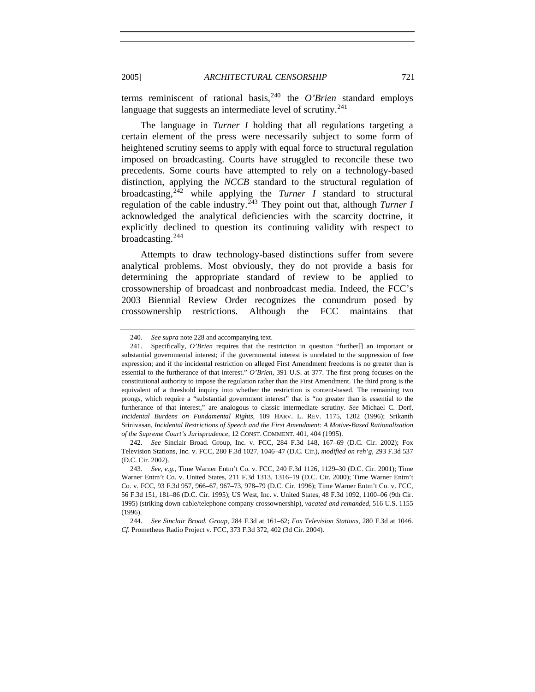terms reminiscent of rational basis,  $240$  the *O'Brien* standard employs language that suggests an intermediate level of scrutiny.<sup>[241](#page-52-1)</sup>

The language in *Turner I* holding that all regulations targeting a certain element of the press were necessarily subject to some form of heightened scrutiny seems to apply with equal force to structural regulation imposed on broadcasting. Courts have struggled to reconcile these two precedents. Some courts have attempted to rely on a technology-based distinction, applying the *NCCB* standard to the structural regulation of broadcasting,  $242$  while applying the *Turner I* standard to structural regulation of the cable industry.<sup>[243](#page-52-3)</sup> They point out that, although *Turner I* acknowledged the analytical deficiencies with the scarcity doctrine, it explicitly declined to question its continuing validity with respect to broadcasting.[244](#page-52-4)

Attempts to draw technology-based distinctions suffer from severe analytical problems. Most obviously, they do not provide a basis for determining the appropriate standard of review to be applied to crossownership of broadcast and nonbroadcast media. Indeed, the FCC's 2003 Biennial Review Order recognizes the conundrum posed by crossownership restrictions. Although the FCC maintains that

<sup>240</sup>*. See supra* note 228 and accompanying text.

<span id="page-52-1"></span><span id="page-52-0"></span> <sup>241.</sup> Specifically, *O'Brien* requires that the restriction in question "further[] an important or substantial governmental interest; if the governmental interest is unrelated to the suppression of free expression; and if the incidental restriction on alleged First Amendment freedoms is no greater than is essential to the furtherance of that interest." *O'Brien*, 391 U.S. at 377. The first prong focuses on the constitutional authority to impose the regulation rather than the First Amendment. The third prong is the equivalent of a threshold inquiry into whether the restriction is content-based. The remaining two prongs, which require a "substantial government interest" that is "no greater than is essential to the furtherance of that interest," are analogous to classic intermediate scrutiny. *See* Michael C. Dorf, *Incidental Burdens on Fundamental Rights*, 109 HARV. L. REV. 1175, 1202 (1996); Srikanth Srinivasan, *Incidental Restrictions of Speech and the First Amendment: A Motive-Based Rationalization of the Supreme Court's Jurisprudence*, 12 CONST. COMMENT. 401, 404 (1995).

<span id="page-52-2"></span><sup>242</sup>*. See* Sinclair Broad. Group, Inc. v. FCC, 284 F.3d 148, 167–69 (D.C. Cir. 2002); Fox Television Stations, Inc. v. FCC, 280 F.3d 1027, 1046–47 (D.C. Cir.), *modified on reh'g*, 293 F.3d 537 (D.C. Cir. 2002).

<span id="page-52-3"></span><sup>243</sup>*. See, e.g.*, Time Warner Entm't Co. v. FCC, 240 F.3d 1126, 1129–30 (D.C. Cir. 2001); Time Warner Entm't Co. v. United States, 211 F.3d 1313, 1316–19 (D.C. Cir. 2000); Time Warner Entm't Co. v. FCC, 93 F.3d 957, 966–67, 967–73, 978–79 (D.C. Cir. 1996); Time Warner Entm't Co. v. FCC, 56 F.3d 151, 181–86 (D.C. Cir. 1995); US West, Inc. v. United States, 48 F.3d 1092, 1100–06 (9th Cir. 1995) (striking down cable/telephone company crossownership), *vacated and remanded*, 516 U.S. 1155 (1996).

<span id="page-52-4"></span><sup>244</sup>*. See Sinclair Broad. Group*, 284 F.3d at 161–62; *Fox Television Stations*, 280 F.3d at 1046. *Cf.* Prometheus Radio Project v. FCC, 373 F.3d 372, 402 (3d Cir. 2004).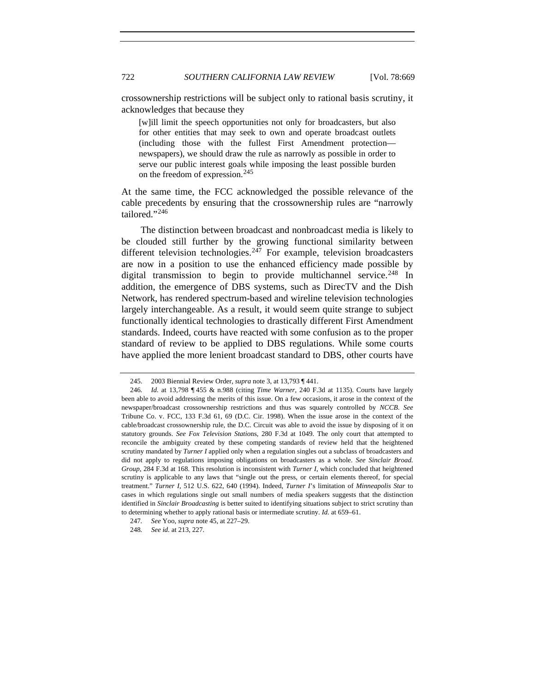crossownership restrictions will be subject only to rational basis scrutiny, it acknowledges that because they

[w]ill limit the speech opportunities not only for broadcasters, but also for other entities that may seek to own and operate broadcast outlets (including those with the fullest First Amendment protection newspapers), we should draw the rule as narrowly as possible in order to serve our public interest goals while imposing the least possible burden on the freedom of expression.<sup>[245](#page-53-0)</sup>

At the same time, the FCC acknowledged the possible relevance of the cable precedents by ensuring that the crossownership rules are "narrowly tailored."[246](#page-53-1)

The distinction between broadcast and nonbroadcast media is likely to be clouded still further by the growing functional similarity between different television technologies.<sup>[247](#page-53-2)</sup> For example, television broadcasters are now in a position to use the enhanced efficiency made possible by digital transmission to begin to provide multichannel service.<sup>[248](#page-53-3)</sup> In addition, the emergence of DBS systems, such as DirecTV and the Dish Network, has rendered spectrum-based and wireline television technologies largely interchangeable. As a result, it would seem quite strange to subject functionally identical technologies to drastically different First Amendment standards. Indeed, courts have reacted with some confusion as to the proper standard of review to be applied to DBS regulations. While some courts have applied the more lenient broadcast standard to DBS, other courts have

 <sup>245. 2003</sup> Biennial Review Order, *supra* note 3, at 13,793 ¶ 441.

<span id="page-53-1"></span><span id="page-53-0"></span><sup>246</sup>*. Id.* at 13,798 ¶ 455 & n.988 (citing *Time Warner*, 240 F.3d at 1135). Courts have largely been able to avoid addressing the merits of this issue. On a few occasions, it arose in the context of the newspaper/broadcast crossownership restrictions and thus was squarely controlled by *NCCB*. *See* Tribune Co. v. FCC, 133 F.3d 61, 69 (D.C. Cir. 1998). When the issue arose in the context of the cable/broadcast crossownership rule, the D.C. Circuit was able to avoid the issue by disposing of it on statutory grounds. *See Fox Television Statio*ns, 280 F.3d at 1049. The only court that attempted to reconcile the ambiguity created by these competing standards of review held that the heightened scrutiny mandated by *Turner I* applied only when a regulation singles out a subclass of broadcasters and did not apply to regulations imposing obligations on broadcasters as a whole. *See Sinclair Broad. Group*, 284 F.3d at 168. This resolution is inconsistent with *Turner I*, which concluded that heightened scrutiny is applicable to any laws that "single out the press, or certain elements thereof, for special treatment." *Turner I*, 512 U.S. 622, 640 (1994). Indeed, *Turner I*'s limitation of *Minneapolis Star* to cases in which regulations single out small numbers of media speakers suggests that the distinction identified in *Sinclair Broadcasting* is better suited to identifying situations subject to strict scrutiny than to determining whether to apply rational basis or intermediate scrutiny. *Id.* at 659–61.

<span id="page-53-2"></span><sup>247</sup>*. See* Yoo, *supra* note 45, at 227–29.

<span id="page-53-3"></span><sup>248</sup>*. See id.* at 213, 227.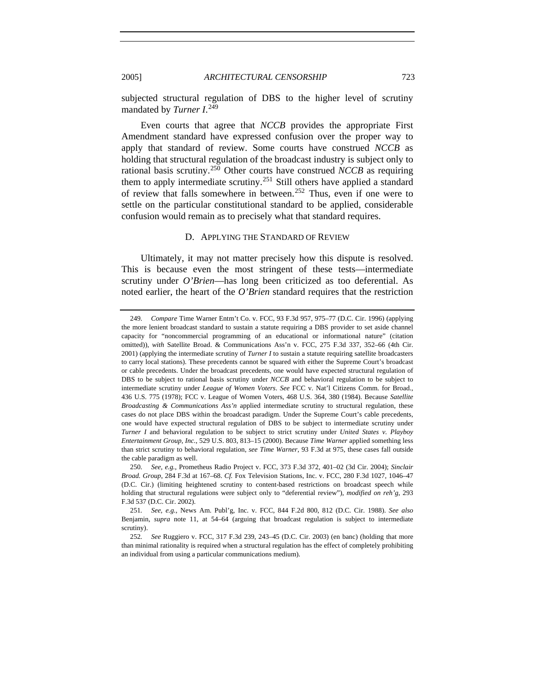subjected structural regulation of DBS to the higher level of scrutiny mandated by *Turner I*. [249](#page-54-1)

Even courts that agree that *NCCB* provides the appropriate First Amendment standard have expressed confusion over the proper way to apply that standard of review. Some courts have construed *NCCB* as holding that structural regulation of the broadcast industry is subject only to rational basis scrutiny.[250](#page-54-2) Other courts have construed *NCCB* as requiring them to apply intermediate scrutiny.<sup>[251](#page-54-3)</sup> Still others have applied a standard of review that falls somewhere in between.<sup>[252](#page-54-4)</sup> Thus, even if one were to settle on the particular constitutional standard to be applied, considerable confusion would remain as to precisely what that standard requires.

#### D. APPLYING THE STANDARD OF REVIEW

Ultimately, it may not matter precisely how this dispute is resolved. This is because even the most stringent of these tests—intermediate scrutiny under *O'Brien*—has long been criticized as too deferential. As noted earlier, the heart of the *O'Brien* standard requires that the restriction

<span id="page-54-0"></span>

<span id="page-54-1"></span><sup>249</sup>*. Compare* Time Warner Entm't Co. v. FCC, 93 F.3d 957, 975–77 (D.C. Cir. 1996) (applying the more lenient broadcast standard to sustain a statute requiring a DBS provider to set aside channel capacity for "noncommercial programming of an educational or informational nature" (citation omitted)), *with* Satellite Broad. & Communications Ass'n v. FCC, 275 F.3d 337, 352–66 (4th Cir. 2001) (applying the intermediate scrutiny of *Turner I* to sustain a statute requiring satellite broadcasters to carry local stations). These precedents cannot be squared with either the Supreme Court's broadcast or cable precedents. Under the broadcast precedents, one would have expected structural regulation of DBS to be subject to rational basis scrutiny under *NCCB* and behavioral regulation to be subject to intermediate scrutiny under *League of Women Voters*. *See* FCC v. Nat'l Citizens Comm. for Broad., 436 U.S. 775 (1978); FCC v. League of Women Voters, 468 U.S. 364, 380 (1984). Because *Satellite Broadcasting & Communications Ass'n* applied intermediate scrutiny to structural regulation, these cases do not place DBS within the broadcast paradigm. Under the Supreme Court's cable precedents, one would have expected structural regulation of DBS to be subject to intermediate scrutiny under *Turner I* and behavioral regulation to be subject to strict scrutiny under *United States v. Playboy Entertainment Group, Inc.*, 529 U.S. 803, 813–15 (2000). Because *Time Warner* applied something less than strict scrutiny to behavioral regulation, *see Time Warner*, 93 F.3d at 975, these cases fall outside the cable paradigm as well.

<span id="page-54-2"></span><sup>250</sup>*. See, e.g.*, Prometheus Radio Project v. FCC, 373 F.3d 372, 401–02 (3d Cir. 2004); *Sinclair Broad. Group*, 284 F.3d at 167–68. *Cf.* Fox Television Stations, Inc. v. FCC, 280 F.3d 1027, 1046–47 (D.C. Cir.) (limiting heightened scrutiny to content-based restrictions on broadcast speech while holding that structural regulations were subject only to "deferential review"), *modified on reh'g*, 293 F.3d 537 (D.C. Cir. 2002).

<span id="page-54-3"></span><sup>251</sup>*. See, e.g.*, News Am. Publ'g, Inc. v. FCC, 844 F.2d 800, 812 (D.C. Cir. 1988). *See also* Benjamin, *supra* note 11, at 54–64 (arguing that broadcast regulation is subject to intermediate scrutiny).

<span id="page-54-4"></span><sup>252</sup>*. See* Ruggiero v. FCC, 317 F.3d 239, 243–45 (D.C. Cir. 2003) (en banc) (holding that more than minimal rationality is required when a structural regulation has the effect of completely prohibiting an individual from using a particular communications medium).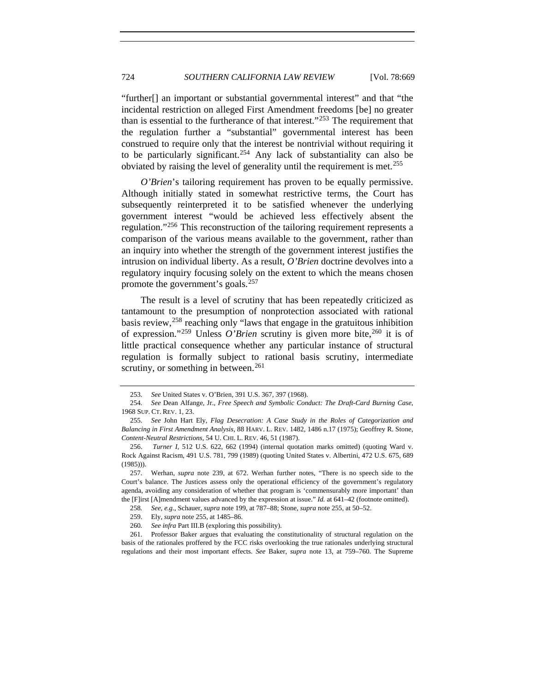"further[] an important or substantial governmental interest" and that "the incidental restriction on alleged First Amendment freedoms [be] no greater than is essential to the furtherance of that interest." $253$  The requirement that the regulation further a "substantial" governmental interest has been construed to require only that the interest be nontrivial without requiring it to be particularly significant.<sup>[254](#page-55-1)</sup> Any lack of substantiality can also be obviated by raising the level of generality until the requirement is met.<sup>[255](#page-55-2)</sup>

*O'Brien*'s tailoring requirement has proven to be equally permissive. Although initially stated in somewhat restrictive terms, the Court has subsequently reinterpreted it to be satisfied whenever the underlying government interest "would be achieved less effectively absent the regulation."[256](#page-55-3) This reconstruction of the tailoring requirement represents a comparison of the various means available to the government, rather than an inquiry into whether the strength of the government interest justifies the intrusion on individual liberty. As a result, *O'Brien* doctrine devolves into a regulatory inquiry focusing solely on the extent to which the means chosen promote the government's goals.<sup>[257](#page-55-4)</sup>

The result is a level of scrutiny that has been repeatedly criticized as tantamount to the presumption of nonprotection associated with rational basis review,<sup>[258](#page-55-5)</sup> reaching only "laws that engage in the gratuitous inhibition of expression."<sup>[259](#page-55-6)</sup> Unless *O'Brien* scrutiny is given more bite,  $260$  it is of little practical consequence whether any particular instance of structural regulation is formally subject to rational basis scrutiny, intermediate scrutiny, or something in between. $^{261}$  $^{261}$  $^{261}$ 

<sup>253</sup>*. See* United States v. O'Brien, 391 U.S. 367, 397 (1968).

<span id="page-55-1"></span><span id="page-55-0"></span><sup>254</sup>*. See* Dean Alfange, Jr., *Free Speech and Symbolic Conduct: The Draft-Card Burning Case*, 1968 SUP. CT. REV. 1, 23.

<span id="page-55-2"></span><sup>255</sup>*. See* John Hart Ely, *Flag Desecration: A Case Study in the Roles of Categorization and Balancing in First Amendment Analysis*, 88 HARV. L. REV. 1482, 1486 n.17 (1975); Geoffrey R. Stone, *Content-Neutral Restrictions*, 54 U. CHI. L. REV. 46, 51 (1987).

<span id="page-55-3"></span> <sup>256.</sup> *Turner I*, 512 U.S. 622, 662 (1994) (internal quotation marks omitted) (quoting Ward v. Rock Against Racism, 491 U.S. 781, 799 (1989) (quoting United States v. Albertini, 472 U.S. 675, 689 (1985))).

<span id="page-55-4"></span> <sup>257.</sup> Werhan, *supra* note 239, at 672. Werhan further notes, "There is no speech side to the Court's balance. The Justices assess only the operational efficiency of the government's regulatory agenda, avoiding any consideration of whether that program is 'commensurably more important' than the [F]irst [A]mendment values advanced by the expression at issue." *Id.* at 641–42 (footnote omitted).

<sup>258</sup>*. See, e.g.*, Schauer, *supra* note 199, at 787–88; Stone, *supra* note 255, at 50–52.

 <sup>259.</sup> Ely, *supra* note 255, at 1485–86.

<sup>260</sup>*. See infra* Part III.B (exploring this possibility).

<span id="page-55-8"></span><span id="page-55-7"></span><span id="page-55-6"></span><span id="page-55-5"></span> <sup>261.</sup> Professor Baker argues that evaluating the constitutionality of structural regulation on the basis of the rationales proffered by the FCC risks overlooking the true rationales underlying structural regulations and their most important effects. *See* Baker, *supra* note 13, at 759–760. The Supreme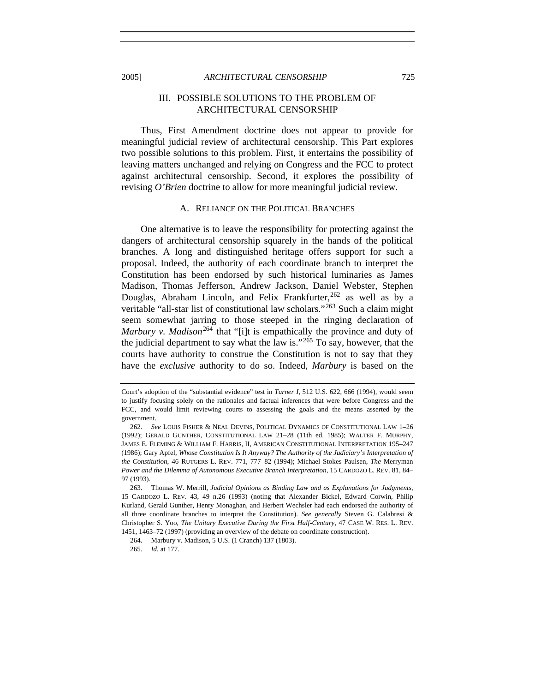<span id="page-56-0"></span>2005] *ARCHITECTURAL CENSORSHIP* 725

# III. POSSIBLE SOLUTIONS TO THE PROBLEM OF ARCHITECTURAL CENSORSHIP

Thus, First Amendment doctrine does not appear to provide for meaningful judicial review of architectural censorship. This Part explores two possible solutions to this problem. First, it entertains the possibility of leaving matters unchanged and relying on Congress and the FCC to protect against architectural censorship. Second, it explores the possibility of revising *O'Brien* doctrine to allow for more meaningful judicial review.

## A. RELIANCE ON THE POLITICAL BRANCHES

One alternative is to leave the responsibility for protecting against the dangers of architectural censorship squarely in the hands of the political branches. A long and distinguished heritage offers support for such a proposal. Indeed, the authority of each coordinate branch to interpret the Constitution has been endorsed by such historical luminaries as James Madison, Thomas Jefferson, Andrew Jackson, Daniel Webster, Stephen Douglas, Abraham Lincoln, and Felix Frankfurter,  $262$  as well as by a veritable "all-star list of constitutional law scholars."<sup>[263](#page-56-2)</sup> Such a claim might seem somewhat jarring to those steeped in the ringing declaration of *Marbury v. Madison*<sup>[264](#page-56-3)</sup> that "[i]t is empathically the province and duty of the judicial department to say what the law is."<sup>[265](#page-56-4)</sup> To say, however, that the courts have authority to construe the Constitution is not to say that they have the *exclusive* authority to do so. Indeed, *Marbury* is based on the

Court's adoption of the "substantial evidence" test in *Turner I*, 512 U.S. 622, 666 (1994), would seem to justify focusing solely on the rationales and factual inferences that were before Congress and the FCC, and would limit reviewing courts to assessing the goals and the means asserted by the government.

<span id="page-56-1"></span><sup>262</sup>*. See* LOUIS FISHER & NEAL DEVINS, POLITICAL DYNAMICS OF CONSTITUTIONAL LAW 1–26 (1992); GERALD GUNTHER, CONSTITUTIONAL LAW 21–28 (11th ed. 1985); WALTER F. MURPHY, JAMES E. FLEMING & WILLIAM F. HARRIS, II, AMERICAN CONSTITUTIONAL INTERPRETATION 195–247 (1986); Gary Apfel, *Whose Constitution Is It Anyway? The Authority of the Judiciary's Interpretation of the Constitution*, 46 RUTGERS L. REV. 771, 777–82 (1994); Michael Stokes Paulsen, *The* Merryman *Power and the Dilemma of Autonomous Executive Branch Interpretation*, 15 CARDOZO L. REV. 81, 84– 97 (1993).

<span id="page-56-2"></span> <sup>263.</sup> Thomas W. Merrill, *Judicial Opinions as Binding Law and as Explanations for Judgments*, 15 CARDOZO L. REV. 43, 49 n.26 (1993) (noting that Alexander Bickel, Edward Corwin, Philip Kurland, Gerald Gunther, Henry Monaghan, and Herbert Wechsler had each endorsed the authority of all three coordinate branches to interpret the Constitution). *See generally* Steven G. Calabresi & Christopher S. Yoo, *The Unitary Executive During the First Half-Century*, 47 CASE W. RES. L. REV. 1451, 1463–72 (1997) (providing an overview of the debate on coordinate construction).

<span id="page-56-3"></span> <sup>264.</sup> Marbury v. Madison, 5 U.S. (1 Cranch) 137 (1803).

<span id="page-56-4"></span><sup>265</sup>*. Id.* at 177.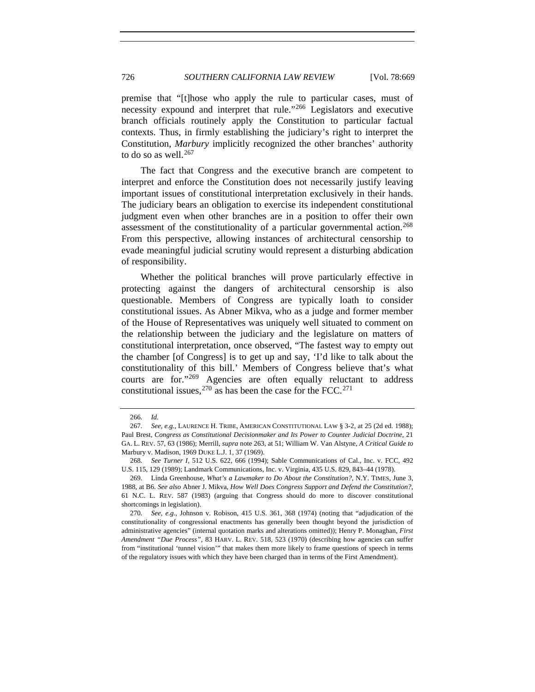premise that "[t]hose who apply the rule to particular cases, must of necessity expound and interpret that rule."[266](#page-57-0) Legislators and executive branch officials routinely apply the Constitution to particular factual contexts. Thus, in firmly establishing the judiciary's right to interpret the Constitution, *Marbury* implicitly recognized the other branches' authority to do so as well. $267$ 

The fact that Congress and the executive branch are competent to interpret and enforce the Constitution does not necessarily justify leaving important issues of constitutional interpretation exclusively in their hands. The judiciary bears an obligation to exercise its independent constitutional judgment even when other branches are in a position to offer their own assessment of the constitutionality of a particular governmental action.<sup>[268](#page-57-2)</sup> From this perspective, allowing instances of architectural censorship to evade meaningful judicial scrutiny would represent a disturbing abdication of responsibility.

Whether the political branches will prove particularly effective in protecting against the dangers of architectural censorship is also questionable. Members of Congress are typically loath to consider constitutional issues. As Abner Mikva, who as a judge and former member of the House of Representatives was uniquely well situated to comment on the relationship between the judiciary and the legislature on matters of constitutional interpretation, once observed, "The fastest way to empty out the chamber [of Congress] is to get up and say, 'I'd like to talk about the constitutionality of this bill.' Members of Congress believe that's what courts are for."[269](#page-57-3) Agencies are often equally reluctant to address constitutional issues,  $270$  as has been the case for the FCC.  $271$ 

<sup>266</sup>*. Id.*

<span id="page-57-5"></span><span id="page-57-1"></span><span id="page-57-0"></span><sup>267</sup>*. See, e.g.*, LAURENCE H. TRIBE, AMERICAN CONSTITUTIONAL LAW § 3-2, at 25 (2d ed. 1988); Paul Brest, *Congress as Constitutional Decisionmaker and Its Power to Counter Judicial Doctrine*, 21 GA. L. REV. 57, 63 (1986); Merrill, *supra* note 263, at 51; William W. Van Alstyne, *A Critical Guide to*  Marbury v. Madison, 1969 DUKE L.J. 1, 37 (1969).

<span id="page-57-2"></span><sup>268</sup>*. See Turner I*, 512 U.S. 622, 666 (1994); Sable Communications of Cal., Inc. v. FCC, 492 U.S. 115, 129 (1989); Landmark Communications, Inc. v. Virginia, 435 U.S. 829, 843–44 (1978).

<span id="page-57-3"></span> <sup>269.</sup> Linda Greenhouse, *What's a Lawmaker to Do About the Constitution?*, N.Y. TIMES, June 3, 1988, at B6. *See also* Abner J. Mikva, *How Well Does Congress Support and Defend the Constitution?*, 61 N.C. L. REV. 587 (1983) (arguing that Congress should do more to discover constitutional shortcomings in legislation).

<span id="page-57-4"></span><sup>270</sup>*. See, e.g.*, Johnson v. Robison, 415 U.S. 361, 368 (1974) (noting that "adjudication of the constitutionality of congressional enactments has generally been thought beyond the jurisdiction of administrative agencies" (internal quotation marks and alterations omitted)); Henry P. Monaghan, *First Amendment "Due Process"*, 83 HARV. L. REV. 518, 523 (1970) (describing how agencies can suffer from "institutional 'tunnel vision'" that makes them more likely to frame questions of speech in terms of the regulatory issues with which they have been charged than in terms of the First Amendment).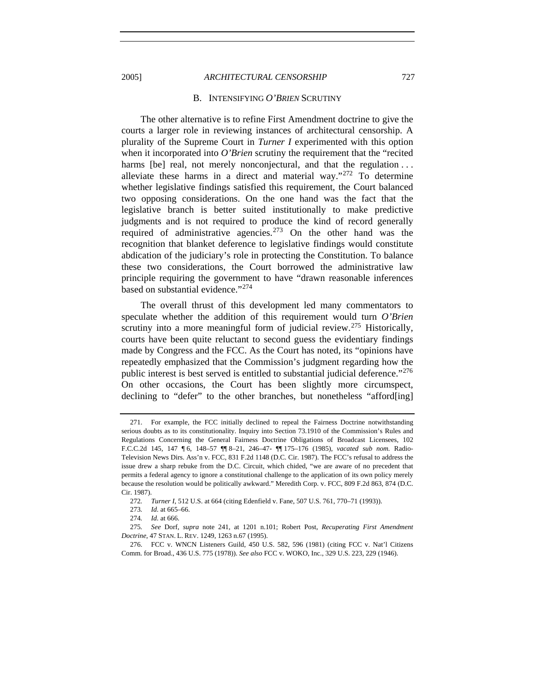<span id="page-58-0"></span>2005] *ARCHITECTURAL CENSORSHIP* 727

#### B. INTENSIFYING *O'BRIEN* SCRUTINY

The other alternative is to refine First Amendment doctrine to give the courts a larger role in reviewing instances of architectural censorship. A plurality of the Supreme Court in *Turner I* experimented with this option when it incorporated into *O'Brien* scrutiny the requirement that the "recited" harms [be] real, not merely nonconjectural, and that the regulation ... alleviate these harms in a direct and material way." $272$  To determine whether legislative findings satisfied this requirement, the Court balanced two opposing considerations. On the one hand was the fact that the legislative branch is better suited institutionally to make predictive judgments and is not required to produce the kind of record generally required of administrative agencies.<sup>[273](#page-58-2)</sup> On the other hand was the recognition that blanket deference to legislative findings would constitute abdication of the judiciary's role in protecting the Constitution. To balance these two considerations, the Court borrowed the administrative law principle requiring the government to have "drawn reasonable inferences based on substantial evidence."<sup>[274](#page-58-3)</sup>

The overall thrust of this development led many commentators to speculate whether the addition of this requirement would turn *O'Brien* scrutiny into a more meaningful form of judicial review.<sup>[275](#page-58-4)</sup> Historically, courts have been quite reluctant to second guess the evidentiary findings made by Congress and the FCC. As the Court has noted, its "opinions have repeatedly emphasized that the Commission's judgment regarding how the public interest is best served is entitled to substantial judicial deference."<sup>[276](#page-58-5)</sup> On other occasions, the Court has been slightly more circumspect, declining to "defer" to the other branches, but nonetheless "afford[ing]

 <sup>271.</sup> For example, the FCC initially declined to repeal the Fairness Doctrine notwithstanding serious doubts as to its constitutionality. Inquiry into Section 73.1910 of the Commission's Rules and Regulations Concerning the General Fairness Doctrine Obligations of Broadcast Licensees, 102 F.C.C.2d 145, 147 ¶ 6, 148–57 ¶¶ 8–21, 246–47- ¶¶ 175–176 (1985), *vacated sub nom.* Radio-Television News Dirs. Ass'n v. FCC, 831 F.2d 1148 (D.C. Cir. 1987). The FCC's refusal to address the issue drew a sharp rebuke from the D.C. Circuit, which chided, "we are aware of no precedent that permits a federal agency to ignore a constitutional challenge to the application of its own policy merely because the resolution would be politically awkward." Meredith Corp. v. FCC, 809 F.2d 863, 874 (D.C. Cir. 1987).

<sup>272</sup>*. Turner I*, 512 U.S. at 664 (citing Edenfield v. Fane, 507 U.S. 761, 770–71 (1993)).

<sup>273</sup>*. Id.* at 665–66.

<sup>274</sup>*. Id.* at 666.

<span id="page-58-4"></span><span id="page-58-3"></span><span id="page-58-2"></span><span id="page-58-1"></span><sup>275</sup>*. See* Dorf, *supra* note 241, at 1201 n.101; Robert Post, *Recuperating First Amendment Doctrine*, 47 STAN. L. REV. 1249, 1263 n.67 (1995).

<span id="page-58-5"></span> <sup>276.</sup> FCC v. WNCN Listeners Guild, 450 U.S. 582, 596 (1981) (citing FCC v. Nat'l Citizens Comm. for Broad., 436 U.S. 775 (1978)). *See also* FCC v. WOKO, Inc., 329 U.S. 223, 229 (1946).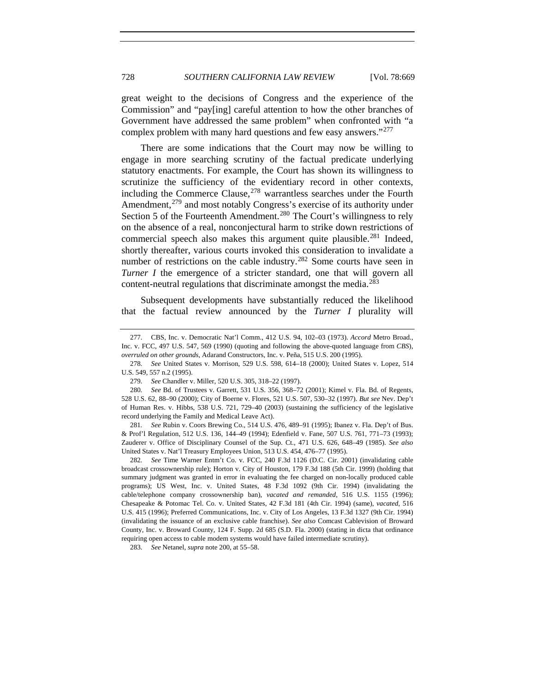great weight to the decisions of Congress and the experience of the Commission" and "pay[ing] careful attention to how the other branches of Government have addressed the same problem" when confronted with "a complex problem with many hard questions and few easy answers."<sup>[277](#page-59-0)</sup>

There are some indications that the Court may now be willing to engage in more searching scrutiny of the factual predicate underlying statutory enactments. For example, the Court has shown its willingness to scrutinize the sufficiency of the evidentiary record in other contexts, including the Commerce Clause,  $278$  warrantless searches under the Fourth Amendment,<sup>[279](#page-59-2)</sup> and most notably Congress's exercise of its authority under Section 5 of the Fourteenth Amendment.<sup>[280](#page-59-3)</sup> The Court's willingness to rely on the absence of a real, nonconjectural harm to strike down restrictions of commercial speech also makes this argument quite plausible.<sup>[281](#page-59-4)</sup> Indeed, shortly thereafter, various courts invoked this consideration to invalidate a number of restrictions on the cable industry.<sup>[282](#page-59-5)</sup> Some courts have seen in *Turner I* the emergence of a stricter standard, one that will govern all content-neutral regulations that discriminate amongst the media.<sup>[283](#page-59-6)</sup>

Subsequent developments have substantially reduced the likelihood that the factual review announced by the *Turner I* plurality will

<span id="page-59-0"></span> <sup>277.</sup> CBS, Inc. v. Democratic Nat'l Comm., 412 U.S. 94, 102–03 (1973). *Accord* Metro Broad., Inc. v. FCC, 497 U.S. 547, 569 (1990) (quoting and following the above-quoted language from *CBS*), *overruled on other grounds*, Adarand Constructors, Inc. v. Peña, 515 U.S. 200 (1995).

<span id="page-59-1"></span><sup>278</sup>*. See* United States v. Morrison, 529 U.S. 598, 614–18 (2000); United States v. Lopez, 514 U.S. 549, 557 n.2 (1995).

<sup>279</sup>*. See* Chandler v. Miller, 520 U.S. 305, 318–22 (1997).

<span id="page-59-3"></span><span id="page-59-2"></span><sup>280</sup>*. See* Bd. of Trustees v. Garrett, 531 U.S. 356, 368–72 (2001); Kimel v. Fla. Bd. of Regents, 528 U.S. 62, 88–90 (2000); City of Boerne v. Flores, 521 U.S. 507, 530–32 (1997). *But see* Nev. Dep't of Human Res. v. Hibbs, 538 U.S. 721, 729–40 (2003) (sustaining the sufficiency of the legislative record underlying the Family and Medical Leave Act).

<span id="page-59-4"></span><sup>281</sup>*. See* Rubin v. Coors Brewing Co., 514 U.S. 476, 489–91 (1995); Ibanez v. Fla. Dep't of Bus. & Prof'l Regulation, 512 U.S. 136, 144–49 (1994); Edenfield v. Fane, 507 U.S. 761, 771–73 (1993); Zauderer v. Office of Disciplinary Counsel of the Sup. Ct., 471 U.S. 626, 648–49 (1985). *See also* United States v. Nat'l Treasury Employees Union, 513 U.S. 454, 476–77 (1995).

<span id="page-59-5"></span><sup>282</sup>*. See* Time Warner Entm't Co. v. FCC, 240 F.3d 1126 (D.C. Cir. 2001) (invalidating cable broadcast crossownership rule); Horton v. City of Houston, 179 F.3d 188 (5th Cir. 1999) (holding that summary judgment was granted in error in evaluating the fee charged on non-locally produced cable programs); US West, Inc. v. United States, 48 F.3d 1092 (9th Cir. 1994) (invalidating the cable/telephone company crossownership ban), *vacated and remanded*, 516 U.S. 1155 (1996); Chesapeake & Potomac Tel. Co. v. United States, 42 F.3d 181 (4th Cir. 1994) (same), *vacated*, 516 U.S. 415 (1996); Preferred Communications, Inc. v. City of Los Angeles, 13 F.3d 1327 (9th Cir. 1994) (invalidating the issuance of an exclusive cable franchise). *See also* Comcast Cablevision of Broward County, Inc. v. Broward County, 124 F. Supp. 2d 685 (S.D. Fla. 2000) (stating in dicta that ordinance requiring open access to cable modem systems would have failed intermediate scrutiny).

<span id="page-59-6"></span><sup>283</sup>*. See* Netanel, *supra* note 200, at 55–58.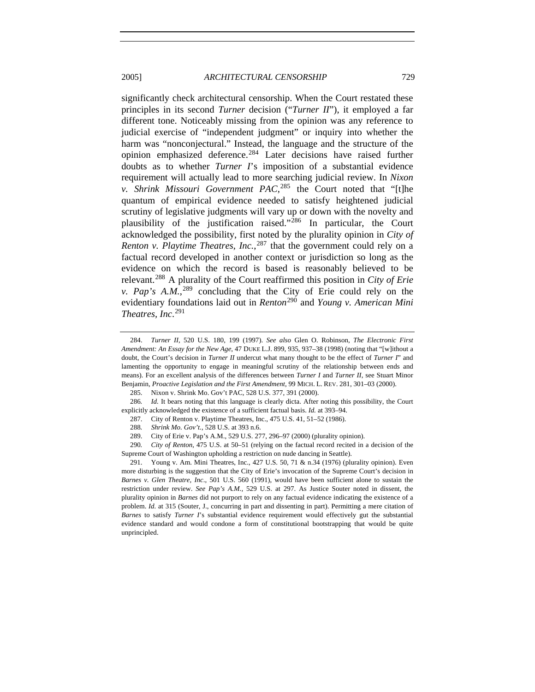2005] *ARCHITECTURAL CENSORSHIP* 729

significantly check architectural censorship. When the Court restated these principles in its second *Turner* decision ("*Turner II*"), it employed a far different tone. Noticeably missing from the opinion was any reference to judicial exercise of "independent judgment" or inquiry into whether the harm was "nonconjectural." Instead, the language and the structure of the opinion emphasized deference.[284](#page-60-0) Later decisions have raised further doubts as to whether *Turner I*'s imposition of a substantial evidence requirement will actually lead to more searching judicial review. In *Nixon v. Shrink Missouri Government PAC*, [285](#page-60-1) the Court noted that "[t]he quantum of empirical evidence needed to satisfy heightened judicial scrutiny of legislative judgments will vary up or down with the novelty and plausibility of the justification raised."[286](#page-60-2) In particular, the Court acknowledged the possibility, first noted by the plurality opinion in *City of Renton v. Playtime Theatres, Inc.*, [287](#page-60-3) that the government could rely on a factual record developed in another context or jurisdiction so long as the evidence on which the record is based is reasonably believed to be relevant.[288](#page-60-4) A plurality of the Court reaffirmed this position in *City of Erie v. Pap's A.M.*, [289](#page-60-5) concluding that the City of Erie could rely on the evidentiary foundations laid out in *Renton*[290](#page-60-6) and *Young v. American Mini* 

*Theatres, Inc*. [291](#page-60-7)

<span id="page-60-0"></span> <sup>284.</sup> *Turner II*, 520 U.S. 180, 199 (1997). *See also* Glen O. Robinson, *The Electronic First Amendment: An Essay for the New Age*, 47 DUKE L.J. 899, 935, 937–38 (1998) (noting that "[w]ithout a doubt, the Court's decision in *Turner II* undercut what many thought to be the effect of *Turner I*" and lamenting the opportunity to engage in meaningful scrutiny of the relationship between ends and means). For an excellent analysis of the differences between *Turner I* and *Turner II*, see Stuart Minor Benjamin, *Proactive Legislation and the First Amendment*, 99 MICH. L. REV. 281, 301–03 (2000).

 <sup>285.</sup> Nixon v. Shrink Mo. Gov't PAC, 528 U.S. 377, 391 (2000).

<span id="page-60-3"></span><span id="page-60-2"></span><span id="page-60-1"></span><sup>286</sup>*. Id.* It bears noting that this language is clearly dicta. After noting this possibility, the Court explicitly acknowledged the existence of a sufficient factual basis. *Id.* at 393–94.

 <sup>287.</sup> City of Renton v. Playtime Theatres, Inc., 475 U.S. 41, 51–52 (1986).

<sup>288</sup>*. Shrink Mo. Gov't.*, 528 U.S. at 393 n.6.

 <sup>289.</sup> City of Erie v. Pap's A.M., 529 U.S. 277, 296–97 (2000) (plurality opinion).

<span id="page-60-6"></span><span id="page-60-5"></span><span id="page-60-4"></span><sup>290</sup>*. City of Renton*, 475 U.S. at 50–51 (relying on the factual record recited in a decision of the Supreme Court of Washington upholding a restriction on nude dancing in Seattle).

<span id="page-60-7"></span> <sup>291.</sup> Young v. Am. Mini Theatres, Inc., 427 U.S. 50, 71 & n.34 (1976) (plurality opinion). Even more disturbing is the suggestion that the City of Erie's invocation of the Supreme Court's decision in *Barnes v. Glen Theatre, Inc*., 501 U.S. 560 (1991), would have been sufficient alone to sustain the restriction under review. *See Pap's A.M.*, 529 U.S. at 297. As Justice Souter noted in dissent, the plurality opinion in *Barnes* did not purport to rely on any factual evidence indicating the existence of a problem. *Id.* at 315 (Souter, J., concurring in part and dissenting in part). Permitting a mere citation of *Barnes* to satisfy *Turner I*'s substantial evidence requirement would effectively gut the substantial evidence standard and would condone a form of constitutional bootstrapping that would be quite unprincipled.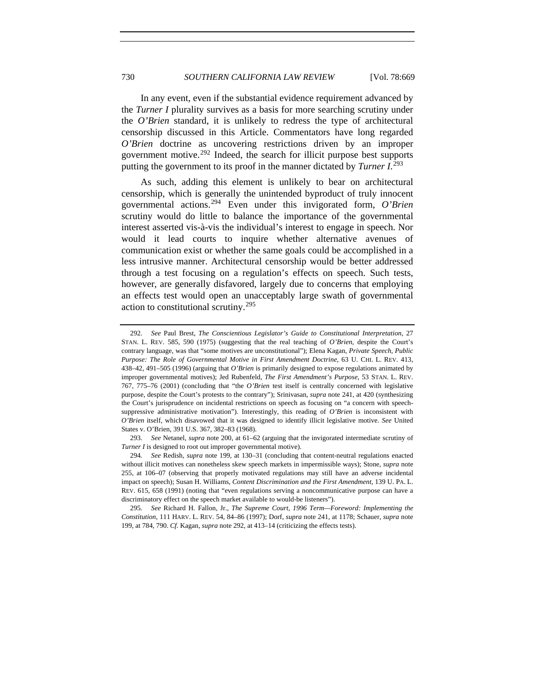In any event, even if the substantial evidence requirement advanced by the *Turner I* plurality survives as a basis for more searching scrutiny under the *O'Brien* standard, it is unlikely to redress the type of architectural censorship discussed in this Article. Commentators have long regarded *O'Brien* doctrine as uncovering restrictions driven by an improper government motive.[292](#page-61-0) Indeed, the search for illicit purpose best supports putting the government to its proof in the manner dictated by *Turner I*. [293](#page-61-1)

As such, adding this element is unlikely to bear on architectural censorship, which is generally the unintended byproduct of truly innocent governmental actions.[294](#page-61-2) Even under this invigorated form, *O'Brien* scrutiny would do little to balance the importance of the governmental interest asserted vis-à-vis the individual's interest to engage in speech. Nor would it lead courts to inquire whether alternative avenues of communication exist or whether the same goals could be accomplished in a less intrusive manner. Architectural censorship would be better addressed through a test focusing on a regulation's effects on speech. Such tests, however, are generally disfavored, largely due to concerns that employing an effects test would open an unacceptably large swath of governmental action to constitutional scrutiny.[295](#page-61-3)

<span id="page-61-0"></span><sup>292</sup>*. See* Paul Brest, *The Conscientious Legislator's Guide to Constitutional Interpretation*, 27 STAN. L. REV. 585, 590 (1975) (suggesting that the real teaching of *O'Brien*, despite the Court's contrary language, was that "some motives are unconstitutional"); Elena Kagan, *Private Speech, Public Purpose: The Role of Governmental Motive in First Amendment Doctrine*, 63 U. CHI. L. REV. 413, 438–42, 491–505 (1996) (arguing that *O'Brien* is primarily designed to expose regulations animated by improper governmental motives); Jed Rubenfeld, *The First Amendment's Purpose*, 53 STAN. L. REV. 767, 775–76 (2001) (concluding that "the *O'Brien* test itself is centrally concerned with legislative purpose, despite the Court's protests to the contrary"); Srinivasan, *supra* note 241, at 420 (synthesizing the Court's jurisprudence on incidental restrictions on speech as focusing on "a concern with speechsuppressive administrative motivation"). Interestingly, this reading of *O'Brien* is inconsistent with *O'Brien* itself, which disavowed that it was designed to identify illicit legislative motive. *See* United States v. O'Brien, 391 U.S. 367, 382–83 (1968).

<span id="page-61-1"></span><sup>293</sup>*. See* Netanel, *supra* note 200, at 61–62 (arguing that the invigorated intermediate scrutiny of *Turner I* is designed to root out improper governmental motive).

<span id="page-61-2"></span><sup>294</sup>*. See* Redish, *supra* note 199, at 130–31 (concluding that content-neutral regulations enacted without illicit motives can nonetheless skew speech markets in impermissible ways); Stone, *supra* note 255, at 106–07 (observing that properly motivated regulations may still have an adverse incidental impact on speech); Susan H. Williams, *Content Discrimination and the First Amendment*, 139 U. PA. L. REV. 615, 658 (1991) (noting that "even regulations serving a noncommunicative purpose can have a discriminatory effect on the speech market available to would-be listeners").

<span id="page-61-3"></span><sup>295</sup>*. See* Richard H. Fallon, Jr., *The Supreme Court, 1996 Term—Foreword: Implementing the Constitution*, 111 HARV. L. REV. 54, 84–86 (1997); Dorf, *supra* note 241, at 1178; Schauer, *supra* note 199, at 784, 790. *Cf.* Kagan, *supra* note 292, at 413–14 (criticizing the effects tests).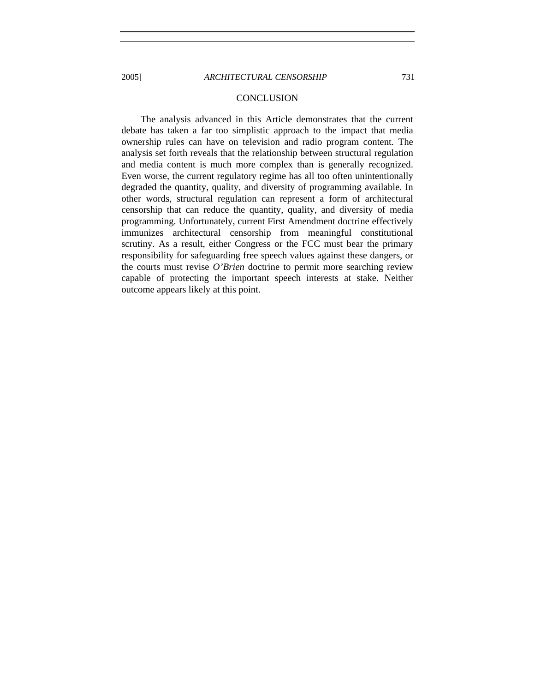#### **CONCLUSION**

The analysis advanced in this Article demonstrates that the current debate has taken a far too simplistic approach to the impact that media ownership rules can have on television and radio program content. The analysis set forth reveals that the relationship between structural regulation and media content is much more complex than is generally recognized. Even worse, the current regulatory regime has all too often unintentionally degraded the quantity, quality, and diversity of programming available. In other words, structural regulation can represent a form of architectural censorship that can reduce the quantity, quality, and diversity of media programming. Unfortunately, current First Amendment doctrine effectively immunizes architectural censorship from meaningful constitutional scrutiny. As a result, either Congress or the FCC must bear the primary responsibility for safeguarding free speech values against these dangers, or the courts must revise *O'Brien* doctrine to permit more searching review capable of protecting the important speech interests at stake. Neither outcome appears likely at this point.

<span id="page-62-0"></span>